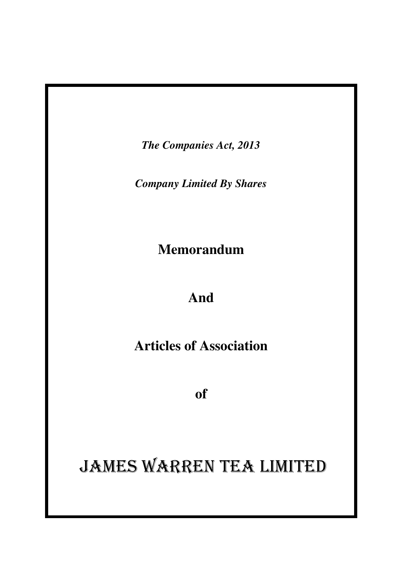*The Companies Act, 2013* 

*Company Limited By Shares* 

**Memorandum** 

## **And**

**Articles of Association** 

**of**

## JAMES WARREN TEA LIMITED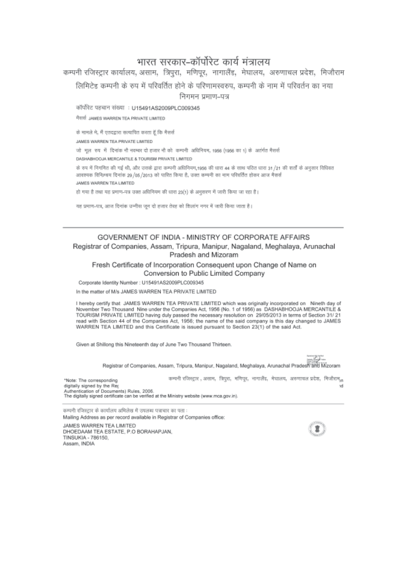## भारत सरकार–कॉर्पोरेट कार्य मंत्रालय

कम्पनी रजिस्ट्रार कार्यालय, असाम, त्रिपुरा, मणिपुर, नागालैंड, मेघालय, अरुणाचल प्रदेश, मिजौराम लिमिटेड कम्पनी के रुप में परिवर्तित होने के परिणामस्वरुप, कम्पनी के नाम में परिवर्तन का नया निगमन प्रमाण-पत्र

कॉर्पोरेट पहचान संख्या : U15491AS2009PLC009345

मैसर्स JAMES WARREN TEA PRIVATE LIMITED

के मामले मे, मैं एतदद्वारा सत्यापित करता हूँ कि मैसर्स

JAMES WARREN TEA PRIVATE LIMITED

जो मूल रुप में दिनांक नौ नवम्बर दो हजार नौ को कम्पनी अधिनियम, 1956 (1956 का 1) के अतंर्गत मैसर्स

DASHABHOOJA MERCANTILE & TOURISM PRIVATE LIMITED

के रुप में निगमित की गई थी, और उसके द्वारा कम्पनी अधिनियम,1956 की धारा 44 के साथ पवित धारा 31/21 की शर्तों के अनुसार विधिवत आवश्यक विनिम्बय दिनांक 29/05/2013 को पारित किया है, उन्नत कम्पनी का नाम परिवर्तित होकर आज मैसर्स JAMES WARREN TEA LIMITED

हो गया है तथा यह प्रमाण-पत्र उक्त अधिनियम की धारा 23(1) के अनुसरण में जारी किया जा रहा है।

यह प्रमाण-पत्र, आज दिनांक उन्नीस जून दो हजार तेरह को शिलांग नगर में जारी किया जाता है।

#### GOVERNMENT OF INDIA - MINISTRY OF CORPORATE AFFAIRS Registrar of Companies, Assam, Tripura, Manipur, Nagaland, Meghalaya, Arunachal Pradesh and Mizoram

#### Fresh Certificate of Incorporation Consequent upon Change of Name on Conversion to Public Limited Company

Corporate Identity Number : U15491AS2009PLC009345

In the matter of M/s JAMES WARREN TEA PRIVATE LIMITED

I hereby certify that JAMES WARREN TEA PRIVATE LIMITED which was originally incorporated on Nineth day of November Two Thousand Nine under the Companies Act, 1956 (No. 1 of 1956) as DASHABHOOJA MERCANTILE & TOURISM PRIVATE LIMITED having duly passed the necessary resolution on 29/05/2013 in terms of Section 31/21 read with Section 44 of the Companies Act, 1956; the name of the said company is this day changed to JAMES WARREN TEA LIMITED and this Certificate is issued pursuant to Section 23(1) of the said Act.

Given at Shillong this Nineteenth day of June Two Thousand Thirteen.

Registrar of Companies, Assam, Tripura, Manipur, Nagaland, Meghalaya, Arunachal Pradesh and Mizoram

कम्पनी रजिस्ट्रार , असाम, त्रिपुरा, मणिपूर, नागालैंड, मेघालय, अरुणाचल प्रदेश, मिजौराम,, \*Note: The corresponding digitally signed by the Reg Authentication of Documents) Rules, 2006. The digitally signed certificate can be verified at the Ministry website (www.mca.gov.in).

कम्पनी रजिस्ट्रार के कार्यालय अभिलेख में उपलब्ध पत्राचार का पता : Mailing Address as per record available in Registrar of Companies office:

JAMES WARREN TEA LIMITED DHOEDAAM TEA ESTATE, P.O BORAHAPJAN. TINSUKIA - 786150. Assam, INDIA

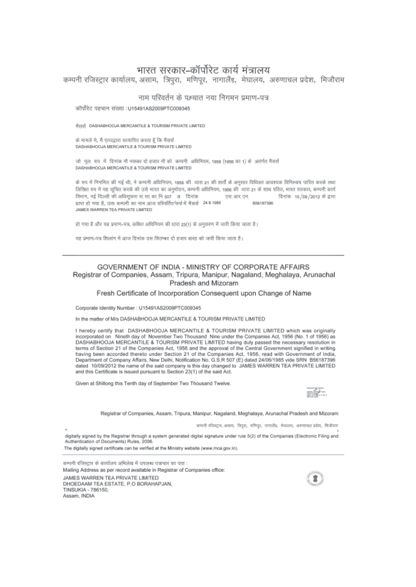## भारत सरकार–कॉर्पोरेट कार्य मंत्रालय

कम्पनी रजिस्टार कार्यालय, असाम, त्रिपुरा, मणिपुर, नागालैंड, मेघालय, अरुणाचल प्रदेश, मिजौराम

#### नाम परिवर्तन के पश्चात नया निगमन प्रमाण-पत्र

कॉर्पोरेट पहचान संख्या :U15491AS2009PTC009345

मैसर्स DASHABHOOJA MERCANTILE & TOURISM PRIVATE LIMITED

के मामले मे, मैं एतदद्वारा सत्यापित करता हूँ कि मैसर्स DASHABHOOJA MERCANTILE & TOURISM PRIVATE LIMITED

जो मूल रुप में दिनांक नौ नवम्बर दो हजार नौ को कम्पनी अधिनियम, 1956 (1956 का 1) के अतंर्गत मैसर्स DASHABHOOJA MERCANTILE & TOURISM PRIVATE LIMITED

के रुप में निगमित की गई थी, ने कम्पनी अधिनियम, 1956 की धारा 21 की शर्तों के अनसार विधिवत आवश्यक विनिश्चय पारित करके तथा लिखित रुप में यह सुचित करके की उसे भारत का अनुमोदन, कम्पनी अधिनियम, 1966 की धारा 21 के साथ पठित, भारत सरकार, कम्पनी कार्य विभाग, नई दिल्ली की अधिसूचना सं सा का नि 507 अधिनांक एस.आर.एन. दिनांक 10/09/2012 के द्वारा प्राप्त हो गया है, उक्त कम्पनी का नाम आज परिवर्तित फंप्प्रे में मैसर्स 24.6.1985 B56187396 JAMES WARREN TEA PRIVATE LIMITED

हो गया है और वह प्रमाण-पन्न, कथित अधिनियम की धारा 23(1) के अनुसरण में जारी किया जाता है।

यह प्रमाण-पत्र शिलांग में आज दिनांक दस सितम्बर दो हजार बारह को जारी किया जाता है।

#### GOVERNMENT OF INDIA - MINISTRY OF CORPORATE AFFAIRS Registrar of Companies, Assam, Tripura, Manipur, Nagaland, Meghalaya, Arunachal Pradesh and Mizoram

Fresh Certificate of Incorporation Consequent upon Change of Name

Corporate Identity Number : U15491AS2009PTC009345

In the matter of M/s DASHABHOOJA MERCANTILE & TOURISM PRIVATE LIMITED

I hereby certify that DASHABHOOJA MERCANTILE & TOURISM PRIVATE LIMITED which was originally incorporated on Nineth day of November Two Thousand Nine under the Companies Act, 1956 (No. 1 of 1956) as DASHABHOOJA MERCANTILE & TOURISM PRIVATE LIMITED having duly passed the necessary resolution in terms of Section 21 of the Companies Act, 1956 and the approval of the Central Government signified in writing having been accorded thereto under Section 21 of the Companies Act, 1956, read with Government of India, Department of Company Affairs, New Delhi, Notification No. G.S.R 507 (E) dated 24/06/1985 vide SRN B56187396 dated 10/09/2012 the name of the said company is this day changed to JAMES WARREN TEA PRIVATE LIMITED and this Certificate is issued pursuant to Section 23(1) of the said Act.

Given at Shillong this Tenth day of September Two Thousand Twelve.



Registrar of Companies, Assam, Tripura, Manipur, Nagaland, Meghalaya, Arunachal Pradesh and Mizoram

कम्पनी रपिस्ट्रार, असान, त्रिपुरा, मणिपुर, नागालैंड, मेघालय, अरुणाचल प्रदेश, मिजीराम

digitally signed by the Registrar through a system generated digital signature under rule 5(2) of the Companies (Electronic Filing and Authentication of Documents) Rules, 2006.

The digitally signed certificate can be verified at the Ministry website (www.mca.gov.in).

कम्पनी रजिस्ट्रार के कार्यालय अभिलेख में उपलब्ध पत्राचार का पता : Mailing Address as per record available in Registrar of Companies office: JAMES WARREN TEA PRIVATE LIMITED DHOEDAAM TEA ESTATE, P.O BORAHAPJAN, TINSUKIA - 786150, Assam, INDIA

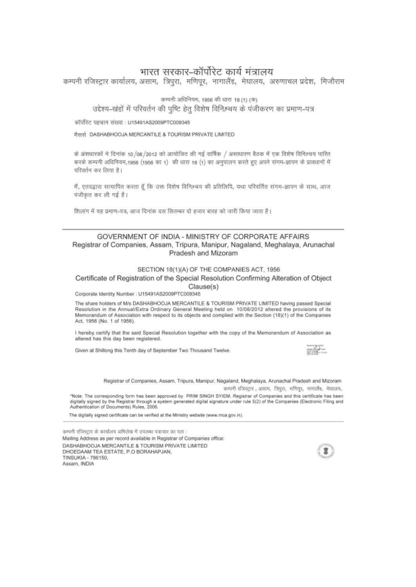## भारत सरकार-कॉर्पोरेट कार्य मंत्रालय

कम्पनी रजिस्ट्रार कार्यालय, असाम, त्रिपुरा, मणिपुर, नागालैंड, मेघालय, अरुणाचल प्रदेश, मिजौराम

कम्पनी अधिनियम, 1956 की धारा 18 (1) (क)

उद्देश्य-खंडों में परिवर्तन की पुष्टि हेतु विशेष विनिश्चय के पंजीकरण का प्रमाण-पत्र

कॉर्पोरेट पहचान संख्या : U15491AS2009PTC009345

मैसर्स DASHABHOOJA MERCANTILE & TOURISM PRIVATE LIMITED

के अंशधारकों ने दिनांक 10/08/2012 को आयोजित की गई वार्षिक / असाधारण बैठक में एक विशेष विनिश्चय पारित करके कम्पनी अधिनियम,1956 (1956 का 1) की धारा 18 (1) का अनुपालन करते हुए अपने संगम-ज्ञापन के प्रावधानों में परिवर्तन कर लिया है।

मैं, एतदद्वारा सत्यापित करता हूँ कि उक्त विशेष विनिश्चय की प्रतिलिपि, यथा परिवर्तित संगम-ज्ञापन के साथ, आज पंजीकृत कर ली गई है।

शिलांग में यह प्रमाण-पत्र, आज दिनांक दस सितम्बर दो हजार बारह को जारी किया जाता है।

#### GOVERNMENT OF INDIA - MINISTRY OF CORPORATE AFFAIRS Registrar of Companies, Assam, Tripura, Manipur, Nagaland, Meghalaya, Arunachal Pradesh and Mizoram

#### SECTION 18(1)(A) OF THE COMPANIES ACT, 1956

#### Certificate of Registration of the Special Resolution Confirming Alteration of Object Clause(s)

Corporate Identity Number : U15491AS2009PTC009345

The share holders of M/s DASHABHOOJA MERCANTILE & TOURISM PRIVATE LIMITED having passed Special Resolution in the Annual/Extra Ordinary General Meeting held on 10/08/2012 altered the provisions of its Memorandum of Association with respect to its objects and complied with the Section (18)(1) of the Companies Act, 1956 (No. 1 of 1956).

I hereby certify that the said Special Resolution together with the copy of the Memorandum of Association as altered has this day been registered.

Given at Shillong this Tenth day of September Two Thousand Twelve.



Registrar of Companies, Assam, Tripura, Manipur, Nagaland, Meghalaya, Arunachal Pradesh and Mizoram

कम्पनी रजिस्ट्रार , असाम, त्रिपुरा, मणिपूर, नागालैंड, मेघालय, \*Note: The corresponding form has been approved by PRIM SINGH SYIEM, Registrar of Companies and this certificate has been<br>digitally signed by the Registrar through a system generated digital signature under rule 5(2) of th Authentication of Documents) Rules, 2006.

The digitally signed certificate can be verified at the Ministry website (www.mca.gov.in).

कम्पनी रजिस्ट्रार के कार्यालय अभिलेख में उपलब्ध पत्राचार का पता : Mailing Address as per record available in Registrar of Companies office: DASHABHOOJA MERCANTILE & TOURISM PRIVATE LIMITED DHOEDAAM TEA ESTATE, P.O BORAHAPJAN, TINSUKIA - 786150, Assam, INDIA

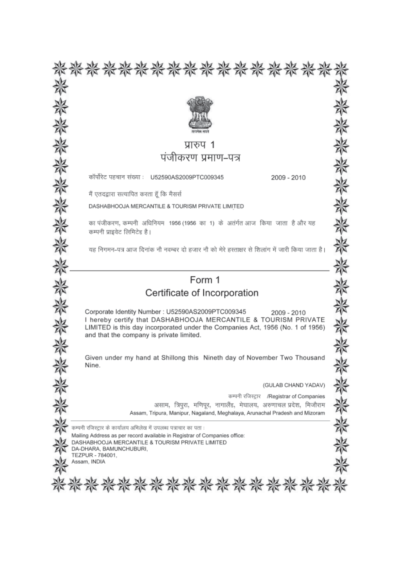| 紫紫紫紫紫紫紫紫紫紫紫紫紫                                                                                                                                                                                                       |  |  |  |  |
|---------------------------------------------------------------------------------------------------------------------------------------------------------------------------------------------------------------------|--|--|--|--|
|                                                                                                                                                                                                                     |  |  |  |  |
|                                                                                                                                                                                                                     |  |  |  |  |
|                                                                                                                                                                                                                     |  |  |  |  |
| प्रारुप 1                                                                                                                                                                                                           |  |  |  |  |
| पंजीकरण प्रमाण–पत्र                                                                                                                                                                                                 |  |  |  |  |
| कॉर्पोरेट पहचान संख्या : U52590AS2009PTC009345<br>2009 - 2010                                                                                                                                                       |  |  |  |  |
| मैं एतदद्वारा सत्यापित करता हूँ कि मैसर्स                                                                                                                                                                           |  |  |  |  |
| DASHABHOOJA MERCANTILE & TOURISM PRIVATE LIMITED                                                                                                                                                                    |  |  |  |  |
| का पंजीकरण, कम्पनी अधिनियम 1956 (1956 का 1) के अतंर्गत आज किया जाता है और यह<br>कम्पनी प्राइवेट लिमिटेड है।                                                                                                         |  |  |  |  |
| यह निगमन-पत्र आज दिनांक नौ नवम्बर दो हजार नौ को मेरे हस्ताक्षर से शिलांग में जारी किया जाता है।                                                                                                                     |  |  |  |  |
|                                                                                                                                                                                                                     |  |  |  |  |
| Form 1                                                                                                                                                                                                              |  |  |  |  |
| Certificate of Incorporation                                                                                                                                                                                        |  |  |  |  |
| Corporate Identity Number: U52590AS2009PTC009345<br>2009 - 2010<br>I hereby certify that DASHABHOOJA MERCANTILE & TOURISM PRIVATE<br>LIMITED is this day incorporated under the Companies Act, 1956 (No. 1 of 1956) |  |  |  |  |
| and that the company is private limited.                                                                                                                                                                            |  |  |  |  |
| Given under my hand at Shillong this Nineth day of November Two Thousand<br>Nine.                                                                                                                                   |  |  |  |  |
| (GULAB CHAND YADAV)                                                                                                                                                                                                 |  |  |  |  |
| कम्पनी रजिस्ट्रार /Registrar of Companies<br>असाम, त्रिपुरा, मणिपूर, नागालैंड, मेघालय, अरुणाचल प्रदेश, मिजौराम<br>Assam, Tripura, Manipur, Nagaland, Meghalaya, Arunachal Pradesh and Mizoram                       |  |  |  |  |
| कम्पनी रजिस्ट्रार के कार्यालय अभिलेख में उपलब्ध पत्राचार का पता :                                                                                                                                                   |  |  |  |  |
| Mailing Address as per record available in Registrar of Companies office:<br>DASHABHOOJA MERCANTILE & TOURISM PRIVATE LIMITED<br>DA-DHARA, BAMUNCHUBURI,<br>TEZPUR - 784001.                                        |  |  |  |  |
| Assam, INDIA                                                                                                                                                                                                        |  |  |  |  |
|                                                                                                                                                                                                                     |  |  |  |  |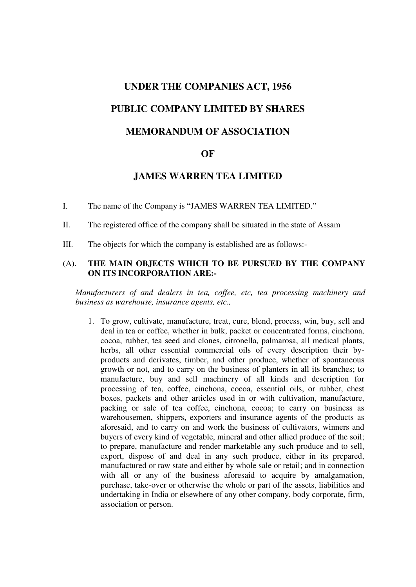# **UNDER THE COMPANIES ACT, 1956 PUBLIC COMPANY LIMITED BY SHARES MEMORANDUM OF ASSOCIATION**

## **OF**

## **JAMES WARREN TEA LIMITED**

I. The name of the Company is "JAMES WARREN TEA LIMITED."

II. The registered office of the company shall be situated in the state of Assam

III. The objects for which the company is established are as follows:-

## (A). **THE MAIN OBJECTS WHICH TO BE PURSUED BY THE COMPANY ON ITS INCORPORATION ARE:-**

*Manufacturers of and dealers in tea, coffee, etc, tea processing machinery and business as warehouse, insurance agents, etc.,* 

1. To grow, cultivate, manufacture, treat, cure, blend, process, win, buy, sell and deal in tea or coffee, whether in bulk, packet or concentrated forms, cinchona, cocoa, rubber, tea seed and clones, citronella, palmarosa, all medical plants, herbs, all other essential commercial oils of every description their byproducts and derivates, timber, and other produce, whether of spontaneous growth or not, and to carry on the business of planters in all its branches; to manufacture, buy and sell machinery of all kinds and description for processing of tea, coffee, cinchona, cocoa, essential oils, or rubber, chest boxes, packets and other articles used in or with cultivation, manufacture, packing or sale of tea coffee, cinchona, cocoa; to carry on business as warehousemen, shippers, exporters and insurance agents of the products as aforesaid, and to carry on and work the business of cultivators, winners and buyers of every kind of vegetable, mineral and other allied produce of the soil; to prepare, manufacture and render marketable any such produce and to sell, export, dispose of and deal in any such produce, either in its prepared, manufactured or raw state and either by whole sale or retail; and in connection with all or any of the business aforesaid to acquire by amalgamation, purchase, take-over or otherwise the whole or part of the assets, liabilities and undertaking in India or elsewhere of any other company, body corporate, firm, association or person.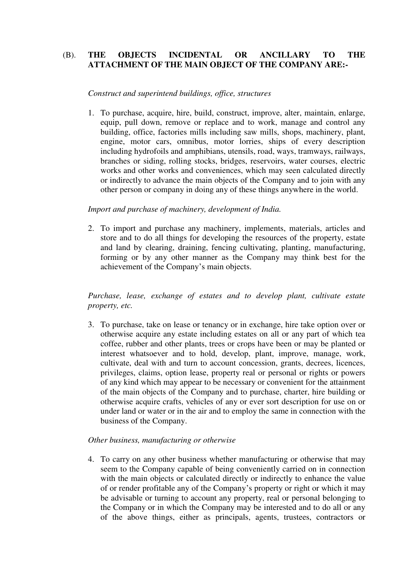## (B). **THE OBJECTS INCIDENTAL OR ANCILLARY TO THE ATTACHMENT OF THE MAIN OBJECT OF THE COMPANY ARE:-**

## *Construct and superintend buildings, office, structures*

1. To purchase, acquire, hire, build, construct, improve, alter, maintain, enlarge, equip, pull down, remove or replace and to work, manage and control any building, office, factories mills including saw mills, shops, machinery, plant, engine, motor cars, omnibus, motor lorries, ships of every description including hydrofoils and amphibians, utensils, road, ways, tramways, railways, branches or siding, rolling stocks, bridges, reservoirs, water courses, electric works and other works and conveniences, which may seen calculated directly or indirectly to advance the main objects of the Company and to join with any other person or company in doing any of these things anywhere in the world.

## *Import and purchase of machinery, development of India.*

2. To import and purchase any machinery, implements, materials, articles and store and to do all things for developing the resources of the property, estate and land by clearing, draining, fencing cultivating, planting, manufacturing, forming or by any other manner as the Company may think best for the achievement of the Company's main objects.

*Purchase, lease, exchange of estates and to develop plant, cultivate estate property, etc.* 

3. To purchase, take on lease or tenancy or in exchange, hire take option over or otherwise acquire any estate including estates on all or any part of which tea coffee, rubber and other plants, trees or crops have been or may be planted or interest whatsoever and to hold, develop, plant, improve, manage, work, cultivate, deal with and turn to account concession, grants, decrees, licences, privileges, claims, option lease, property real or personal or rights or powers of any kind which may appear to be necessary or convenient for the attainment of the main objects of the Company and to purchase, charter, hire building or otherwise acquire crafts, vehicles of any or ever sort description for use on or under land or water or in the air and to employ the same in connection with the business of the Company.

## *Other business, manufacturing or otherwise*

4. To carry on any other business whether manufacturing or otherwise that may seem to the Company capable of being conveniently carried on in connection with the main objects or calculated directly or indirectly to enhance the value of or render profitable any of the Company's property or right or which it may be advisable or turning to account any property, real or personal belonging to the Company or in which the Company may be interested and to do all or any of the above things, either as principals, agents, trustees, contractors or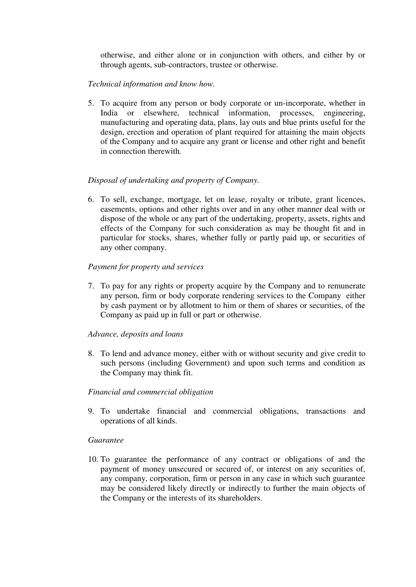otherwise, and either alone or in conjunction with others, and either by or through agents, sub-contractors, trustee or otherwise.

## *Technical information and know how.*

5. To acquire from any person or body corporate or un-incorporate, whether in India or elsewhere, technical information, processes, engineering, manufacturing and operating data, plans, lay outs and blue prints useful for the design, erection and operation of plant required for attaining the main objects of the Company and to acquire any grant or license and other right and benefit in connection therewith.

## *Disposal of undertaking and property of Company.*

6. To sell, exchange, mortgage, let on lease, royalty or tribute, grant licences, easements, options and other rights over and in any other manner deal with or dispose of the whole or any part of the undertaking, property, assets, rights and effects of the Company for such consideration as may be thought fit and in particular for stocks, shares, whether fully or partly paid up, or securities of any other company.

## *Payment for property and services*

7. To pay for any rights or property acquire by the Company and to remunerate any person, firm or body corporate rendering services to the Company either by cash payment or by allotment to him or them of shares or securities, of the Company as paid up in full or part or otherwise.

## *Advance, deposits and loans*

8. To lend and advance money, either with or without security and give credit to such persons (including Government) and upon such terms and condition as the Company may think fit.

## *Financial and commercial obligation*

9. To undertake financial and commercial obligations, transactions and operations of all kinds.

## *Guarantee*

10. To guarantee the performance of any contract or obligations of and the payment of money unsecured or secured of, or interest on any securities of, any company, corporation, firm or person in any case in which such guarantee may be considered likely directly or indirectly to further the main objects of the Company or the interests of its shareholders.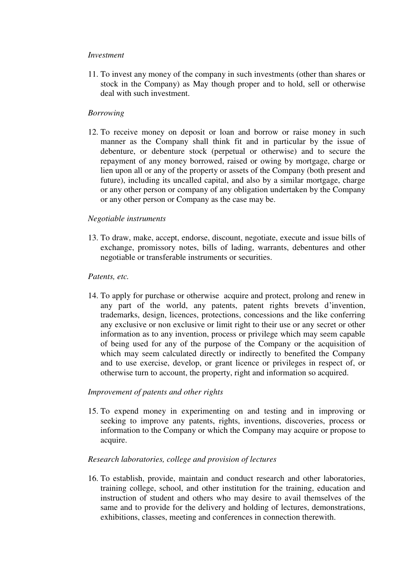## *Investment*

11. To invest any money of the company in such investments (other than shares or stock in the Company) as May though proper and to hold, sell or otherwise deal with such investment.

## *Borrowing*

12. To receive money on deposit or loan and borrow or raise money in such manner as the Company shall think fit and in particular by the issue of debenture, or debenture stock (perpetual or otherwise) and to secure the repayment of any money borrowed, raised or owing by mortgage, charge or lien upon all or any of the property or assets of the Company (both present and future), including its uncalled capital, and also by a similar mortgage, charge or any other person or company of any obligation undertaken by the Company or any other person or Company as the case may be.

## *Negotiable instruments*

13. To draw, make, accept, endorse, discount, negotiate, execute and issue bills of exchange, promissory notes, bills of lading, warrants, debentures and other negotiable or transferable instruments or securities.

#### *Patents, etc.*

14. To apply for purchase or otherwise acquire and protect, prolong and renew in any part of the world, any patents, patent rights brevets d'invention, trademarks, design, licences, protections, concessions and the like conferring any exclusive or non exclusive or limit right to their use or any secret or other information as to any invention, process or privilege which may seem capable of being used for any of the purpose of the Company or the acquisition of which may seem calculated directly or indirectly to benefited the Company and to use exercise, develop, or grant licence or privileges in respect of, or otherwise turn to account, the property, right and information so acquired.

## *Improvement of patents and other rights*

15. To expend money in experimenting on and testing and in improving or seeking to improve any patents, rights, inventions, discoveries, process or information to the Company or which the Company may acquire or propose to acquire.

## *Research laboratories, college and provision of lectures*

16. To establish, provide, maintain and conduct research and other laboratories, training college, school, and other institution for the training, education and instruction of student and others who may desire to avail themselves of the same and to provide for the delivery and holding of lectures, demonstrations, exhibitions, classes, meeting and conferences in connection therewith.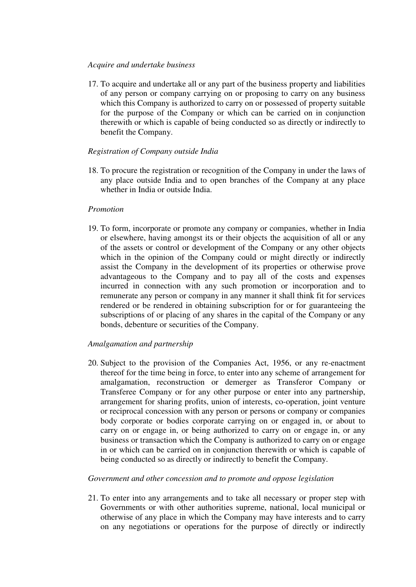## *Acquire and undertake business*

17. To acquire and undertake all or any part of the business property and liabilities of any person or company carrying on or proposing to carry on any business which this Company is authorized to carry on or possessed of property suitable for the purpose of the Company or which can be carried on in conjunction therewith or which is capable of being conducted so as directly or indirectly to benefit the Company.

## *Registration of Company outside India*

18. To procure the registration or recognition of the Company in under the laws of any place outside India and to open branches of the Company at any place whether in India or outside India.

## *Promotion*

19. To form, incorporate or promote any company or companies, whether in India or elsewhere, having amongst its or their objects the acquisition of all or any of the assets or control or development of the Company or any other objects which in the opinion of the Company could or might directly or indirectly assist the Company in the development of its properties or otherwise prove advantageous to the Company and to pay all of the costs and expenses incurred in connection with any such promotion or incorporation and to remunerate any person or company in any manner it shall think fit for services rendered or be rendered in obtaining subscription for or for guaranteeing the subscriptions of or placing of any shares in the capital of the Company or any bonds, debenture or securities of the Company.

## *Amalgamation and partnership*

20. Subject to the provision of the Companies Act, 1956, or any re-enactment thereof for the time being in force, to enter into any scheme of arrangement for amalgamation, reconstruction or demerger as Transferor Company or Transferee Company or for any other purpose or enter into any partnership, arrangement for sharing profits, union of interests, co-operation, joint venture or reciprocal concession with any person or persons or company or companies body corporate or bodies corporate carrying on or engaged in, or about to carry on or engage in, or being authorized to carry on or engage in, or any business or transaction which the Company is authorized to carry on or engage in or which can be carried on in conjunction therewith or which is capable of being conducted so as directly or indirectly to benefit the Company.

## *Government and other concession and to promote and oppose legislation*

21. To enter into any arrangements and to take all necessary or proper step with Governments or with other authorities supreme, national, local municipal or otherwise of any place in which the Company may have interests and to carry on any negotiations or operations for the purpose of directly or indirectly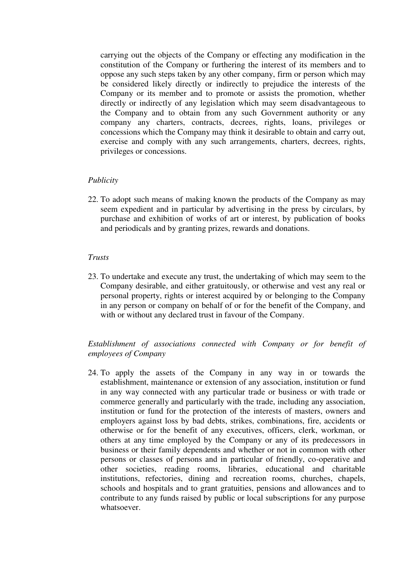carrying out the objects of the Company or effecting any modification in the constitution of the Company or furthering the interest of its members and to oppose any such steps taken by any other company, firm or person which may be considered likely directly or indirectly to prejudice the interests of the Company or its member and to promote or assists the promotion, whether directly or indirectly of any legislation which may seem disadvantageous to the Company and to obtain from any such Government authority or any company any charters, contracts, decrees, rights, loans, privileges or concessions which the Company may think it desirable to obtain and carry out, exercise and comply with any such arrangements, charters, decrees, rights, privileges or concessions.

## *Publicity*

22. To adopt such means of making known the products of the Company as may seem expedient and in particular by advertising in the press by circulars, by purchase and exhibition of works of art or interest, by publication of books and periodicals and by granting prizes, rewards and donations.

## *Trusts*

23. To undertake and execute any trust, the undertaking of which may seem to the Company desirable, and either gratuitously, or otherwise and vest any real or personal property, rights or interest acquired by or belonging to the Company in any person or company on behalf of or for the benefit of the Company, and with or without any declared trust in favour of the Company.

## *Establishment of associations connected with Company or for benefit of employees of Company*

24. To apply the assets of the Company in any way in or towards the establishment, maintenance or extension of any association, institution or fund in any way connected with any particular trade or business or with trade or commerce generally and particularly with the trade, including any association, institution or fund for the protection of the interests of masters, owners and employers against loss by bad debts, strikes, combinations, fire, accidents or otherwise or for the benefit of any executives, officers, clerk, workman, or others at any time employed by the Company or any of its predecessors in business or their family dependents and whether or not in common with other persons or classes of persons and in particular of friendly, co-operative and other societies, reading rooms, libraries, educational and charitable institutions, refectories, dining and recreation rooms, churches, chapels, schools and hospitals and to grant gratuities, pensions and allowances and to contribute to any funds raised by public or local subscriptions for any purpose whatsoever.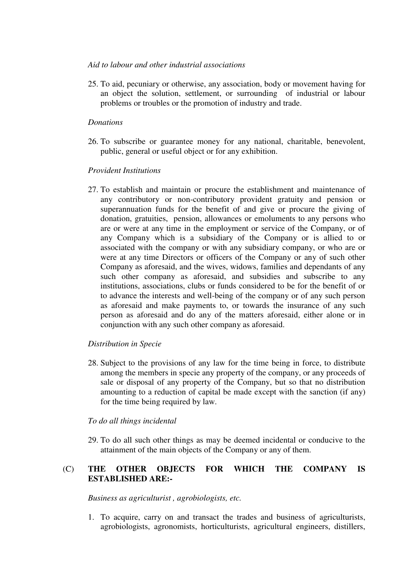## *Aid to labour and other industrial associations*

25. To aid, pecuniary or otherwise, any association, body or movement having for an object the solution, settlement, or surrounding of industrial or labour problems or troubles or the promotion of industry and trade.

## *Donations*

26. To subscribe or guarantee money for any national, charitable, benevolent, public, general or useful object or for any exhibition.

## *Provident Institutions*

27. To establish and maintain or procure the establishment and maintenance of any contributory or non-contributory provident gratuity and pension or superannuation funds for the benefit of and give or procure the giving of donation, gratuities, pension, allowances or emoluments to any persons who are or were at any time in the employment or service of the Company, or of any Company which is a subsidiary of the Company or is allied to or associated with the company or with any subsidiary company, or who are or were at any time Directors or officers of the Company or any of such other Company as aforesaid, and the wives, widows, families and dependants of any such other company as aforesaid, and subsidies and subscribe to any institutions, associations, clubs or funds considered to be for the benefit of or to advance the interests and well-being of the company or of any such person as aforesaid and make payments to, or towards the insurance of any such person as aforesaid and do any of the matters aforesaid, either alone or in conjunction with any such other company as aforesaid.

## *Distribution in Specie*

28. Subject to the provisions of any law for the time being in force, to distribute among the members in specie any property of the company, or any proceeds of sale or disposal of any property of the Company, but so that no distribution amounting to a reduction of capital be made except with the sanction (if any) for the time being required by law.

## *To do all things incidental*

29. To do all such other things as may be deemed incidental or conducive to the attainment of the main objects of the Company or any of them.

## (C) **THE OTHER OBJECTS FOR WHICH THE COMPANY IS ESTABLISHED ARE:-**

*Business as agriculturist , agrobiologists, etc.* 

1. To acquire, carry on and transact the trades and business of agriculturists, agrobiologists, agronomists, horticulturists, agricultural engineers, distillers,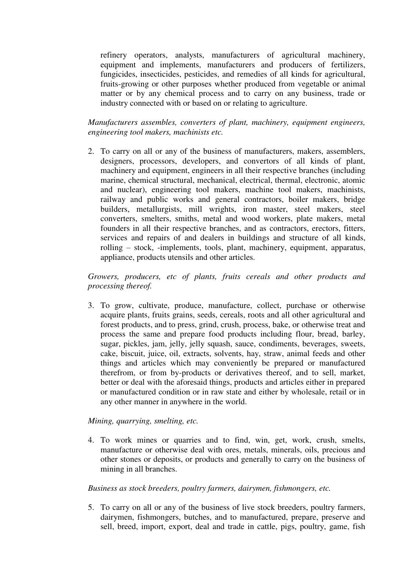refinery operators, analysts, manufacturers of agricultural machinery, equipment and implements, manufacturers and producers of fertilizers, fungicides, insecticides, pesticides, and remedies of all kinds for agricultural, fruits-growing or other purposes whether produced from vegetable or animal matter or by any chemical process and to carry on any business, trade or industry connected with or based on or relating to agriculture.

*Manufacturers assembles, converters of plant, machinery, equipment engineers, engineering tool makers, machinists etc.* 

2. To carry on all or any of the business of manufacturers, makers, assemblers, designers, processors, developers, and convertors of all kinds of plant, machinery and equipment, engineers in all their respective branches (including marine, chemical structural, mechanical, electrical, thermal, electronic, atomic and nuclear), engineering tool makers, machine tool makers, machinists, railway and public works and general contractors, boiler makers, bridge builders, metallurgists, mill wrights, iron master, steel makers, steel converters, smelters, smiths, metal and wood workers, plate makers, metal founders in all their respective branches, and as contractors, erectors, fitters, services and repairs of and dealers in buildings and structure of all kinds, rolling – stock, -implements, tools, plant, machinery, equipment, apparatus, appliance, products utensils and other articles.

*Growers, producers, etc of plants, fruits cereals and other products and processing thereof.* 

3. To grow, cultivate, produce, manufacture, collect, purchase or otherwise acquire plants, fruits grains, seeds, cereals, roots and all other agricultural and forest products, and to press, grind, crush, process, bake, or otherwise treat and process the same and prepare food products including flour, bread, barley, sugar, pickles, jam, jelly, jelly squash, sauce, condiments, beverages, sweets, cake, biscuit, juice, oil, extracts, solvents, hay, straw, animal feeds and other things and articles which may conveniently be prepared or manufactured therefrom, or from by-products or derivatives thereof, and to sell, market, better or deal with the aforesaid things, products and articles either in prepared or manufactured condition or in raw state and either by wholesale, retail or in any other manner in anywhere in the world.

## *Mining, quarrying, smelting, etc.*

4. To work mines or quarries and to find, win, get, work, crush, smelts, manufacture or otherwise deal with ores, metals, minerals, oils, precious and other stones or deposits, or products and generally to carry on the business of mining in all branches.

## *Business as stock breeders, poultry farmers, dairymen, fishmongers, etc.*

5. To carry on all or any of the business of live stock breeders, poultry farmers, dairymen, fishmongers, butches, and to manufactured, prepare, preserve and sell, breed, import, export, deal and trade in cattle, pigs, poultry, game, fish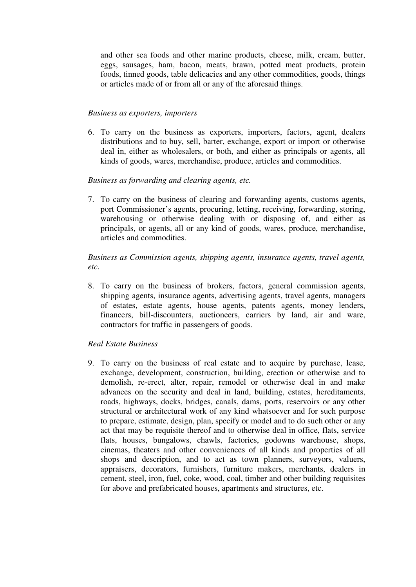and other sea foods and other marine products, cheese, milk, cream, butter, eggs, sausages, ham, bacon, meats, brawn, potted meat products, protein foods, tinned goods, table delicacies and any other commodities, goods, things or articles made of or from all or any of the aforesaid things.

## *Business as exporters, importers*

6. To carry on the business as exporters, importers, factors, agent, dealers distributions and to buy, sell, barter, exchange, export or import or otherwise deal in, either as wholesalers, or both, and either as principals or agents, all kinds of goods, wares, merchandise, produce, articles and commodities.

## *Business as forwarding and clearing agents, etc.*

7. To carry on the business of clearing and forwarding agents, customs agents, port Commissioner's agents, procuring, letting, receiving, forwarding, storing, warehousing or otherwise dealing with or disposing of, and either as principals, or agents, all or any kind of goods, wares, produce, merchandise, articles and commodities.

## *Business as Commission agents, shipping agents, insurance agents, travel agents, etc.*

8. To carry on the business of brokers, factors, general commission agents, shipping agents, insurance agents, advertising agents, travel agents, managers of estates, estate agents, house agents, patents agents, money lenders, financers, bill-discounters, auctioneers, carriers by land, air and ware, contractors for traffic in passengers of goods.

## *Real Estate Business*

9. To carry on the business of real estate and to acquire by purchase, lease, exchange, development, construction, building, erection or otherwise and to demolish, re-erect, alter, repair, remodel or otherwise deal in and make advances on the security and deal in land, building, estates, hereditaments, roads, highways, docks, bridges, canals, dams, ports, reservoirs or any other structural or architectural work of any kind whatsoever and for such purpose to prepare, estimate, design, plan, specify or model and to do such other or any act that may be requisite thereof and to otherwise deal in office, flats, service flats, houses, bungalows, chawls, factories, godowns warehouse, shops, cinemas, theaters and other conveniences of all kinds and properties of all shops and description, and to act as town planners, surveyors, valuers, appraisers, decorators, furnishers, furniture makers, merchants, dealers in cement, steel, iron, fuel, coke, wood, coal, timber and other building requisites for above and prefabricated houses, apartments and structures, etc.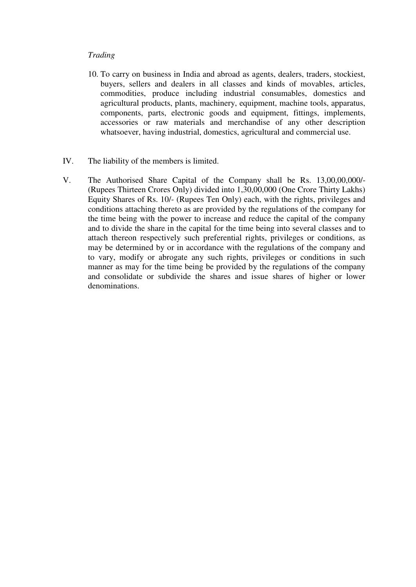## *Trading*

- 10. To carry on business in India and abroad as agents, dealers, traders, stockiest, buyers, sellers and dealers in all classes and kinds of movables, articles, commodities, produce including industrial consumables, domestics and agricultural products, plants, machinery, equipment, machine tools, apparatus, components, parts, electronic goods and equipment, fittings, implements, accessories or raw materials and merchandise of any other description whatsoever, having industrial, domestics, agricultural and commercial use.
- IV. The liability of the members is limited.
- V. The Authorised Share Capital of the Company shall be Rs. 13,00,00,000/- (Rupees Thirteen Crores Only) divided into 1,30,00,000 (One Crore Thirty Lakhs) Equity Shares of Rs. 10/- (Rupees Ten Only) each, with the rights, privileges and conditions attaching thereto as are provided by the regulations of the company for the time being with the power to increase and reduce the capital of the company and to divide the share in the capital for the time being into several classes and to attach thereon respectively such preferential rights, privileges or conditions, as may be determined by or in accordance with the regulations of the company and to vary, modify or abrogate any such rights, privileges or conditions in such manner as may for the time being be provided by the regulations of the company and consolidate or subdivide the shares and issue shares of higher or lower denominations.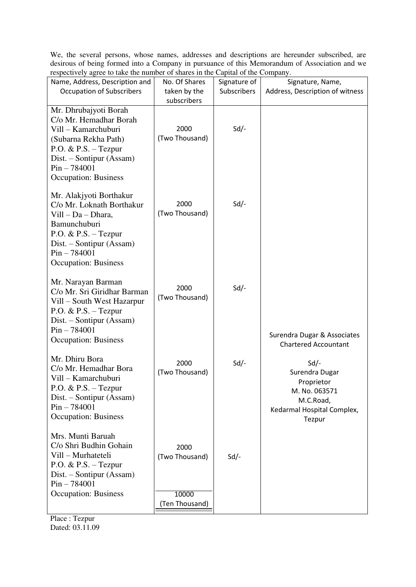We, the several persons, whose names, addresses and descriptions are hereunder subscribed, are desirous of being formed into a Company in pursuance of this Memorandum of Association and we respectively agree to take the number of shares in the Capital of the Company.

| Name, Address, Description and                                                                                                                                                                  | No. Of Shares                   | Signature of | Signature, Name,                                                                                             |
|-------------------------------------------------------------------------------------------------------------------------------------------------------------------------------------------------|---------------------------------|--------------|--------------------------------------------------------------------------------------------------------------|
| <b>Occupation of Subscribers</b>                                                                                                                                                                | taken by the                    | Subscribers  | Address, Description of witness                                                                              |
|                                                                                                                                                                                                 | subscribers                     |              |                                                                                                              |
|                                                                                                                                                                                                 |                                 |              |                                                                                                              |
| Mr. Dhrubajyoti Borah<br>C/o Mr. Hemadhar Borah<br>Vill - Kamarchuburi<br>(Subarna Rekha Path)<br>$P.O. \& P.S. - Tezpur$<br>$Dist. - Sontipur (Assam)$                                         | 2000<br>(Two Thousand)          | $Sd$ -       |                                                                                                              |
| $Pin - 784001$<br><b>Occupation: Business</b>                                                                                                                                                   |                                 |              |                                                                                                              |
| Mr. Alakjyoti Borthakur<br>C/o Mr. Loknath Borthakur<br>Vill - Da - Dhara,<br>Bamunchuburi<br>P.O. & P.S. - Tezpur<br>Dist. – Sontipur (Assam)<br>$Pin - 784001$<br><b>Occupation: Business</b> | 2000<br>(Two Thousand)          | $Sd$ -       |                                                                                                              |
| Mr. Narayan Barman<br>C/o Mr. Sri Giridhar Barman<br>Vill – South West Hazarpur<br>$P.O. \& P.S. - Tezpur$<br>Dist. – Sontipur (Assam)<br>$Pin - 784001$<br><b>Occupation: Business</b>         | 2000<br>(Two Thousand)          | $Sd$ -       | Surendra Dugar & Associates<br><b>Chartered Accountant</b>                                                   |
| Mr. Dhiru Bora<br>C/o Mr. Hemadhar Bora<br>Vill - Kamarchuburi<br>P.O. & P.S. $-$ Tezpur<br>Dist. – Sontipur (Assam)<br>$Pin - 784001$<br><b>Occupation: Business</b>                           | 2000<br>(Two Thousand)          | $Sd$ -       | $Sd$ -<br>Surendra Dugar<br>Proprietor<br>M. No. 063571<br>M.C.Road,<br>Kedarmal Hospital Complex,<br>Tezpur |
| Mrs. Munti Baruah<br>C/o Shri Budhin Gohain<br>Vill - Murhateteli<br>P.O. & P.S. - Tezpur<br>$Dist. - Sontipur (Assam)$<br>$Pin - 784001$<br><b>Occupation: Business</b>                        | 2000<br>(Two Thousand)<br>10000 | Sd           |                                                                                                              |
|                                                                                                                                                                                                 | (Ten Thousand)                  |              |                                                                                                              |

Place : Tezpur Dated: 03.11.09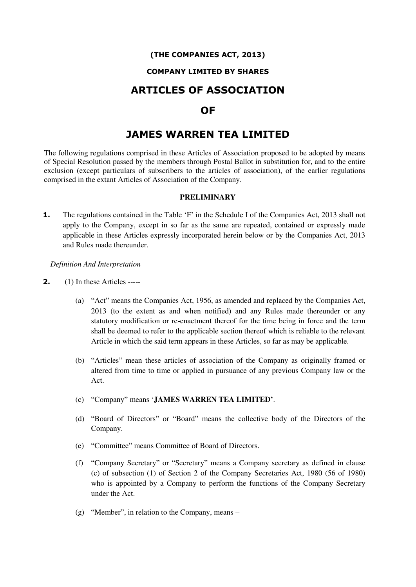## **(THE COMPANIES ACT, 2013)**

## **COMPANY LIMITED BY SHARES**

## **ARTICLES OF ASSOCIATION**

## **OF**

## **JAMES WARREN TEA LIMITED**

The following regulations comprised in these Articles of Association proposed to be adopted by means of Special Resolution passed by the members through Postal Ballot in substitution for, and to the entire exclusion (except particulars of subscribers to the articles of association), of the earlier regulations comprised in the extant Articles of Association of the Company.

#### **PRELIMINARY**

**1.** The regulations contained in the Table 'F' in the Schedule I of the Companies Act, 2013 shall not apply to the Company, except in so far as the same are repeated, contained or expressly made applicable in these Articles expressly incorporated herein below or by the Companies Act, 2013 and Rules made thereunder.

*Definition And Interpretation* 

- **2.** (1) In these Articles -----
	- (a) "Act" means the Companies Act, 1956, as amended and replaced by the Companies Act, 2013 (to the extent as and when notified) and any Rules made thereunder or any statutory modification or re-enactment thereof for the time being in force and the term shall be deemed to refer to the applicable section thereof which is reliable to the relevant Article in which the said term appears in these Articles, so far as may be applicable.
	- (b) "Articles" mean these articles of association of the Company as originally framed or altered from time to time or applied in pursuance of any previous Company law or the Act.
	- (c) "Company" means '**JAMES WARREN TEA LIMITED'**.
	- (d) "Board of Directors" or "Board" means the collective body of the Directors of the Company.
	- (e) "Committee" means Committee of Board of Directors.
	- (f) "Company Secretary" or "Secretary" means a Company secretary as defined in clause (c) of subsection (1) of Section 2 of the Company Secretaries Act, 1980 (56 of 1980) who is appointed by a Company to perform the functions of the Company Secretary under the Act.
	- (g) "Member", in relation to the Company, means –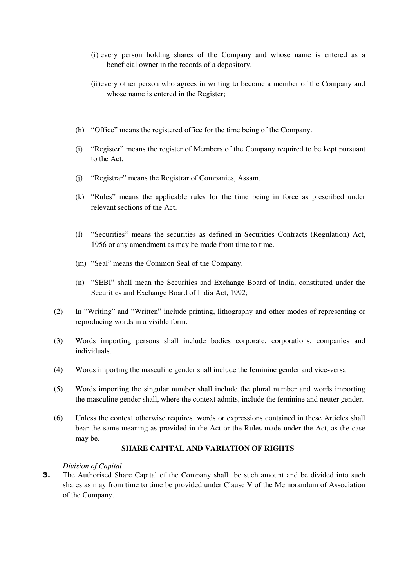- (i) every person holding shares of the Company and whose name is entered as a beneficial owner in the records of a depository.
- (ii)every other person who agrees in writing to become a member of the Company and whose name is entered in the Register;
- (h) "Office" means the registered office for the time being of the Company.
- (i) "Register" means the register of Members of the Company required to be kept pursuant to the Act.
- (j) "Registrar" means the Registrar of Companies, Assam.
- (k) "Rules" means the applicable rules for the time being in force as prescribed under relevant sections of the Act.
- (l) "Securities" means the securities as defined in Securities Contracts (Regulation) Act, 1956 or any amendment as may be made from time to time.
- (m) "Seal" means the Common Seal of the Company.
- (n) "SEBI" shall mean the Securities and Exchange Board of India, constituted under the Securities and Exchange Board of India Act, 1992;
- (2) In "Writing" and "Written" include printing, lithography and other modes of representing or reproducing words in a visible form.
- (3) Words importing persons shall include bodies corporate, corporations, companies and individuals.
- (4) Words importing the masculine gender shall include the feminine gender and vice-versa.
- (5) Words importing the singular number shall include the plural number and words importing the masculine gender shall, where the context admits, include the feminine and neuter gender.
- (6) Unless the context otherwise requires, words or expressions contained in these Articles shall bear the same meaning as provided in the Act or the Rules made under the Act, as the case may be.

#### **SHARE CAPITAL AND VARIATION OF RIGHTS**

#### *Division of Capital*

**3.** The Authorised Share Capital of the Company shall be such amount and be divided into such shares as may from time to time be provided under Clause V of the Memorandum of Association of the Company.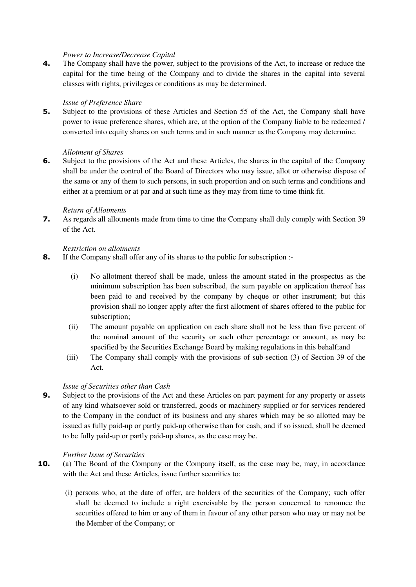#### *Power to Increase/Decrease Capital*

**4.** The Company shall have the power, subject to the provisions of the Act, to increase or reduce the capital for the time being of the Company and to divide the shares in the capital into several classes with rights, privileges or conditions as may be determined.

#### *Issue of Preference Share*

**5.** Subject to the provisions of these Articles and Section 55 of the Act, the Company shall have power to issue preference shares, which are, at the option of the Company liable to be redeemed / converted into equity shares on such terms and in such manner as the Company may determine.

#### *Allotment of Shares*

**6.** Subject to the provisions of the Act and these Articles, the shares in the capital of the Company shall be under the control of the Board of Directors who may issue, allot or otherwise dispose of the same or any of them to such persons, in such proportion and on such terms and conditions and either at a premium or at par and at such time as they may from time to time think fit.

#### *Return of Allotments*

**7.** As regards all allotments made from time to time the Company shall duly comply with Section 39 of the Act.

#### *Restriction on allotments*

- **8.** If the Company shall offer any of its shares to the public for subscription :-
	- (i) No allotment thereof shall be made, unless the amount stated in the prospectus as the minimum subscription has been subscribed, the sum payable on application thereof has been paid to and received by the company by cheque or other instrument; but this provision shall no longer apply after the first allotment of shares offered to the public for subscription;
	- (ii) The amount payable on application on each share shall not be less than five percent of the nominal amount of the security or such other percentage or amount, as may be specified by the Securities Exchange Board by making regulations in this behalf;and
	- (iii) The Company shall comply with the provisions of sub-section (3) of Section 39 of the Act.

## *Issue of Securities other than Cash*

**9.** Subject to the provisions of the Act and these Articles on part payment for any property or assets of any kind whatsoever sold or transferred, goods or machinery supplied or for services rendered to the Company in the conduct of its business and any shares which may be so allotted may be issued as fully paid-up or partly paid-up otherwise than for cash, and if so issued, shall be deemed to be fully paid-up or partly paid-up shares, as the case may be.

#### *Further Issue of Securities*

- **10.** (a) The Board of the Company or the Company itself, as the case may be, may, in accordance with the Act and these Articles, issue further securities to:
	- (i) persons who, at the date of offer, are holders of the securities of the Company; such offer shall be deemed to include a right exercisable by the person concerned to renounce the securities offered to him or any of them in favour of any other person who may or may not be the Member of the Company; or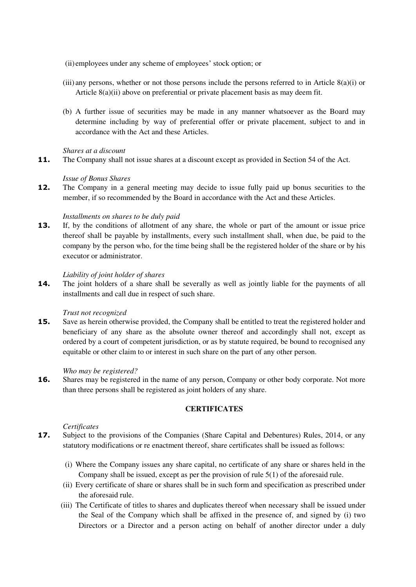(ii)employees under any scheme of employees' stock option; or

- (iii) any persons, whether or not those persons include the persons referred to in Article 8(a)(i) or Article 8(a)(ii) above on preferential or private placement basis as may deem fit.
- (b) A further issue of securities may be made in any manner whatsoever as the Board may determine including by way of preferential offer or private placement, subject to and in accordance with the Act and these Articles.

#### *Shares at a discount*

**11.** The Company shall not issue shares at a discount except as provided in Section 54 of the Act.

#### *Issue of Bonus Shares*

**12.** The Company in a general meeting may decide to issue fully paid up bonus securities to the member, if so recommended by the Board in accordance with the Act and these Articles.

#### *Installments on shares to be duly paid*

**13.** If, by the conditions of allotment of any share, the whole or part of the amount or issue price thereof shall be payable by installments, every such installment shall, when due, be paid to the company by the person who, for the time being shall be the registered holder of the share or by his executor or administrator.

#### *Liability of joint holder of shares*

**14.** The joint holders of a share shall be severally as well as jointly liable for the payments of all installments and call due in respect of such share.

#### *Trust not recognized*

**15.** Save as herein otherwise provided, the Company shall be entitled to treat the registered holder and beneficiary of any share as the absolute owner thereof and accordingly shall not, except as ordered by a court of competent jurisdiction, or as by statute required, be bound to recognised any equitable or other claim to or interest in such share on the part of any other person.

#### *Who may be registered?*

16. Shares may be registered in the name of any person, Company or other body corporate. Not more than three persons shall be registered as joint holders of any share.

## **CERTIFICATES**

## *Certificates*

- **17.** Subject to the provisions of the Companies (Share Capital and Debentures) Rules, 2014, or any statutory modifications or re enactment thereof, share certificates shall be issued as follows:
	- (i) Where the Company issues any share capital, no certificate of any share or shares held in the Company shall be issued, except as per the provision of rule 5(1) of the aforesaid rule.
	- (ii) Every certificate of share or shares shall be in such form and specification as prescribed under the aforesaid rule.
	- (iii) The Certificate of titles to shares and duplicates thereof when necessary shall be issued under the Seal of the Company which shall be affixed in the presence of, and signed by (i) two Directors or a Director and a person acting on behalf of another director under a duly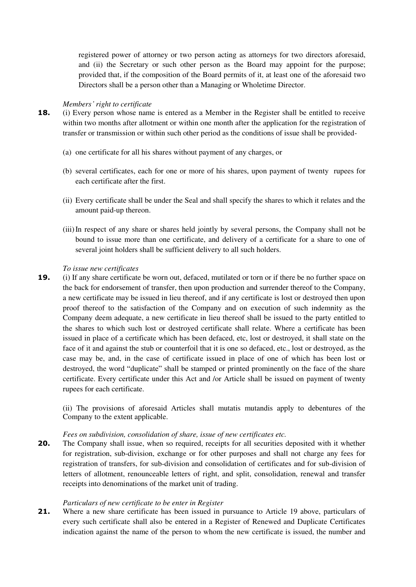registered power of attorney or two person acting as attorneys for two directors aforesaid, and (ii) the Secretary or such other person as the Board may appoint for the purpose; provided that, if the composition of the Board permits of it, at least one of the aforesaid two Directors shall be a person other than a Managing or Wholetime Director.

#### *Members' right to certificate*

- **18.** (i) Every person whose name is entered as a Member in the Register shall be entitled to receive within two months after allotment or within one month after the application for the registration of transfer or transmission or within such other period as the conditions of issue shall be provided-
	- (a) one certificate for all his shares without payment of any charges, or
	- (b) several certificates, each for one or more of his shares, upon payment of twenty rupees for each certificate after the first.
	- (ii) Every certificate shall be under the Seal and shall specify the shares to which it relates and the amount paid-up thereon.
	- (iii)In respect of any share or shares held jointly by several persons, the Company shall not be bound to issue more than one certificate, and delivery of a certificate for a share to one of several joint holders shall be sufficient delivery to all such holders.

#### *To issue new certificates*

**19.** (i) If any share certificate be worn out, defaced, mutilated or torn or if there be no further space on the back for endorsement of transfer, then upon production and surrender thereof to the Company, a new certificate may be issued in lieu thereof, and if any certificate is lost or destroyed then upon proof thereof to the satisfaction of the Company and on execution of such indemnity as the Company deem adequate, a new certificate in lieu thereof shall be issued to the party entitled to the shares to which such lost or destroyed certificate shall relate. Where a certificate has been issued in place of a certificate which has been defaced, etc, lost or destroyed, it shall state on the face of it and against the stub or counterfoil that it is one so defaced, etc., lost or destroyed, as the case may be, and, in the case of certificate issued in place of one of which has been lost or destroyed, the word "duplicate" shall be stamped or printed prominently on the face of the share certificate. Every certificate under this Act and /or Article shall be issued on payment of twenty rupees for each certificate.

(ii) The provisions of aforesaid Articles shall mutatis mutandis apply to debentures of the Company to the extent applicable.

#### *Fees on subdivision, consolidation of share, issue of new certificates etc.*

**20.** The Company shall issue, when so required, receipts for all securities deposited with it whether for registration, sub-division, exchange or for other purposes and shall not charge any fees for registration of transfers, for sub-division and consolidation of certificates and for sub-division of letters of allotment, renounceable letters of right, and split, consolidation, renewal and transfer receipts into denominations of the market unit of trading.

#### *Particulars of new certificate to be enter in Register*

**21.** Where a new share certificate has been issued in pursuance to Article 19 above, particulars of every such certificate shall also be entered in a Register of Renewed and Duplicate Certificates indication against the name of the person to whom the new certificate is issued, the number and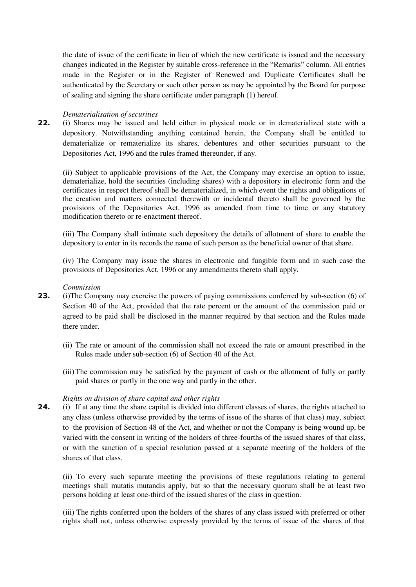the date of issue of the certificate in lieu of which the new certificate is issued and the necessary changes indicated in the Register by suitable cross-reference in the "Remarks" column. All entries made in the Register or in the Register of Renewed and Duplicate Certificates shall be authenticated by the Secretary or such other person as may be appointed by the Board for purpose of sealing and signing the share certificate under paragraph (1) hereof.

#### *Dematerialisation of securities*

**22.** (i) Shares may be issued and held either in physical mode or in dematerialized state with a depository. Notwithstanding anything contained herein, the Company shall be entitled to dematerialize or rematerialize its shares, debentures and other securities pursuant to the Depositories Act, 1996 and the rules framed thereunder, if any.

(ii) Subject to applicable provisions of the Act, the Company may exercise an option to issue, dematerialize, hold the securities (including shares) with a depository in electronic form and the certificates in respect thereof shall be dematerialized, in which event the rights and obligations of the creation and matters connected therewith or incidental thereto shall be governed by the provisions of the Depositories Act, 1996 as amended from time to time or any statutory modification thereto or re-enactment thereof.

(iii) The Company shall intimate such depository the details of allotment of share to enable the depository to enter in its records the name of such person as the beneficial owner of that share.

(iv) The Company may issue the shares in electronic and fungible form and in such case the provisions of Depositories Act, 1996 or any amendments thereto shall apply.

#### *Commission*

- **23.** (i)The Company may exercise the powers of paying commissions conferred by sub-section (6) of Section 40 of the Act, provided that the rate percent or the amount of the commission paid or agreed to be paid shall be disclosed in the manner required by that section and the Rules made there under.
	- (ii) The rate or amount of the commission shall not exceed the rate or amount prescribed in the Rules made under sub-section (6) of Section 40 of the Act.
	- (iii) The commission may be satisfied by the payment of cash or the allotment of fully or partly paid shares or partly in the one way and partly in the other.

#### *Rights on division of share capital and other rights*

**24.** (i) If at any time the share capital is divided into different classes of shares, the rights attached to any class (unless otherwise provided by the terms of issue of the shares of that class) may, subject to the provision of Section 48 of the Act, and whether or not the Company is being wound up, be varied with the consent in writing of the holders of three-fourths of the issued shares of that class, or with the sanction of a special resolution passed at a separate meeting of the holders of the shares of that class.

(ii) To every such separate meeting the provisions of these regulations relating to general meetings shall mutatis mutandis apply, but so that the necessary quorum shall be at least two persons holding at least one-third of the issued shares of the class in question.

(iii) The rights conferred upon the holders of the shares of any class issued with preferred or other rights shall not, unless otherwise expressly provided by the terms of issue of the shares of that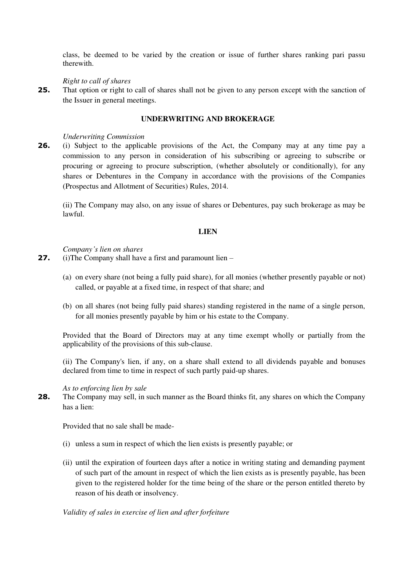class, be deemed to be varied by the creation or issue of further shares ranking pari passu therewith.

#### *Right to call of shares*

**25.** That option or right to call of shares shall not be given to any person except with the sanction of the Issuer in general meetings.

## **UNDERWRITING AND BROKERAGE**

#### *Underwriting Commission*

**26.** (i) Subject to the applicable provisions of the Act, the Company may at any time pay a commission to any person in consideration of his subscribing or agreeing to subscribe or procuring or agreeing to procure subscription, (whether absolutely or conditionally), for any shares or Debentures in the Company in accordance with the provisions of the Companies (Prospectus and Allotment of Securities) Rules, 2014.

(ii) The Company may also, on any issue of shares or Debentures, pay such brokerage as may be lawful.

#### **LIEN**

*Company's lien on shares* 

**27.** (i)The Company shall have a first and paramount lien –

- (a) on every share (not being a fully paid share), for all monies (whether presently payable or not) called, or payable at a fixed time, in respect of that share; and
- (b) on all shares (not being fully paid shares) standing registered in the name of a single person, for all monies presently payable by him or his estate to the Company.

Provided that the Board of Directors may at any time exempt wholly or partially from the applicability of the provisions of this sub-clause.

(ii) The Company's lien, if any, on a share shall extend to all dividends payable and bonuses declared from time to time in respect of such partly paid-up shares.

#### *As to enforcing lien by sale*

**28.** The Company may sell, in such manner as the Board thinks fit, any shares on which the Company has a lien:

Provided that no sale shall be made-

- (i) unless a sum in respect of which the lien exists is presently payable; or
- (ii) until the expiration of fourteen days after a notice in writing stating and demanding payment of such part of the amount in respect of which the lien exists as is presently payable, has been given to the registered holder for the time being of the share or the person entitled thereto by reason of his death or insolvency.

*Validity of sales in exercise of lien and after forfeiture*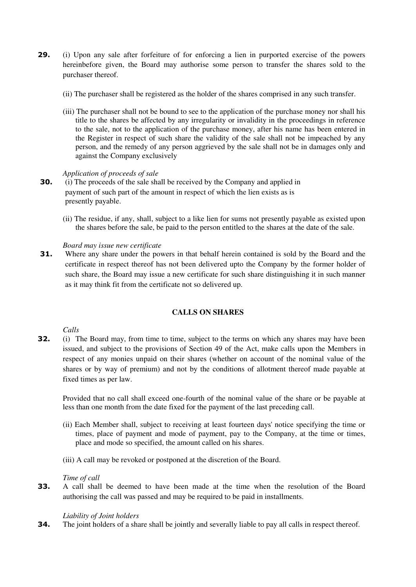- **29.** (i) Upon any sale after forfeiture of for enforcing a lien in purported exercise of the powers hereinbefore given, the Board may authorise some person to transfer the shares sold to the purchaser thereof.
	- (ii) The purchaser shall be registered as the holder of the shares comprised in any such transfer.
	- (iii) The purchaser shall not be bound to see to the application of the purchase money nor shall his title to the shares be affected by any irregularity or invalidity in the proceedings in reference to the sale, not to the application of the purchase money, after his name has been entered in the Register in respect of such share the validity of the sale shall not be impeached by any person, and the remedy of any person aggrieved by the sale shall not be in damages only and against the Company exclusively

#### *Application of proceeds of sale*

- **30.** (i) The proceeds of the sale shall be received by the Company and applied in payment of such part of the amount in respect of which the lien exists as is presently payable.
	- (ii) The residue, if any, shall, subject to a like lien for sums not presently payable as existed upon the shares before the sale, be paid to the person entitled to the shares at the date of the sale.

#### *Board may issue new certificate*

**31.** Where any share under the powers in that behalf herein contained is sold by the Board and the certificate in respect thereof has not been delivered upto the Company by the former holder of such share, the Board may issue a new certificate for such share distinguishing it in such manner as it may think fit from the certificate not so delivered up.

## **CALLS ON SHARES**

#### *Calls*

**32.** (i) The Board may, from time to time, subject to the terms on which any shares may have been issued, and subject to the provisions of Section 49 of the Act, make calls upon the Members in respect of any monies unpaid on their shares (whether on account of the nominal value of the shares or by way of premium) and not by the conditions of allotment thereof made payable at fixed times as per law.

Provided that no call shall exceed one-fourth of the nominal value of the share or be payable at less than one month from the date fixed for the payment of the last preceding call.

- (ii) Each Member shall, subject to receiving at least fourteen days' notice specifying the time or times, place of payment and mode of payment, pay to the Company, at the time or times, place and mode so specified, the amount called on his shares.
- (iii) A call may be revoked or postponed at the discretion of the Board.

#### *Time of call*

**33.** A call shall be deemed to have been made at the time when the resolution of the Board authorising the call was passed and may be required to be paid in installments.

### *Liability of Joint holders*

**34.** The joint holders of a share shall be jointly and severally liable to pay all calls in respect thereof.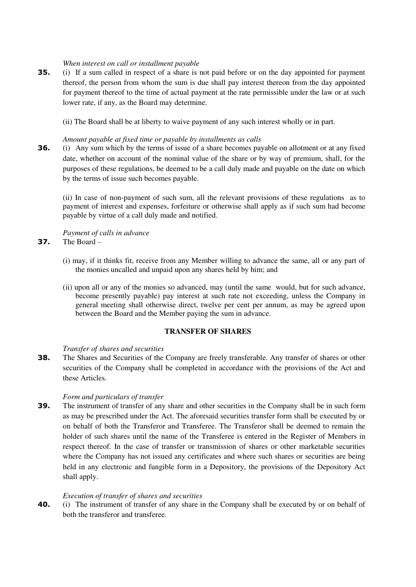#### *When interest on call or installment payable*

**35.** (i) If a sum called in respect of a share is not paid before or on the day appointed for payment thereof, the person from whom the sum is due shall pay interest thereon from the day appointed for payment thereof to the time of actual payment at the rate permissible under the law or at such lower rate, if any, as the Board may determine.

(ii) The Board shall be at liberty to waive payment of any such interest wholly or in part.

## *Amount payable at fixed time or payable by installments as calls*

**36.** (i) Any sum which by the terms of issue of a share becomes payable on allotment or at any fixed date, whether on account of the nominal value of the share or by way of premium, shall, for the purposes of these regulations, be deemed to be a call duly made and payable on the date on which by the terms of issue such becomes payable.

(ii) In case of non-payment of such sum, all the relevant provisions of these regulations as to payment of interest and expenses, forfeiture or otherwise shall apply as if such sum had become payable by virtue of a call duly made and notified.

*Payment of calls in advance*  **37.** The Board –

- (i) may, if it thinks fit, receive from any Member willing to advance the same, all or any part of the monies uncalled and unpaid upon any shares held by him; and
- (ii) upon all or any of the monies so advanced, may (until the same would, but for such advance, become presently payable) pay interest at such rate not exceeding, unless the Company in general meeting shall otherwise direct, twelve per cent per annum, as may be agreed upon between the Board and the Member paying the sum in advance.

#### **TRANSFER OF SHARES**

#### *Transfer of shares and securities*

**38.** The Shares and Securities of the Company are freely transferable. Any transfer of shares or other securities of the Company shall be completed in accordance with the provisions of the Act and these Articles.

#### *Form and particulars of transfer*

**39.** The instrument of transfer of any share and other securities in the Company shall be in such form as may be prescribed under the Act. The aforesaid securities transfer form shall be executed by or on behalf of both the Transferor and Transferee. The Transferor shall be deemed to remain the holder of such shares until the name of the Transferee is entered in the Register of Members in respect thereof. In the case of transfer or transmission of shares or other marketable securities where the Company has not issued any certificates and where such shares or securities are being held in any electronic and fungible form in a Depository, the provisions of the Depository Act shall apply.

#### *Execution of transfer of shares and securities*

**40.** (i) The instrument of transfer of any share in the Company shall be executed by or on behalf of both the transferor and transferee.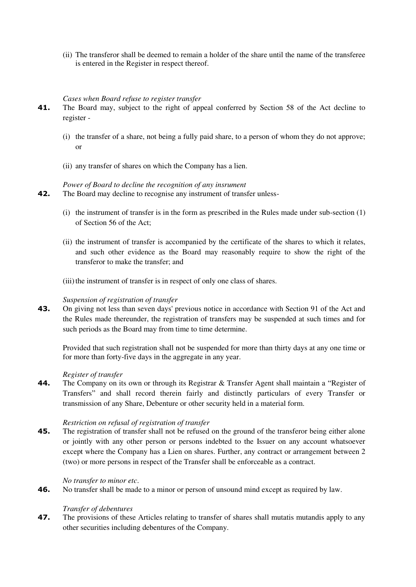(ii) The transferor shall be deemed to remain a holder of the share until the name of the transferee is entered in the Register in respect thereof.

#### *Cases when Board refuse to register transfer*

- **41.** The Board may, subject to the right of appeal conferred by Section 58 of the Act decline to register -
	- (i) the transfer of a share, not being a fully paid share, to a person of whom they do not approve; or
	- (ii) any transfer of shares on which the Company has a lien.

## *Power of Board to decline the recognition of any insrument*

- **42.** The Board may decline to recognise any instrument of transfer unless-
	- (i) the instrument of transfer is in the form as prescribed in the Rules made under sub-section (1) of Section 56 of the Act;
	- (ii) the instrument of transfer is accompanied by the certificate of the shares to which it relates, and such other evidence as the Board may reasonably require to show the right of the transferor to make the transfer; and
	- (iii) the instrument of transfer is in respect of only one class of shares.

#### *Suspension of registration of transfer*

**43.** On giving not less than seven days' previous notice in accordance with Section 91 of the Act and the Rules made thereunder, the registration of transfers may be suspended at such times and for such periods as the Board may from time to time determine.

Provided that such registration shall not be suspended for more than thirty days at any one time or for more than forty-five days in the aggregate in any year.

#### *Register of transfer*

**44.** The Company on its own or through its Registrar & Transfer Agent shall maintain a "Register of Transfers" and shall record therein fairly and distinctly particulars of every Transfer or transmission of any Share, Debenture or other security held in a material form.

#### *Restriction on refusal of registration of transfer*

**45.** The registration of transfer shall not be refused on the ground of the transferor being either alone or jointly with any other person or persons indebted to the Issuer on any account whatsoever except where the Company has a Lien on shares. Further, any contract or arrangement between 2 (two) or more persons in respect of the Transfer shall be enforceable as a contract.

#### *No transfer to minor etc*.

**46.** No transfer shall be made to a minor or person of unsound mind except as required by law.

## *Transfer of debentures*

**47.** The provisions of these Articles relating to transfer of shares shall mutatis mutandis apply to any other securities including debentures of the Company.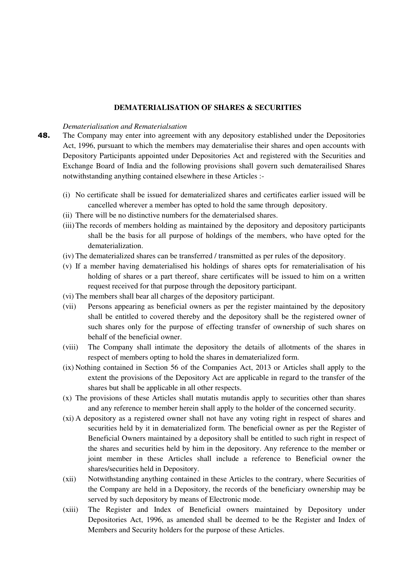#### **DEMATERIALISATION OF SHARES & SECURITIES**

#### *Dematerialisation and Rematerialsation*

- **48.** The Company may enter into agreement with any depository established under the Depositories Act, 1996, pursuant to which the members may dematerialise their shares and open accounts with Depository Participants appointed under Depositories Act and registered with the Securities and Exchange Board of India and the following provisions shall govern such dematerailised Shares notwithstanding anything contained elsewhere in these Articles :-
	- (i) No certificate shall be issued for dematerialized shares and certificates earlier issued will be cancelled wherever a member has opted to hold the same through depository.
	- (ii) There will be no distinctive numbers for the dematerialsed shares.
	- (iii)The records of members holding as maintained by the depository and depository participants shall be the basis for all purpose of holdings of the members, who have opted for the dematerialization.
	- (iv) The dematerialized shares can be transferred / transmitted as per rules of the depository.
	- (v) If a member having dematerialised his holdings of shares opts for rematerialisation of his holding of shares or a part thereof, share certificates will be issued to him on a written request received for that purpose through the depository participant.
	- (vi) The members shall bear all charges of the depository participant.
	- (vii) Persons appearing as beneficial owners as per the register maintained by the depository shall be entitled to covered thereby and the depository shall be the registered owner of such shares only for the purpose of effecting transfer of ownership of such shares on behalf of the beneficial owner.
	- (viii) The Company shall intimate the depository the details of allotments of the shares in respect of members opting to hold the shares in dematerialized form.
	- (ix) Nothing contained in Section 56 of the Companies Act, 2013 or Articles shall apply to the extent the provisions of the Depository Act are applicable in regard to the transfer of the shares but shall be applicable in all other respects.
	- (x) The provisions of these Articles shall mutatis mutandis apply to securities other than shares and any reference to member herein shall apply to the holder of the concerned security.
	- (xi) A depository as a registered owner shall not have any voting right in respect of shares and securities held by it in dematerialized form. The beneficial owner as per the Register of Beneficial Owners maintained by a depository shall be entitled to such right in respect of the shares and securities held by him in the depository. Any reference to the member or joint member in these Articles shall include a reference to Beneficial owner the shares/securities held in Depository.
	- (xii) Notwithstanding anything contained in these Articles to the contrary, where Securities of the Company are held in a Depository, the records of the beneficiary ownership may be served by such depository by means of Electronic mode.
	- (xiii) The Register and Index of Beneficial owners maintained by Depository under Depositories Act, 1996, as amended shall be deemed to be the Register and Index of Members and Security holders for the purpose of these Articles.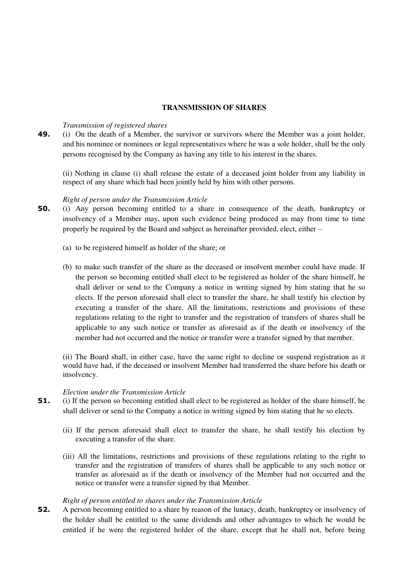#### **TRANSMISSION OF SHARES**

#### *Transmission of registered shares*

**49.** (i) On the death of a Member, the survivor or survivors where the Member was a joint holder, and his nominee or nominees or legal representatives where he was a sole holder, shall be the only persons recognised by the Company as having any title to his interest in the shares.

(ii) Nothing in clause (i) shall release the estate of a deceased joint holder from any liability in respect of any share which had been jointly held by him with other persons.

#### *Right of person under the Transmission Article*

- **50.** (i) Any person becoming entitled to a share in consequence of the death, bankruptcy or insolvency of a Member may, upon such evidence being produced as may from time to time properly be required by the Board and subject as hereinafter provided, elect, either –
	- (a) to be registered himself as holder of the share; or
	- (b) to make such transfer of the share as the deceased or insolvent member could have made. If the person so becoming entitled shall elect to be registered as holder of the share himself, he shall deliver or send to the Company a notice in writing signed by him stating that he so elects. If the person aforesaid shall elect to transfer the share, he shall testify his election by executing a transfer of the share. All the limitations, restrictions and provisions of these regulations relating to the right to transfer and the registration of transfers of shares shall be applicable to any such notice or transfer as aforesaid as if the death or insolvency of the member had not occurred and the notice or transfer were a transfer signed by that member.

(ii) The Board shall, in either case, have the same right to decline or suspend registration as it would have had, if the deceased or insolvent Member had transferred the share before his death or insolvency.

#### *Election under the Transmission Article*

- **51.** (i) If the person so becoming entitled shall elect to be registered as holder of the share himself, he shall deliver or send to the Company a notice in writing signed by him stating that he so elects.
	- (ii) If the person aforesaid shall elect to transfer the share, he shall testify his election by executing a transfer of the share.
	- (iii) All the limitations, restrictions and provisions of these regulations relating to the right to transfer and the registration of transfers of shares shall be applicable to any such notice or transfer as aforesaid as if the death or insolvency of the Member had not occurred and the notice or transfer were a transfer signed by that Member.

#### *Right of person entitled to shares under the Transmission Article*

**52.** A person becoming entitled to a share by reason of the lunacy, death, bankruptcy or insolvency of the holder shall be entitled to the same dividends and other advantages to which he would be entitled if he were the registered holder of the share, except that he shall not, before being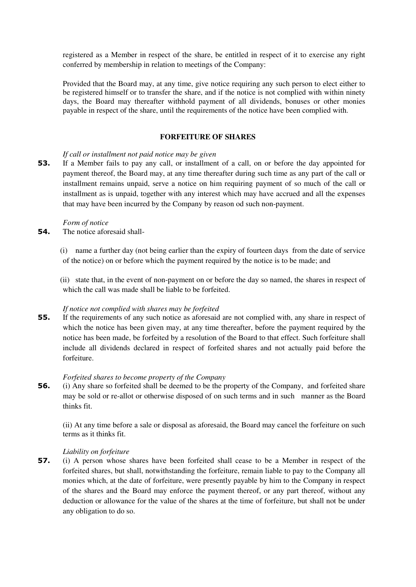registered as a Member in respect of the share, be entitled in respect of it to exercise any right conferred by membership in relation to meetings of the Company:

Provided that the Board may, at any time, give notice requiring any such person to elect either to be registered himself or to transfer the share, and if the notice is not complied with within ninety days, the Board may thereafter withhold payment of all dividends, bonuses or other monies payable in respect of the share, until the requirements of the notice have been complied with.

#### **FORFEITURE OF SHARES**

#### *If call or installment not paid notice may be given*

**53.** If a Member fails to pay any call, or installment of a call, on or before the day appointed for payment thereof, the Board may, at any time thereafter during such time as any part of the call or installment remains unpaid, serve a notice on him requiring payment of so much of the call or installment as is unpaid, together with any interest which may have accrued and all the expenses that may have been incurred by the Company by reason od such non-payment.

#### *Form of notice*

**54.** The notice aforesaid shall-

(i) name a further day (not being earlier than the expiry of fourteen days from the date of service of the notice) on or before which the payment required by the notice is to be made; and

(ii) state that, in the event of non-payment on or before the day so named, the shares in respect of which the call was made shall be liable to be forfeited.

#### *If notice not complied with shares may be forfeited*

**55.** If the requirements of any such notice as aforesaid are not complied with, any share in respect of which the notice has been given may, at any time thereafter, before the payment required by the notice has been made, be forfeited by a resolution of the Board to that effect. Such forfeiture shall include all dividends declared in respect of forfeited shares and not actually paid before the forfeiture.

#### *Forfeited shares to become property of the Company*

**56.** (i) Any share so forfeited shall be deemed to be the property of the Company, and forfeited share may be sold or re-allot or otherwise disposed of on such terms and in such manner as the Board thinks fit.

(ii) At any time before a sale or disposal as aforesaid, the Board may cancel the forfeiture on such terms as it thinks fit.

#### *Liability on forfeiture*

**57.** (i) A person whose shares have been forfeited shall cease to be a Member in respect of the forfeited shares, but shall, notwithstanding the forfeiture, remain liable to pay to the Company all monies which, at the date of forfeiture, were presently payable by him to the Company in respect of the shares and the Board may enforce the payment thereof, or any part thereof, without any deduction or allowance for the value of the shares at the time of forfeiture, but shall not be under any obligation to do so.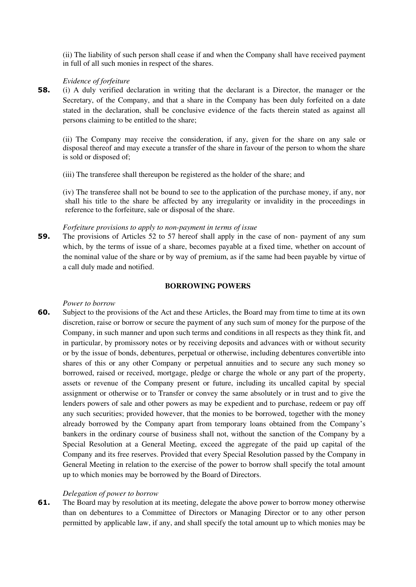(ii) The liability of such person shall cease if and when the Company shall have received payment in full of all such monies in respect of the shares.

#### *Evidence of forfeiture*

**58.** (i) A duly verified declaration in writing that the declarant is a Director, the manager or the Secretary, of the Company, and that a share in the Company has been duly forfeited on a date stated in the declaration, shall be conclusive evidence of the facts therein stated as against all persons claiming to be entitled to the share;

(ii) The Company may receive the consideration, if any, given for the share on any sale or disposal thereof and may execute a transfer of the share in favour of the person to whom the share is sold or disposed of;

(iii) The transferee shall thereupon be registered as the holder of the share; and

(iv) The transferee shall not be bound to see to the application of the purchase money, if any, nor shall his title to the share be affected by any irregularity or invalidity in the proceedings in reference to the forfeiture, sale or disposal of the share.

#### *Forfeiture provisions to apply to non-payment in terms of issue*

**59.** The provisions of Articles 52 to 57 hereof shall apply in the case of non- payment of any sum which, by the terms of issue of a share, becomes payable at a fixed time, whether on account of the nominal value of the share or by way of premium, as if the same had been payable by virtue of a call duly made and notified.

#### **BORROWING POWERS**

#### *Power to borrow*

**60.** Subject to the provisions of the Act and these Articles, the Board may from time to time at its own discretion, raise or borrow or secure the payment of any such sum of money for the purpose of the Company, in such manner and upon such terms and conditions in all respects as they think fit, and in particular, by promissory notes or by receiving deposits and advances with or without security or by the issue of bonds, debentures, perpetual or otherwise, including debentures convertible into shares of this or any other Company or perpetual annuities and to secure any such money so borrowed, raised or received, mortgage, pledge or charge the whole or any part of the property, assets or revenue of the Company present or future, including its uncalled capital by special assignment or otherwise or to Transfer or convey the same absolutely or in trust and to give the lenders powers of sale and other powers as may be expedient and to purchase, redeem or pay off any such securities; provided however, that the monies to be borrowed, together with the money already borrowed by the Company apart from temporary loans obtained from the Company's bankers in the ordinary course of business shall not, without the sanction of the Company by a Special Resolution at a General Meeting, exceed the aggregate of the paid up capital of the Company and its free reserves. Provided that every Special Resolution passed by the Company in General Meeting in relation to the exercise of the power to borrow shall specify the total amount up to which monies may be borrowed by the Board of Directors.

#### *Delegation of power to borrow*

**61.** The Board may by resolution at its meeting, delegate the above power to borrow money otherwise than on debentures to a Committee of Directors or Managing Director or to any other person permitted by applicable law, if any, and shall specify the total amount up to which monies may be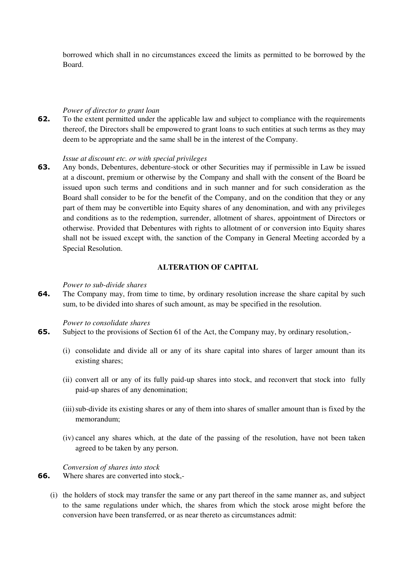borrowed which shall in no circumstances exceed the limits as permitted to be borrowed by the Board.

#### *Power of director to grant loan*

**62.** To the extent permitted under the applicable law and subject to compliance with the requirements thereof, the Directors shall be empowered to grant loans to such entities at such terms as they may deem to be appropriate and the same shall be in the interest of the Company.

#### *Issue at discount etc. or with special privileges*

**63.** Any bonds, Debentures, debenture-stock or other Securities may if permissible in Law be issued at a discount, premium or otherwise by the Company and shall with the consent of the Board be issued upon such terms and conditions and in such manner and for such consideration as the Board shall consider to be for the benefit of the Company, and on the condition that they or any part of them may be convertible into Equity shares of any denomination, and with any privileges and conditions as to the redemption, surrender, allotment of shares, appointment of Directors or otherwise. Provided that Debentures with rights to allotment of or conversion into Equity shares shall not be issued except with, the sanction of the Company in General Meeting accorded by a Special Resolution.

#### **ALTERATION OF CAPITAL**

#### *Power to sub-divide shares*

**64.** The Company may, from time to time, by ordinary resolution increase the share capital by such sum, to be divided into shares of such amount, as may be specified in the resolution.

#### *Power to consolidate shares*

- **65.** Subject to the provisions of Section 61 of the Act, the Company may, by ordinary resolution,-
	- (i) consolidate and divide all or any of its share capital into shares of larger amount than its existing shares;
	- (ii) convert all or any of its fully paid-up shares into stock, and reconvert that stock into fully paid-up shares of any denomination;
	- (iii)sub-divide its existing shares or any of them into shares of smaller amount than is fixed by the memorandum;
	- (iv) cancel any shares which, at the date of the passing of the resolution, have not been taken agreed to be taken by any person.

*Conversion of shares into stock* 

- **66.** Where shares are converted into stock,-
	- (i) the holders of stock may transfer the same or any part thereof in the same manner as, and subject to the same regulations under which, the shares from which the stock arose might before the conversion have been transferred, or as near thereto as circumstances admit: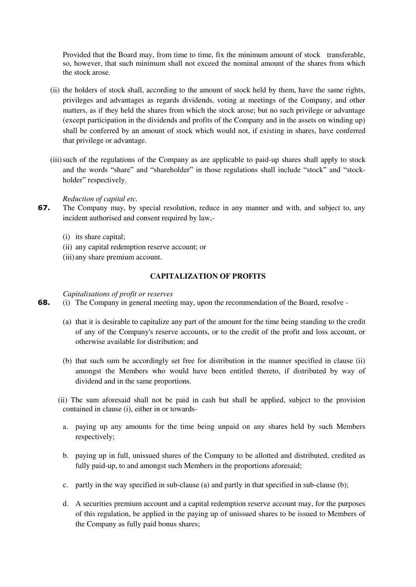Provided that the Board may, from time to time, fix the minimum amount of stock transferable, so, however, that such minimum shall not exceed the nominal amount of the shares from which the stock arose.

- (ii) the holders of stock shall, according to the amount of stock held by them, have the same rights, privileges and advantages as regards dividends, voting at meetings of the Company, and other matters, as if they held the shares from which the stock arose; but no such privilege or advantage (except participation in the dividends and profits of the Company and in the assets on winding up) shall be conferred by an amount of stock which would not, if existing in shares, have conferred that privilege or advantage.
- (iii)such of the regulations of the Company as are applicable to paid-up shares shall apply to stock and the words "share" and "shareholder" in those regulations shall include "stock" and "stockholder" respectively.

#### *Reduction of capital etc.*

- **67.** The Company may, by special resolution, reduce in any manner and with, and subject to, any incident authorised and consent required by law,-
	- (i) its share capital;
	- (ii) any capital redemption reserve account; or
	- (iii) any share premium account.

## **CAPITALIZATION OF PROFITS**

## *Capitalisations of profit or reserves*

- **68.** (i) The Company in general meeting may, upon the recommendation of the Board, resolve
	- (a) that it is desirable to capitalize any part of the amount for the time being standing to the credit of any of the Company's reserve accounts, or to the credit of the profit and loss account, or otherwise available for distribution; and
	- (b) that such sum be accordingly set free for distribution in the manner specified in clause (ii) amongst the Members who would have been entitled thereto, if distributed by way of dividend and in the same proportions.
	- (ii) The sum aforesaid shall not be paid in cash but shall be applied, subject to the provision contained in clause (i), either in or towards
		- a. paying up any amounts for the time being unpaid on any shares held by such Members respectively;
		- b. paying up in full, unissued shares of the Company to be allotted and distributed, credited as fully paid-up, to and amongst such Members in the proportions aforesaid;
		- c. partly in the way specified in sub-clause (a) and partly in that specified in sub-clause (b);
		- d. A securities premium account and a capital redemption reserve account may, for the purposes of this regulation, be applied in the paying up of unissued shares to be issued to Members of the Company as fully paid bonus shares;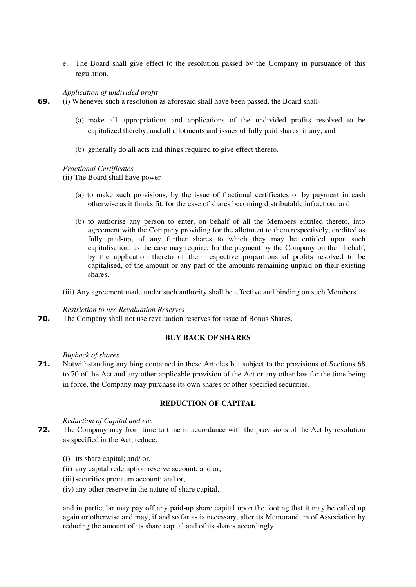e. The Board shall give effect to the resolution passed by the Company in pursuance of this regulation.

#### *Application of undivided profit*

**69.** (i) Whenever such a resolution as aforesaid shall have been passed, the Board shall-

- (a) make all appropriations and applications of the undivided profits resolved to be capitalized thereby, and all allotments and issues of fully paid shares if any; and
- (b) generally do all acts and things required to give effect thereto.

## *Fractional Certificates*

(ii) The Board shall have power-

- (a) to make such provisions, by the issue of fractional certificates or by payment in cash otherwise as it thinks fit, for the case of shares becoming distributable infraction; and
- (b) to authorise any person to enter, on behalf of all the Members entitled thereto, into agreement with the Company providing for the allotment to them respectively, credited as fully paid-up, of any further shares to which they may be entitled upon such capitalisation, as the case may require, for the payment by the Company on their behalf, by the application thereto of their respective proportions of profits resolved to be capitalised, of the amount or any part of the amounts remaining unpaid on their existing shares.

(iii) Any agreement made under such authority shall be effective and binding on such Members.

#### *Restriction to use Revaluation Reserves*

**70.** The Company shall not use revaluation reserves for issue of Bonus Shares.

## **BUY BACK OF SHARES**

#### *Buyback of shares*

**71.** Notwithstanding anything contained in these Articles but subject to the provisions of Sections 68 to 70 of the Act and any other applicable provision of the Act or any other law for the time being in force, the Company may purchase its own shares or other specified securities.

## **REDUCTION OF CAPITAL**

#### *Reduction of Capital and etc.*

- **72.** The Company may from time to time in accordance with the provisions of the Act by resolution as specified in the Act, reduce:
	- (i) its share capital; and/ or,
	- (ii) any capital redemption reserve account; and or,
	- (iii) securities premium account; and or,
	- (iv) any other reserve in the nature of share capital.

and in particular may pay off any paid-up share capital upon the footing that it may be called up again or otherwise and may, if and so far as is necessary, alter its Memorandum of Association by reducing the amount of its share capital and of its shares accordingly.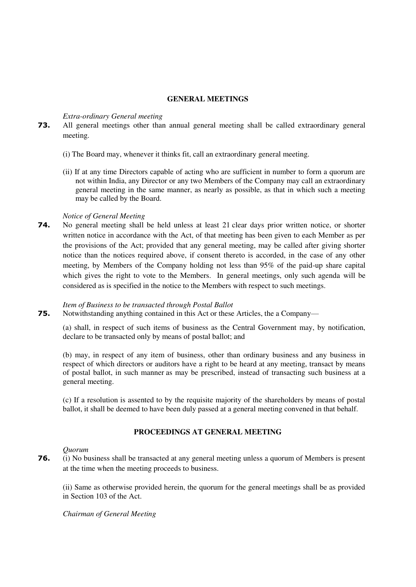#### **GENERAL MEETINGS**

#### *Extra-ordinary General meeting*

- **73.** All general meetings other than annual general meeting shall be called extraordinary general meeting.
	- (i) The Board may, whenever it thinks fit, call an extraordinary general meeting.
	- (ii) If at any time Directors capable of acting who are sufficient in number to form a quorum are not within India, any Director or any two Members of the Company may call an extraordinary general meeting in the same manner, as nearly as possible, as that in which such a meeting may be called by the Board.

#### *Notice of General Meeting*

**74.** No general meeting shall be held unless at least 21 clear days prior written notice, or shorter written notice in accordance with the Act, of that meeting has been given to each Member as per the provisions of the Act; provided that any general meeting, may be called after giving shorter notice than the notices required above, if consent thereto is accorded, in the case of any other meeting, by Members of the Company holding not less than 95% of the paid-up share capital which gives the right to vote to the Members. In general meetings, only such agenda will be considered as is specified in the notice to the Members with respect to such meetings.

#### *Item of Business to be transacted through Postal Ballot*

**75.** Notwithstanding anything contained in this Act or these Articles, the a Company—

(a) shall, in respect of such items of business as the Central Government may, by notification, declare to be transacted only by means of postal ballot; and

(b) may, in respect of any item of business, other than ordinary business and any business in respect of which directors or auditors have a right to be heard at any meeting, transact by means of postal ballot, in such manne[r as may be prescribed,](http://ebook.mca.gov.in/Actpagedisplay.aspx?PAGENAME=18038) instead of transacting such business at a general meeting.

(c) If a resolution is assented to by the requisite majority of the shareholders by means of postal ballot, it shall be deemed to have been duly passed at a general meeting convened in that behalf.

## **PROCEEDINGS AT GENERAL MEETING**

#### *Quorum*

**76.** (i) No business shall be transacted at any general meeting unless a quorum of Members is present at the time when the meeting proceeds to business.

(ii) Same as otherwise provided herein, the quorum for the general meetings shall be as provided in Section 103 of the Act.

*Chairman of General Meeting*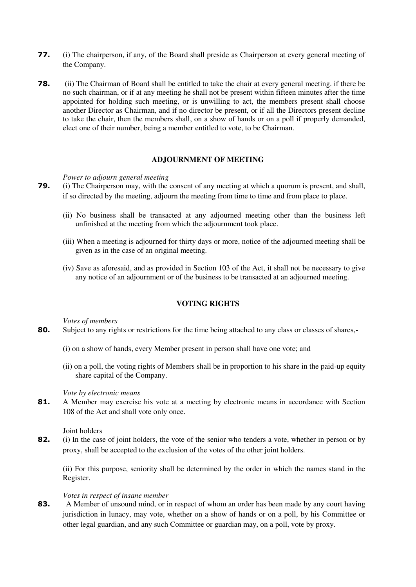- **77.** (i) The chairperson, if any, of the Board shall preside as Chairperson at every general meeting of the Company.
- **78.** (ii) The Chairman of Board shall be entitled to take the chair at every general meeting. if there be no such chairman, or if at any meeting he shall not be present within fifteen minutes after the time appointed for holding such meeting, or is unwilling to act, the members present shall choose another Director as Chairman, and if no director be present, or if all the Directors present decline to take the chair, then the members shall, on a show of hands or on a poll if properly demanded, elect one of their number, being a member entitled to vote, to be Chairman.

#### **ADJOURNMENT OF MEETING**

#### *Power to adjourn general meeting*

- **79.** (i) The Chairperson may, with the consent of any meeting at which a quorum is present, and shall, if so directed by the meeting, adjourn the meeting from time to time and from place to place.
	- (ii) No business shall be transacted at any adjourned meeting other than the business left unfinished at the meeting from which the adjournment took place.
	- (iii) When a meeting is adjourned for thirty days or more, notice of the adjourned meeting shall be given as in the case of an original meeting.
	- (iv) Save as aforesaid, and as provided in Section 103 of the Act, it shall not be necessary to give any notice of an adjournment or of the business to be transacted at an adjourned meeting.

#### **VOTING RIGHTS**

*Votes of members* 

- **80.** Subject to any rights or restrictions for the time being attached to any class or classes of shares,-
	- (i) on a show of hands, every Member present in person shall have one vote; and
	- (ii) on a poll, the voting rights of Members shall be in proportion to his share in the paid-up equity share capital of the Company.

#### *Vote by electronic means*

81. A Member may exercise his vote at a meeting by electronic means in accordance with Section 108 of the Act and shall vote only once.

Joint holders

**82.** (i) In the case of joint holders, the vote of the senior who tenders a vote, whether in person or by proxy, shall be accepted to the exclusion of the votes of the other joint holders.

(ii) For this purpose, seniority shall be determined by the order in which the names stand in the Register.

#### *Votes in respect of insane member*

**83.** A Member of unsound mind, or in respect of whom an order has been made by any court having jurisdiction in lunacy, may vote, whether on a show of hands or on a poll, by his Committee or other legal guardian, and any such Committee or guardian may, on a poll, vote by proxy.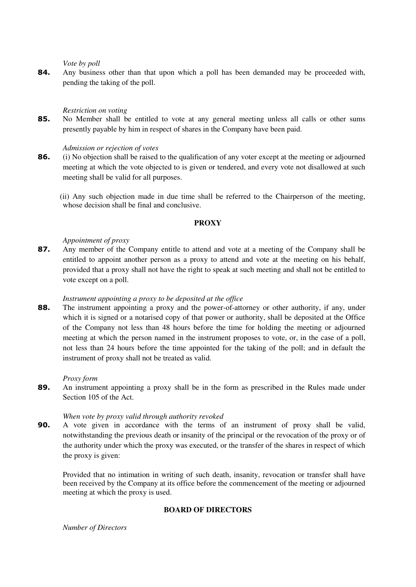*Vote by poll* 

**84.** Any business other than that upon which a poll has been demanded may be proceeded with, pending the taking of the poll.

## *Restriction on voting*

**85.** No Member shall be entitled to vote at any general meeting unless all calls or other sums presently payable by him in respect of shares in the Company have been paid.

## *Admission or rejection of votes*

**86.** (i) No objection shall be raised to the qualification of any voter except at the meeting or adjourned meeting at which the vote objected to is given or tendered, and every vote not disallowed at such meeting shall be valid for all purposes.

 (ii) Any such objection made in due time shall be referred to the Chairperson of the meeting, whose decision shall be final and conclusive.

## **PROXY**

## *Appointment of proxy*

**87.** Any member of the Company entitle to attend and vote at a meeting of the Company shall be entitled to appoint another person as a proxy to attend and vote at the meeting on his behalf, provided that a proxy shall not have the right to speak at such meeting and shall not be entitled to vote except on a poll.

#### *Instrument appointing a proxy to be deposited at the office*

**88.** The instrument appointing a proxy and the power-of-attorney or other authority, if any, under which it is signed or a notarised copy of that power or authority, shall be deposited at the Office of the Company not less than 48 hours before the time for holding the meeting or adjourned meeting at which the person named in the instrument proposes to vote, or, in the case of a poll, not less than 24 hours before the time appointed for the taking of the poll; and in default the instrument of proxy shall not be treated as valid.

#### *Proxy form*

**89.** An instrument appointing a proxy shall be in the form as prescribed in the Rules made under Section 105 of the Act.

## *When vote by proxy valid through authority revoked*

**90.** A vote given in accordance with the terms of an instrument of proxy shall be valid, notwithstanding the previous death or insanity of the principal or the revocation of the proxy or of the authority under which the proxy was executed, or the transfer of the shares in respect of which the proxy is given:

Provided that no intimation in writing of such death, insanity, revocation or transfer shall have been received by the Company at its office before the commencement of the meeting or adjourned meeting at which the proxy is used.

## **BOARD OF DIRECTORS**

*Number of Directors*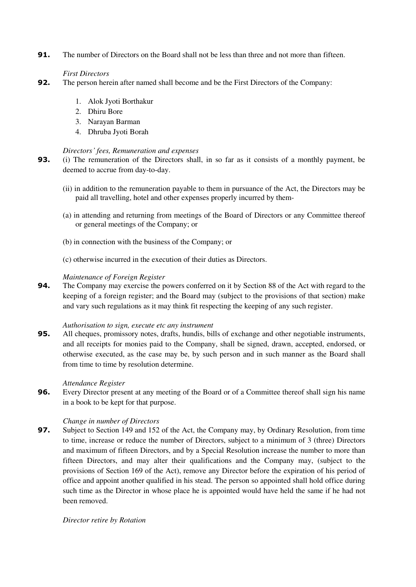**91.** The number of Directors on the Board shall not be less than three and not more than fifteen.

# *First Directors*

- **92.** The person herein after named shall become and be the First Directors of the Company:
	- 1. Alok Jyoti Borthakur
	- 2. Dhiru Bore
	- 3. Narayan Barman
	- 4. Dhruba Jyoti Borah

# *Directors' fees, Remuneration and expenses*

- **93.** (i) The remuneration of the Directors shall, in so far as it consists of a monthly payment, be deemed to accrue from day-to-day.
	- (ii) in addition to the remuneration payable to them in pursuance of the Act, the Directors may be paid all travelling, hotel and other expenses properly incurred by them-
	- (a) in attending and returning from meetings of the Board of Directors or any Committee thereof or general meetings of the Company; or
	- (b) in connection with the business of the Company; or
	- (c) otherwise incurred in the execution of their duties as Directors.

# *Maintenance of Foreign Register*

**94.** The Company may exercise the powers conferred on it by Section 88 of the Act with regard to the keeping of a foreign register; and the Board may (subject to the provisions of that section) make and vary such regulations as it may think fit respecting the keeping of any such register.

# *Authorisation to sign, execute etc any instrument*

**95.** All cheques, promissory notes, drafts, hundis, bills of exchange and other negotiable instruments, and all receipts for monies paid to the Company, shall be signed, drawn, accepted, endorsed, or otherwise executed, as the case may be, by such person and in such manner as the Board shall from time to time by resolution determine.

# *Attendance Register*

**96.** Every Director present at any meeting of the Board or of a Committee thereof shall sign his name in a book to be kept for that purpose.

# *Change in number of Directors*

**97.** Subject to Section 149 and 152 of the Act, the Company may, by Ordinary Resolution, from time to time, increase or reduce the number of Directors, subject to a minimum of 3 (three) Directors and maximum of fifteen Directors, and by a Special Resolution increase the number to more than fifteen Directors, and may alter their qualifications and the Company may, (subject to the provisions of Section 169 of the Act), remove any Director before the expiration of his period of office and appoint another qualified in his stead. The person so appointed shall hold office during such time as the Director in whose place he is appointed would have held the same if he had not been removed.

# *Director retire by Rotation*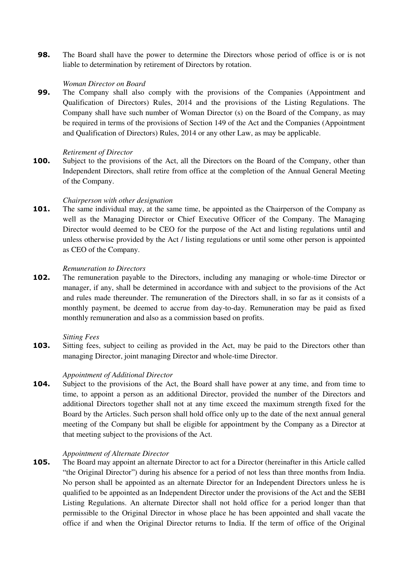**98.** The Board shall have the power to determine the Directors whose period of office is or is not liable to determination by retirement of Directors by rotation.

# *Woman Director on Board*

**99.** The Company shall also comply with the provisions of the Companies (Appointment and Qualification of Directors) Rules, 2014 and the provisions of the Listing Regulations. The Company shall have such number of Woman Director (s) on the Board of the Company, as may be required in terms of the provisions of Section 149 of the Act and the Companies (Appointment and Qualification of Directors) Rules, 2014 or any other Law, as may be applicable.

#### *Retirement of Director*

**100.** Subject to the provisions of the Act, all the Directors on the Board of the Company, other than Independent Directors, shall retire from office at the completion of the Annual General Meeting of the Company.

## *Chairperson with other designation*

**101.** The same individual may, at the same time, be appointed as the Chairperson of the Company as well as the Managing Director or Chief Executive Officer of the Company. The Managing Director would deemed to be CEO for the purpose of the Act and listing regulations until and unless otherwise provided by the Act / listing regulations or until some other person is appointed as CEO of the Company.

## *Remuneration to Directors*

**102.** The remuneration payable to the Directors, including any managing or whole-time Director or manager, if any, shall be determined in accordance with and subject to the provisions of the Act and rules made thereunder. The remuneration of the Directors shall, in so far as it consists of a monthly payment, be deemed to accrue from day-to-day. Remuneration may be paid as fixed monthly remuneration and also as a commission based on profits.

#### *Sitting Fees*

**103.** Sitting fees, subject to ceiling as provided in the Act, may be paid to the Directors other than managing Director, joint managing Director and whole-time Director.

## *Appointment of Additional Director*

**104.** Subject to the provisions of the Act, the Board shall have power at any time, and from time to time, to appoint a person as an additional Director, provided the number of the Directors and additional Directors together shall not at any time exceed the maximum strength fixed for the Board by the Articles. Such person shall hold office only up to the date of the next annual general meeting of the Company but shall be eligible for appointment by the Company as a Director at that meeting subject to the provisions of the Act.

# *Appointment of Alternate Director*

**105.** The Board may appoint an alternate Director to act for a Director (hereinafter in this Article called "the Original Director") during his absence for a period of not less than three months from India. No person shall be appointed as an alternate Director for an Independent Directors unless he is qualified to be appointed as an Independent Director under the provisions of the Act and the SEBI Listing Regulations. An alternate Director shall not hold office for a period longer than that permissible to the Original Director in whose place he has been appointed and shall vacate the office if and when the Original Director returns to India. If the term of office of the Original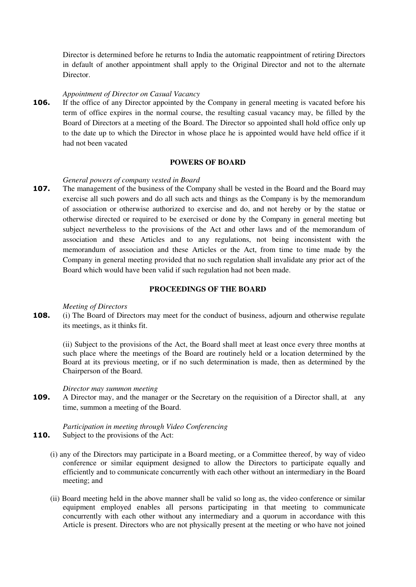Director is determined before he returns to India the automatic reappointment of retiring Directors in default of another appointment shall apply to the Original Director and not to the alternate Director.

#### *Appointment of Director on Casual Vacancy*

**106.** If the office of any Director appointed by the Company in general meeting is vacated before his term of office expires in the normal course, the resulting casual vacancy may, be filled by the Board of Directors at a meeting of the Board. The Director so appointed shall hold office only up to the date up to which the Director in whose place he is appointed would have held office if it had not been vacated

#### **POWERS OF BOARD**

## *General powers of company vested in Board*

**107.** The management of the business of the Company shall be vested in the Board and the Board may exercise all such powers and do all such acts and things as the Company is by the memorandum of association or otherwise authorized to exercise and do, and not hereby or by the statue or otherwise directed or required to be exercised or done by the Company in general meeting but subject nevertheless to the provisions of the Act and other laws and of the memorandum of association and these Articles and to any regulations, not being inconsistent with the memorandum of association and these Articles or the Act, from time to time made by the Company in general meeting provided that no such regulation shall invalidate any prior act of the Board which would have been valid if such regulation had not been made.

# **PROCEEDINGS OF THE BOARD**

#### *Meeting of Directors*

**108.** (i) The Board of Directors may meet for the conduct of business, adjourn and otherwise regulate its meetings, as it thinks fit.

(ii) Subject to the provisions of the Act, the Board shall meet at least once every three months at such place where the meetings of the Board are routinely held or a location determined by the Board at its previous meeting, or if no such determination is made, then as determined by the Chairperson of the Board.

#### *Director may summon meeting*

**109.** A Director may, and the manager or the Secretary on the requisition of a Director shall, at any time, summon a meeting of the Board.

#### *Participation in meeting through Video Conferencing*  **110.** Subject to the provisions of the Act:

- (i) any of the Directors may participate in a Board meeting, or a Committee thereof, by way of video conference or similar equipment designed to allow the Directors to participate equally and efficiently and to communicate concurrently with each other without an intermediary in the Board meeting; and
	- (ii) Board meeting held in the above manner shall be valid so long as, the video conference or similar equipment employed enables all persons participating in that meeting to communicate concurrently with each other without any intermediary and a quorum in accordance with this Article is present. Directors who are not physically present at the meeting or who have not joined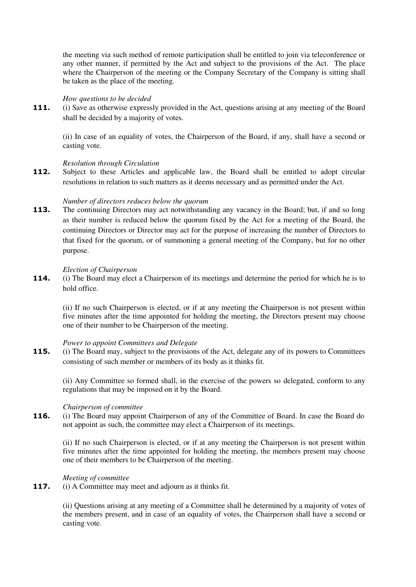the meeting via such method of remote participation shall be entitled to join via teleconference or any other manner, if permitted by the Act and subject to the provisions of the Act. The place where the Chairperson of the meeting or the Company Secretary of the Company is sitting shall be taken as the place of the meeting.

## *How questions to be decided*

**111.** (i) Save as otherwise expressly provided in the Act, questions arising at any meeting of the Board shall be decided by a majority of votes.

(ii) In case of an equality of votes, the Chairperson of the Board, if any, shall have a second or casting vote.

## *Resolution through Circulation*

112. Subject to these Articles and applicable law, the Board shall be entitled to adopt circular resolutions in relation to such matters as it deems necessary and as permitted under the Act.

#### *Number of directors reduces below the quorum*

**113.** The continuing Directors may act notwithstanding any vacancy in the Board; but, if and so long as their number is reduced below the quorum fixed by the Act for a meeting of the Board, the continuing Directors or Director may act for the purpose of increasing the number of Directors to that fixed for the quorum, or of summoning a general meeting of the Company, but for no other purpose.

#### *Election of Chairperson*

**114.** (i) The Board may elect a Chairperson of its meetings and determine the period for which he is to hold office.

(ii) If no such Chairperson is elected, or if at any meeting the Chairperson is not present within five minutes after the time appointed for holding the meeting, the Directors present may choose one of their number to be Chairperson of the meeting.

## *Power to appoint Committees and Delegate*

**115.** (i) The Board may, subject to the provisions of the Act, delegate any of its powers to Committees consisting of such member or members of its body as it thinks fit.

(ii) Any Committee so formed shall, in the exercise of the powers so delegated, conform to any regulations that may be imposed on it by the Board.

#### *Chairperson of committee*

**116.** (i) The Board may appoint Chairperson of any of the Committee of Board. In case the Board do not appoint as such, the committee may elect a Chairperson of its meetings.

(ii) If no such Chairperson is elected, or if at any meeting the Chairperson is not present within five minutes after the time appointed for holding the meeting, the members present may choose one of their members to be Chairperson of the meeting.

# *Meeting of committee*

**117.** (i) A Committee may meet and adjourn as it thinks fit.

(ii) Questions arising at any meeting of a Committee shall be determined by a majority of votes of the members present, and in case of an equality of votes, the Chairperson shall have a second or casting vote.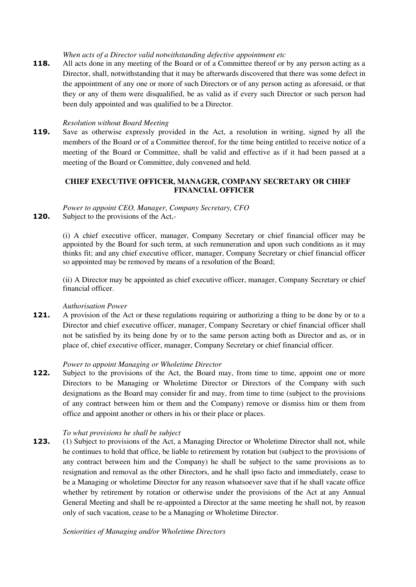*When acts of a Director valid notwithstanding defective appointment etc* 

**118.** All acts done in any meeting of the Board or of a Committee thereof or by any person acting as a Director, shall, notwithstanding that it may be afterwards discovered that there was some defect in the appointment of any one or more of such Directors or of any person acting as aforesaid, or that they or any of them were disqualified, be as valid as if every such Director or such person had been duly appointed and was qualified to be a Director.

# *Resolution without Board Meeting*

**119.** Save as otherwise expressly provided in the Act, a resolution in writing, signed by all the members of the Board or of a Committee thereof, for the time being entitled to receive notice of a meeting of the Board or Committee, shall be valid and effective as if it had been passed at a meeting of the Board or Committee, duly convened and held.

# **CHIEF EXECUTIVE OFFICER, MANAGER, COMPANY SECRETARY OR CHIEF FINANCIAL OFFICER**

## *Power to appoint CEO, Manager, Company Secretary, CFO*  **120.** Subject to the provisions of the Act,-

(i) A chief executive officer, manager, Company Secretary or chief financial officer may be appointed by the Board for such term, at such remuneration and upon such conditions as it may thinks fit; and any chief executive officer, manager, Company Secretary or chief financial officer so appointed may be removed by means of a resolution of the Board;

(ii) A Director may be appointed as chief executive officer, manager, Company Secretary or chief financial officer.

# *Authorisation Power*

**121.** A provision of the Act or these regulations requiring or authorizing a thing to be done by or to a Director and chief executive officer, manager, Company Secretary or chief financial officer shall not be satisfied by its being done by or to the same person acting both as Director and as, or in place of, chief executive officer, manager, Company Secretary or chief financial officer.

#### *Power to appoint Managing or Wholetime Director*

**122.** Subject to the provisions of the Act, the Board may, from time to time, appoint one or more Directors to be Managing or Wholetime Director or Directors of the Company with such designations as the Board may consider fir and may, from time to time (subject to the provisions of any contract between him or them and the Company) remove or dismiss him or them from office and appoint another or others in his or their place or places.

#### *To what provisions he shall be subject*

**123.** (1) Subject to provisions of the Act, a Managing Director or Wholetime Director shall not, while he continues to hold that office, be liable to retirement by rotation but (subject to the provisions of any contract between him and the Company) he shall be subject to the same provisions as to resignation and removal as the other Directors, and he shall ipso facto and immediately, cease to be a Managing or wholetime Director for any reason whatsoever save that if he shall vacate office whether by retirement by rotation or otherwise under the provisions of the Act at any Annual General Meeting and shall be re-appointed a Director at the same meeting he shall not, by reason only of such vacation, cease to be a Managing or Wholetime Director.

*Seniorities of Managing and/or Wholetime Directors*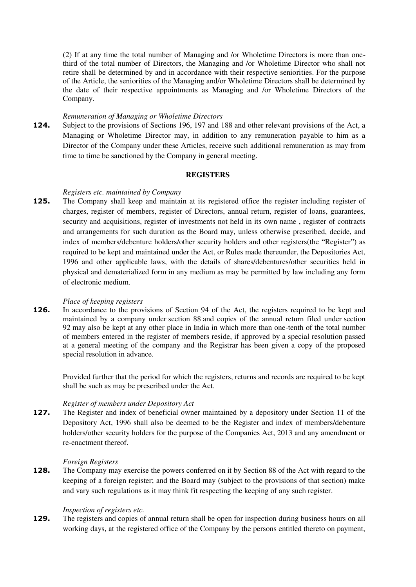(2) If at any time the total number of Managing and /or Wholetime Directors is more than onethird of the total number of Directors, the Managing and /or Wholetime Director who shall not retire shall be determined by and in accordance with their respective seniorities. For the purpose of the Article, the seniorities of the Managing and/or Wholetime Directors shall be determined by the date of their respective appointments as Managing and /or Wholetime Directors of the Company.

#### *Remuneration of Managing or Wholetime Directors*

**124.** Subject to the provisions of Sections 196, 197 and 188 and other relevant provisions of the Act, a Managing or Wholetime Director may, in addition to any remuneration payable to him as a Director of the Company under these Articles, receive such additional remuneration as may from time to time be sanctioned by the Company in general meeting.

# **REGISTERS**

# *Registers etc. maintained by Company*

**125.** The Company shall keep and maintain at its registered office the register including register of charges, register of members, register of Directors, annual return, register of loans, guarantees, security and acquisitions, register of investments not held in its own name , register of contracts and arrangements for such duration as the Board may, unless otherwise prescribed, decide, and index of members/debenture holders/other security holders and other registers(the "Register") as required to be kept and maintained under the Act, or Rules made thereunder, the Depositories Act, 1996 and other applicable laws, with the details of shares/debentures/other securities held in physical and dematerialized form in any medium as may be permitted by law including any form of electronic medium.

# *Place of keeping registers*

**126.** In accordance to the provisions of Section 94 of the Act, the registers required to be kept and maintained by a company under [section 88](http://ebook.mca.gov.in/Actpagedisplay.aspx?PAGENAME=17471) and copies of the annual return filed under [section](http://ebook.mca.gov.in/Actpagedisplay.aspx?PAGENAME=17475)  [92](http://ebook.mca.gov.in/Actpagedisplay.aspx?PAGENAME=17475) may also be kept at any other place in India in which more than one-tenth of the total number of members entered in the register of members reside, if approved by a special resolution passed at a general meeting of the company and the Registrar has been given a copy of the proposed special resolution in advance.

Provided further that the period for which the registers, returns and records are required to be kept shall be suc[h as may be prescribed](http://ebook.mca.gov.in/Actpagedisplay.aspx?PAGENAME=18031) under the Act.

#### *Register of members under Depository Act*

**127.** The Register and index of beneficial owner maintained by a depository under Section 11 of the Depository Act, 1996 shall also be deemed to be the Register and index of members/debenture holders/other security holders for the purpose of the Companies Act, 2013 and any amendment or re-enactment thereof.

#### *Foreign Registers*

**128.** The Company may exercise the powers conferred on it by Section 88 of the Act with regard to the keeping of a foreign register; and the Board may (subject to the provisions of that section) make and vary such regulations as it may think fit respecting the keeping of any such register.

#### *Inspection of registers etc.*

**129.** The registers and copies of annual return shall be open for inspection during business hours on all working days, at the registered office of the Company by the persons entitled thereto on payment,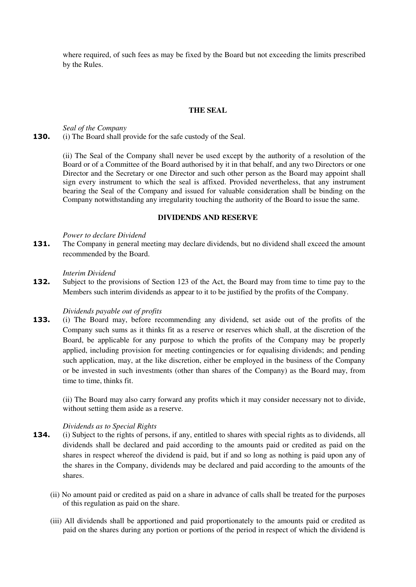where required, of such fees as may be fixed by the Board but not exceeding the limits prescribed by the Rules.

## **THE SEAL**

*Seal of the Company*  **130.** (i) The Board shall provide for the safe custody of the Seal.

> (ii) The Seal of the Company shall never be used except by the authority of a resolution of the Board or of a Committee of the Board authorised by it in that behalf, and any two Directors or one Director and the Secretary or one Director and such other person as the Board may appoint shall sign every instrument to which the seal is affixed. Provided nevertheless, that any instrument bearing the Seal of the Company and issued for valuable consideration shall be binding on the Company notwithstanding any irregularity touching the authority of the Board to issue the same.

## **DIVIDENDS AND RESERVE**

*Power to declare Dividend* 

**131.** The Company in general meeting may declare dividends, but no dividend shall exceed the amount recommended by the Board.

#### *Interim Dividend*

**132.** Subject to the provisions of Section 123 of the Act, the Board may from time to time pay to the Members such interim dividends as appear to it to be justified by the profits of the Company.

#### *Dividends payable out of profits*

**133.** (i) The Board may, before recommending any dividend, set aside out of the profits of the Company such sums as it thinks fit as a reserve or reserves which shall, at the discretion of the Board, be applicable for any purpose to which the profits of the Company may be properly applied, including provision for meeting contingencies or for equalising dividends; and pending such application, may, at the like discretion, either be employed in the business of the Company or be invested in such investments (other than shares of the Company) as the Board may, from time to time, thinks fit.

(ii) The Board may also carry forward any profits which it may consider necessary not to divide, without setting them aside as a reserve.

# *Dividends as to Special Rights*

- **134.** (i) Subject to the rights of persons, if any, entitled to shares with special rights as to dividends, all dividends shall be declared and paid according to the amounts paid or credited as paid on the shares in respect whereof the dividend is paid, but if and so long as nothing is paid upon any of the shares in the Company, dividends may be declared and paid according to the amounts of the shares.
	- (ii) No amount paid or credited as paid on a share in advance of calls shall be treated for the purposes of this regulation as paid on the share.
	- (iii) All dividends shall be apportioned and paid proportionately to the amounts paid or credited as paid on the shares during any portion or portions of the period in respect of which the dividend is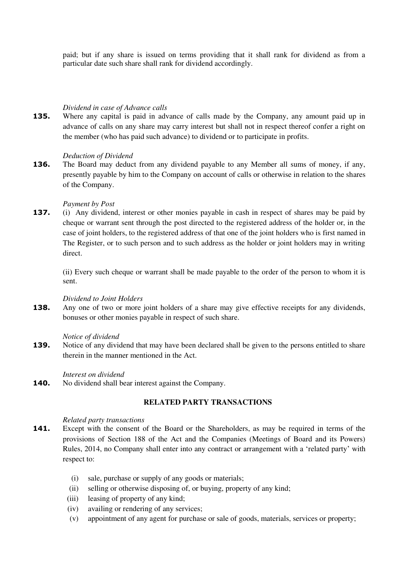paid; but if any share is issued on terms providing that it shall rank for dividend as from a particular date such share shall rank for dividend accordingly.

# *Dividend in case of Advance calls*

**135.** Where any capital is paid in advance of calls made by the Company, any amount paid up in advance of calls on any share may carry interest but shall not in respect thereof confer a right on the member (who has paid such advance) to dividend or to participate in profits.

## *Deduction of Dividend*

**136.** The Board may deduct from any dividend payable to any Member all sums of money, if any, presently payable by him to the Company on account of calls or otherwise in relation to the shares of the Company.

## *Payment by Post*

**137.** (i) Any dividend, interest or other monies payable in cash in respect of shares may be paid by cheque or warrant sent through the post directed to the registered address of the holder or, in the case of joint holders, to the registered address of that one of the joint holders who is first named in The Register, or to such person and to such address as the holder or joint holders may in writing direct.

(ii) Every such cheque or warrant shall be made payable to the order of the person to whom it is sent.

#### *Dividend to Joint Holders*

**138.** Any one of two or more joint holders of a share may give effective receipts for any dividends, bonuses or other monies payable in respect of such share.

#### *Notice of dividend*

**139.** Notice of any dividend that may have been declared shall be given to the persons entitled to share therein in the manner mentioned in the Act.

#### *Interest on dividend*

**140.** No dividend shall bear interest against the Company.

# **RELATED PARTY TRANSACTIONS**

#### *Related party transactions*

- **141.** Except with the consent of the Board or the Shareholders, as may be required in terms of the provisions of Section 188 of the Act and the Companies (Meetings of Board and its Powers) Rules, 2014, no Company shall enter into any contract or arrangement with a 'related party' with respect to:
	- (i) sale, purchase or supply of any goods or materials;
	- (ii) selling or otherwise disposing of, or buying, property of any kind;
	- (iii) leasing of property of any kind;
	- (iv) availing or rendering of any services;
	- (v) appointment of any agent for purchase or sale of goods, materials, services or property;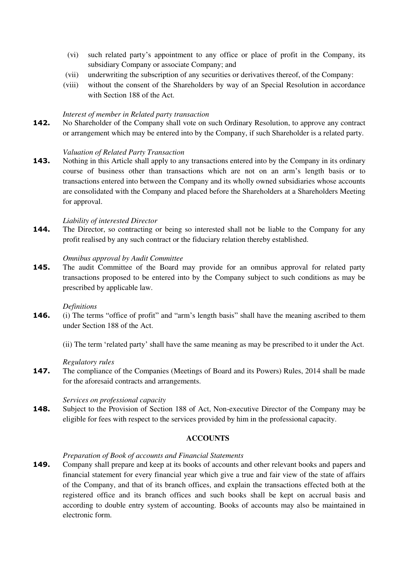- (vi) such related party's appointment to any office or place of profit in the Company, its subsidiary Company or associate Company; and
- (vii) underwriting the subscription of any securities or derivatives thereof, of the Company:
- (viii) without the consent of the Shareholders by way of an Special Resolution in accordance with Section 188 of the Act.

#### *Interest of member in Related party transaction*

142. No Shareholder of the Company shall vote on such Ordinary Resolution, to approve any contract or arrangement which may be entered into by the Company, if such Shareholder is a related party.

#### *Valuation of Related Party Transaction*

**143.** Nothing in this Article shall apply to any transactions entered into by the Company in its ordinary course of business other than transactions which are not on an arm's length basis or to transactions entered into between the Company and its wholly owned subsidiaries whose accounts are consolidated with the Company and placed before the Shareholders at a Shareholders Meeting for approval.

#### *Liability of interested Director*

**144.** The Director, so contracting or being so interested shall not be liable to the Company for any profit realised by any such contract or the fiduciary relation thereby established.

#### *Omnibus approval by Audit Committee*

**145.** The audit Committee of the Board may provide for an omnibus approval for related party transactions proposed to be entered into by the Company subject to such conditions as may be prescribed by applicable law.

#### *Definitions*

**146.** (i) The terms "office of profit" and "arm's length basis" shall have the meaning ascribed to them under Section 188 of the Act.

(ii) The term 'related party' shall have the same meaning as may be prescribed to it under the Act.

#### *Regulatory rules*

**147.** The compliance of the Companies (Meetings of Board and its Powers) Rules, 2014 shall be made for the aforesaid contracts and arrangements.

# *Services on professional capacity*

**148.** Subject to the Provision of Section 188 of Act, Non-executive Director of the Company may be eligible for fees with respect to the services provided by him in the professional capacity.

## **ACCOUNTS**

#### *Preparation of Book of accounts and Financial Statements*

**149.** Company shall prepare and keep at its books of accounts and other relevant books and papers and financial statement for every financial year which give a true and fair view of the state of affairs of the Company, and that of its branch offices, and explain the transactions effected both at the registered office and its branch offices and such books shall be kept on accrual basis and according to double entry system of accounting. Books of accounts may also be maintained in electronic form.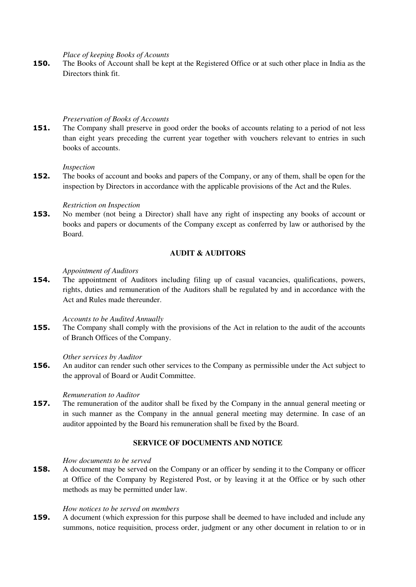*Place of keeping Books of Acounts* 

**150.** The Books of Account shall be kept at the Registered Office or at such other place in India as the Directors think fit.

#### *Preservation of Books of Accounts*

**151.** The Company shall preserve in good order the books of accounts relating to a period of not less than eight years preceding the current year together with vouchers relevant to entries in such books of accounts.

#### *Inspection*

**152.** The books of account and books and papers of the Company, or any of them, shall be open for the inspection by Directors in accordance with the applicable provisions of the Act and the Rules.

## *Restriction on Inspection*

**153.** No member (not being a Director) shall have any right of inspecting any books of account or books and papers or documents of the Company except as conferred by law or authorised by the Board.

## **AUDIT & AUDITORS**

# *Appointment of Auditors*

**154.** The appointment of Auditors including filing up of casual vacancies, qualifications, powers, rights, duties and remuneration of the Auditors shall be regulated by and in accordance with the Act and Rules made thereunder.

*Accounts to be Audited Annually* 

**155.** The Company shall comply with the provisions of the Act in relation to the audit of the accounts of Branch Offices of the Company.

# *Other services by Auditor*

**156.** An auditor can render such other services to the Company as permissible under the Act subject to the approval of Board or Audit Committee.

#### *Remuneration to Auditor*

**157.** The remuneration of the auditor shall be fixed by the Company in the annual general meeting or in such manner as the Company in the annual general meeting may determine. In case of an auditor appointed by the Board his remuneration shall be fixed by the Board.

# **SERVICE OF DOCUMENTS AND NOTICE**

#### *How documents to be served*

**158.** A document may be served on the Company or an officer by sending it to the Company or officer at Office of the Company by Registered Post, or by leaving it at the Office or by such other methods as may be permitted under law.

## *How notices to be served on members*

**159.** A document (which expression for this purpose shall be deemed to have included and include any summons, notice requisition, process order, judgment or any other document in relation to or in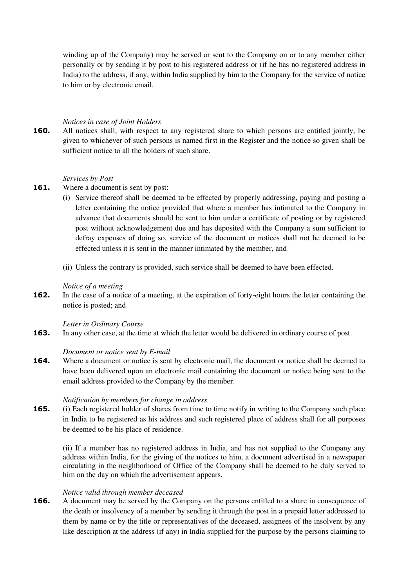winding up of the Company) may be served or sent to the Company on or to any member either personally or by sending it by post to his registered address or (if he has no registered address in India) to the address, if any, within India supplied by him to the Company for the service of notice to him or by electronic email.

## *Notices in case of Joint Holders*

**160.** All notices shall, with respect to any registered share to which persons are entitled jointly, be given to whichever of such persons is named first in the Register and the notice so given shall be sufficient notice to all the holders of such share.

#### *Services by Post*

- **161.** Where a document is sent by post:
	- (i) Service thereof shall be deemed to be effected by properly addressing, paying and posting a letter containing the notice provided that where a member has intimated to the Company in advance that documents should be sent to him under a certificate of posting or by registered post without acknowledgement due and has deposited with the Company a sum sufficient to defray expenses of doing so, service of the document or notices shall not be deemed to be effected unless it is sent in the manner intimated by the member, and
	- (ii) Unless the contrary is provided, such service shall be deemed to have been effected.

## *Notice of a meeting*

**162.** In the case of a notice of a meeting, at the expiration of forty-eight hours the letter containing the notice is posted; and

#### *Letter in Ordinary Course*

**163.** In any other case, at the time at which the letter would be delivered in ordinary course of post.

#### *Document or notice sent by E-mail*

**164.** Where a document or notice is sent by electronic mail, the document or notice shall be deemed to have been delivered upon an electronic mail containing the document or notice being sent to the email address provided to the Company by the member.

#### *Notification by members for change in address*

**165.** (i) Each registered holder of shares from time to time notify in writing to the Company such place in India to be registered as his address and such registered place of address shall for all purposes be deemed to be his place of residence.

(ii) If a member has no registered address in India, and has not supplied to the Company any address within India, for the giving of the notices to him, a document advertised in a newspaper circulating in the neighborhood of Office of the Company shall be deemed to be duly served to him on the day on which the advertisement appears.

# *Notice valid through member deceased*

**166.** A document may be served by the Company on the persons entitled to a share in consequence of the death or insolvency of a member by sending it through the post in a prepaid letter addressed to them by name or by the title or representatives of the deceased, assignees of the insolvent by any like description at the address (if any) in India supplied for the purpose by the persons claiming to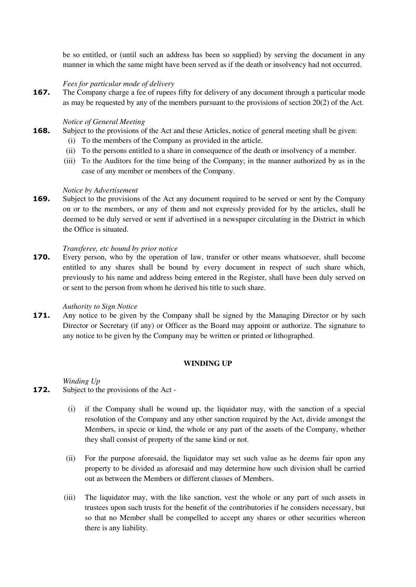be so entitled, or (until such an address has been so supplied) by serving the document in any manner in which the same might have been served as if the death or insolvency had not occurred.

# *Fees for particular mode of delivery*

**167.** The Company charge a fee of rupees fifty for delivery of any document through a particular mode as may be requested by any of the members pursuant to the provisions of section 20(2) of the Act.

# *Notice of General Meeting*

- **168.** Subject to the provisions of the Act and these Articles, notice of general meeting shall be given:
	- (i) To the members of the Company as provided in the article.
	- (ii) To the persons entitled to a share in consequence of the death or insolvency of a member.
	- (iii) To the Auditors for the time being of the Company; in the manner authorized by as in the case of any member or members of the Company.

# *Notice by Advertisement*

**169.** Subject to the provisions of the Act any document required to be served or sent by the Company on or to the members, or any of them and not expressly provided for by the articles, shall be deemed to be duly served or sent if advertised in a newspaper circulating in the District in which the Office is situated.

# *Transferee, etc bound by prior notice*

**170.** Every person, who by the operation of law, transfer or other means whatsoever, shall become entitled to any shares shall be bound by every document in respect of such share which, previously to his name and address being entered in the Register, shall have been duly served on or sent to the person from whom he derived his title to such share.

# *Authority to Sign Notice*

**171.** Any notice to be given by the Company shall be signed by the Managing Director or by such Director or Secretary (if any) or Officer as the Board may appoint or authorize. The signature to any notice to be given by the Company may be written or printed or lithographed.

# **WINDING UP**

*Winding Up* 

- **172.** Subject to the provisions of the Act
	- (i) if the Company shall be wound up, the liquidator may, with the sanction of a special resolution of the Company and any other sanction required by the Act, divide amongst the Members, in specie or kind, the whole or any part of the assets of the Company, whether they shall consist of property of the same kind or not.
	- (ii) For the purpose aforesaid, the liquidator may set such value as he deems fair upon any property to be divided as aforesaid and may determine how such division shall be carried out as between the Members or different classes of Members.
	- (iii) The liquidator may, with the like sanction, vest the whole or any part of such assets in trustees upon such trusts for the benefit of the contributories if he considers necessary, but so that no Member shall be compelled to accept any shares or other securities whereon there is any liability.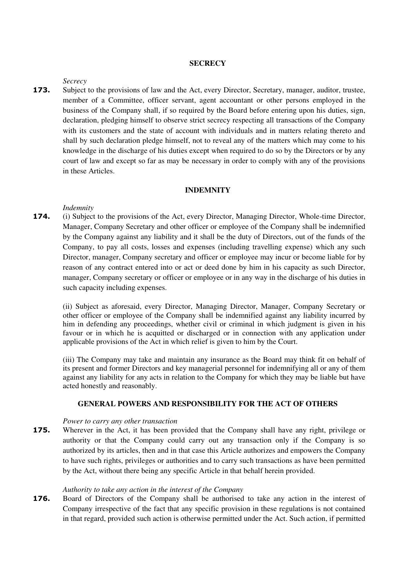## **SECRECY**

#### *Secrecy*

**173.** Subject to the provisions of law and the Act, every Director, Secretary, manager, auditor, trustee, member of a Committee, officer servant, agent accountant or other persons employed in the business of the Company shall, if so required by the Board before entering upon his duties, sign, declaration, pledging himself to observe strict secrecy respecting all transactions of the Company with its customers and the state of account with individuals and in matters relating thereto and shall by such declaration pledge himself, not to reveal any of the matters which may come to his knowledge in the discharge of his duties except when required to do so by the Directors or by any court of law and except so far as may be necessary in order to comply with any of the provisions in these Articles.

## **INDEMNITY**

#### *Indemnity*

**174.** (i) Subject to the provisions of the Act, every Director, Managing Director, Whole-time Director, Manager, Company Secretary and other officer or employee of the Company shall be indemnified by the Company against any liability and it shall be the duty of Directors, out of the funds of the Company, to pay all costs, losses and expenses (including travelling expense) which any such Director, manager, Company secretary and officer or employee may incur or become liable for by reason of any contract entered into or act or deed done by him in his capacity as such Director, manager, Company secretary or officer or employee or in any way in the discharge of his duties in such capacity including expenses.

(ii) Subject as aforesaid, every Director, Managing Director, Manager, Company Secretary or other officer or employee of the Company shall be indemnified against any liability incurred by him in defending any proceedings, whether civil or criminal in which judgment is given in his favour or in which he is acquitted or discharged or in connection with any application under applicable provisions of the Act in which relief is given to him by the Court.

(iii) The Company may take and maintain any insurance as the Board may think fit on behalf of its present and former Directors and key managerial personnel for indemnifying all or any of them against any liability for any acts in relation to the Company for which they may be liable but have acted honestly and reasonably.

# **GENERAL POWERS AND RESPONSIBILITY FOR THE ACT OF OTHERS**

#### *Power to carry any other transaction*

**175.** Wherever in the Act, it has been provided that the Company shall have any right, privilege or authority or that the Company could carry out any transaction only if the Company is so authorized by its articles, then and in that case this Article authorizes and empowers the Company to have such rights, privileges or authorities and to carry such transactions as have been permitted by the Act, without there being any specific Article in that behalf herein provided.

# *Authority to take any action in the interest of the Company*

**176.** Board of Directors of the Company shall be authorised to take any action in the interest of Company irrespective of the fact that any specific provision in these regulations is not contained in that regard, provided such action is otherwise permitted under the Act. Such action, if permitted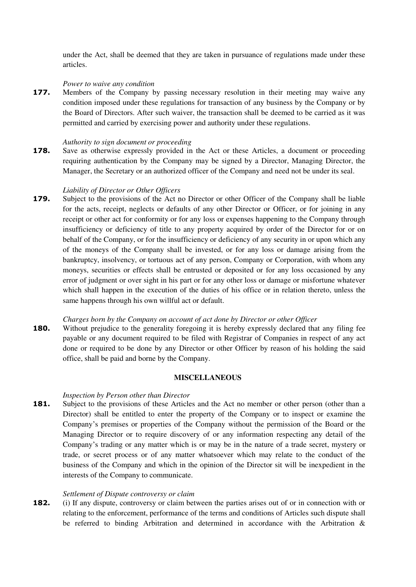under the Act, shall be deemed that they are taken in pursuance of regulations made under these articles.

## *Power to waive any condition*

**177.** Members of the Company by passing necessary resolution in their meeting may waive any condition imposed under these regulations for transaction of any business by the Company or by the Board of Directors. After such waiver, the transaction shall be deemed to be carried as it was permitted and carried by exercising power and authority under these regulations.

## *Authority to sign document or proceeding*

**178.** Save as otherwise expressly provided in the Act or these Articles, a document or proceeding requiring authentication by the Company may be signed by a Director, Managing Director, the Manager, the Secretary or an authorized officer of the Company and need not be under its seal.

## *Liability of Director or Other Officers*

**179.** Subject to the provisions of the Act no Director or other Officer of the Company shall be liable for the acts, receipt, neglects or defaults of any other Director or Officer, or for joining in any receipt or other act for conformity or for any loss or expenses happening to the Company through insufficiency or deficiency of title to any property acquired by order of the Director for or on behalf of the Company, or for the insufficiency or deficiency of any security in or upon which any of the moneys of the Company shall be invested, or for any loss or damage arising from the bankruptcy, insolvency, or tortuous act of any person, Company or Corporation, with whom any moneys, securities or effects shall be entrusted or deposited or for any loss occasioned by any error of judgment or over sight in his part or for any other loss or damage or misfortune whatever which shall happen in the execution of the duties of his office or in relation thereto, unless the same happens through his own willful act or default.

#### *Charges born by the Company on account of act done by Director or other Officer*

**180.** Without prejudice to the generality foregoing it is hereby expressly declared that any filing fee payable or any document required to be filed with Registrar of Companies in respect of any act done or required to be done by any Director or other Officer by reason of his holding the said office, shall be paid and borne by the Company.

## **MISCELLANEOUS**

#### *Inspection by Person other than Director*

**181.** Subject to the provisions of these Articles and the Act no member or other person (other than a Director) shall be entitled to enter the property of the Company or to inspect or examine the Company's premises or properties of the Company without the permission of the Board or the Managing Director or to require discovery of or any information respecting any detail of the Company's trading or any matter which is or may be in the nature of a trade secret, mystery or trade, or secret process or of any matter whatsoever which may relate to the conduct of the business of the Company and which in the opinion of the Director sit will be inexpedient in the interests of the Company to communicate.

## *Settlement of Dispute controversy or claim*

**182.** (i) If any dispute, controversy or claim between the parties arises out of or in connection with or relating to the enforcement, performance of the terms and conditions of Articles such dispute shall be referred to binding Arbitration and determined in accordance with the Arbitration &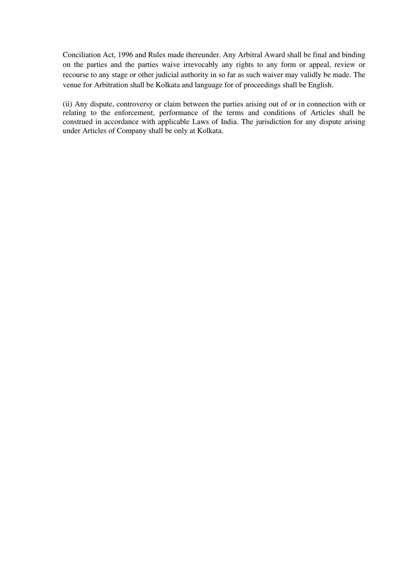Conciliation Act, 1996 and Rules made thereunder. Any Arbitral Award shall be final and binding on the parties and the parties waive irrevocably any rights to any form or appeal, review or recourse to any stage or other judicial authority in so far as such waiver may validly be made. The venue for Arbitration shall be Kolkata and language for of proceedings shall be English.

(ii) Any dispute, controversy or claim between the parties arising out of or in connection with or relating to the enforcement, performance of the terms and conditions of Articles shall be construed in accordance with applicable Laws of India. The jurisdiction for any dispute arising under Articles of Company shall be only at Kolkata.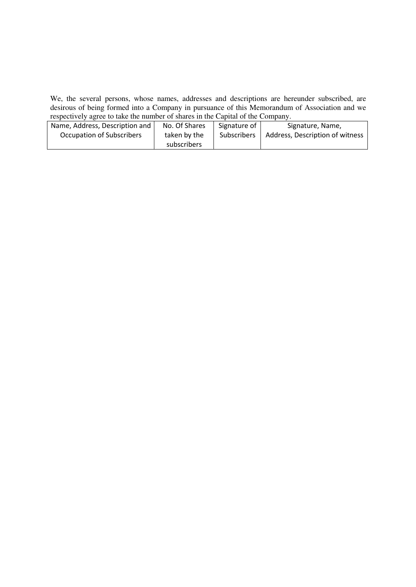We, the several persons, whose names, addresses and descriptions are hereunder subscribed, are desirous of being formed into a Company in pursuance of this Memorandum of Association and we respectively agree to take the number of shares in the Capital of the Company.

| Name, Address, Description and | No. Of Shares | Signature of | Signature, Name,                |
|--------------------------------|---------------|--------------|---------------------------------|
| Occupation of Subscribers      | taken by the  | Subscribers  | Address, Description of witness |
|                                | subscribers   |              |                                 |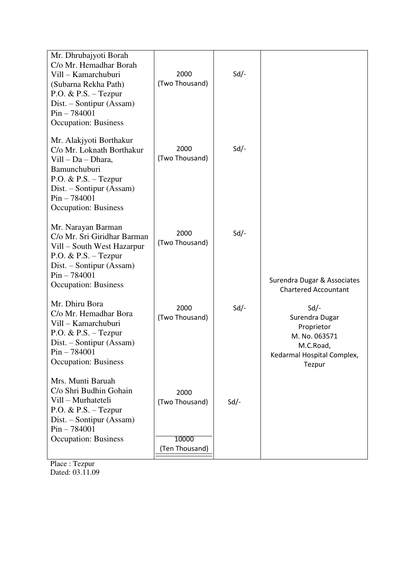| Mr. Dhrubajyoti Borah<br>C/o Mr. Hemadhar Borah<br>Vill - Kamarchuburi<br>(Subarna Rekha Path)<br>P.O. & P.S. $-$ Tezpur<br>Dist. – Sontipur (Assam)<br>$Pin - 784001$<br><b>Occupation: Business</b> | 2000<br>(Two Thousand)                            | $Sd$ /- |                                                                                                          |
|-------------------------------------------------------------------------------------------------------------------------------------------------------------------------------------------------------|---------------------------------------------------|---------|----------------------------------------------------------------------------------------------------------|
| Mr. Alakjyoti Borthakur<br>C/o Mr. Loknath Borthakur<br>$Vill - Da - Dhara$ ,<br>Bamunchuburi<br>P.O. & P.S. - Tezpur<br>Dist. – Sontipur (Assam)<br>$Pin - 784001$<br><b>Occupation: Business</b>    | 2000<br>(Two Thousand)                            | $Sd$ /- |                                                                                                          |
| Mr. Narayan Barman<br>C/o Mr. Sri Giridhar Barman<br>Vill – South West Hazarpur<br>$P.O. \& P.S. - Tezpur$<br>Dist. – Sontipur (Assam)<br>$Pin - 784001$<br><b>Occupation: Business</b>               | 2000<br>(Two Thousand)                            | $Sd$ /- | Surendra Dugar & Associates<br><b>Chartered Accountant</b>                                               |
| Mr. Dhiru Bora<br>C/o Mr. Hemadhar Bora<br>Vill - Kamarchuburi<br>P.O. & P.S. $-$ Tezpur<br>Dist. – Sontipur (Assam)<br>$Pin - 784001$<br><b>Occupation: Business</b>                                 | 2000<br>(Two Thousand)                            | $Sd$ /- | Sd<br>Surendra Dugar<br>Proprietor<br>M. No. 063571<br>M.C.Road,<br>Kedarmal Hospital Complex,<br>Tezpur |
| Mrs. Munti Baruah<br>C/o Shri Budhin Gohain<br>Vill - Murhateteli<br>$P.O. \& P.S. - Tezpur$<br>Dist. – Sontipur (Assam)<br>$Pin - 784001$<br><b>Occupation: Business</b>                             | 2000<br>(Two Thousand)<br>10000<br>(Ten Thousand) | $Sd$ -  |                                                                                                          |

Place : Tezpur Dated: 03.11.09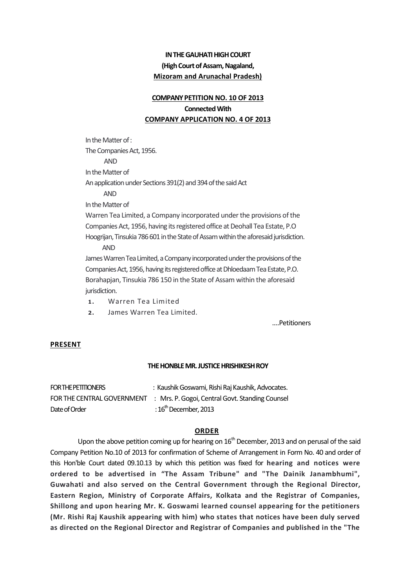# **IN THE GAUHATI HIGH COURT (High Court of Assam, Nagaland, Mizoram and Arunachal Pradesh)**

# **COMPANY PETITION NO. 10 OF 2013**

# **Connected With COMPANY APPLICATION NO. 4 OF 2013**

In the Matter of : The Companies Act, 1956. AND In the Matter of An application under Sections 391(2) and 394 of the said Act AND In the Matter of Warren Tea Limited, a Company incorporated under the provisions of the Companies Act, 1956, having its registered office at Deohall Tea Estate, P.O Hoogrijan, Tinsukia 786 601 in the State of Assam within the aforesaid jurisdiction. AND James Warren Tea Limited, a Company incorporated under the provisions of the Companies Act, 1956, having its registered office at Dhloedaam Tea Estate, P.O. Borahapjan, Tinsukia 786 150 in the State of Assam within the aforesaid

- jurisdiction.
- 1. Warren Tea Limited
- 2. James Warren Tea Limited.

….Petitioners

# **PRESENT**

#### **THE HONBLE MR. JUSTICE HRISHIKESH ROY**

| FOR THE PETITIONERS | : Kaushik Goswami, Rishi Raj Kaushik, Advocates.                           |
|---------------------|----------------------------------------------------------------------------|
|                     | FOR THE CENTRAL GOVERNMENT : Mrs. P. Gogoi, Central Govt. Standing Counsel |
| Date of Order       | : $16^{\text{th}}$ December, 2013                                          |

#### **ORDER**

Upon the above petition coming up for hearing on  $16<sup>th</sup>$  December, 2013 and on perusal of the said Company Petition No.10 of 2013 for confirmation of Scheme of Arrangement in Form No. 40 and order of this Hon'ble Court dated 09.10.13 by which this petition was fixed for **hearing and notices were**  ordered to be advertised in "The Assam Tribune" and "The Dainik Janambhumi", **Guwahati and also served on the Central Government through the Regional Director, Eastern Region, Ministry of Corporate Affairs, Kolkata and the Registrar of Companies, Shillong and upon hearing Mr. K. Goswami learned counsel appearing for the petitioners (Mr. Rishi Raj Kaushik appearing with him) who states that notices have been duly served as directed on the Regional Director and Registrar of Companies and published in the "The**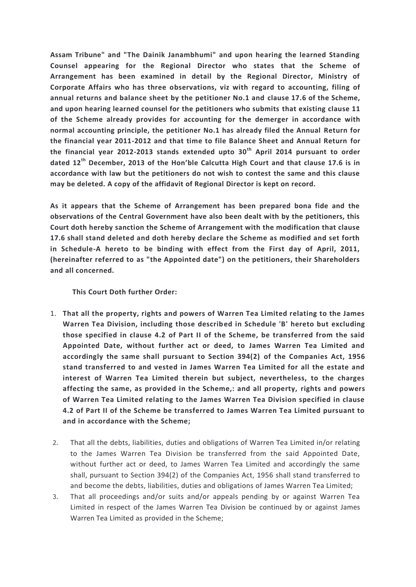**Assam Tribune" and "The Dainik Janambhumi" and upon hearing the learned Standing Counsel appearing for the Regional Director who states that the Scheme of Arrangement has been examined in detail by the Regional Director, Ministry of Corporate Affairs who has three observations, viz with regard to accounting, filing of annual returns and balance sheet by the petitioner No.1 and clause 17.6 of the Scheme, and upon hearing learned counsel for the petitioners who submits that existing clause 11 of the Scheme already provides for accounting for the demerger in accordance with normal accounting principle, the petitioner No.1 has already filed the Annual Return for the financial year 2011-2012 and that time to file Balance Sheet and Annual Return for the financial year 2012-2013 stands extended upto 30 th April 2014 pursuant to order dated 12th December, 2013 of the Hon'ble Calcutta High Court and that clause 17.6 is in accordance with law but the petitioners do not wish to contest the same and this clause may be deleted. A copy of the affidavit of Regional Director is kept on record.**

**As it appears that the Scheme of Arrangement has been prepared bona fide and the observations of the Central Government have also been dealt with by the petitioners, this Court doth hereby sanction the Scheme of Arrangement with the modification that clause 17.6 shall stand deleted and doth hereby declare the Scheme as modified and set forth in Schedule-A hereto to be binding with effect from the First day of April, 2011, (hereinafter referred to as "the Appointed date") on the petitioners, their Shareholders and all concerned.**

# **This Court Doth further Order:**

- 1. **That all the property, rights and powers of Warren Tea Limited relating to the James Warren Tea Division, including those described in Schedule 'B' hereto but excluding those specified in clause 4.2 of Part II of the Scheme, be transferred from the said Appointed Date, without further act or deed, to James Warren Tea Limited and accordingly the same shall pursuant to Section 394(2) of the Companies Act, 1956 stand transferred to and vested in James Warren Tea Limited for all the estate and interest of Warren Tea Limited therein but subject, nevertheless, to the charges affecting the same, as provided in the Scheme,: and all property, rights and powers of Warren Tea Limited relating to the James Warren Tea Division specified in clause 4.2 of Part II of the Scheme be transferred to James Warren Tea Limited pursuant to and in accordance with the Scheme;**
- 2. That all the debts, liabilities, duties and obligations of Warren Tea Limited in/or relating to the James Warren Tea Division be transferred from the said Appointed Date, without further act or deed, to James Warren Tea Limited and accordingly the same shall, pursuant to Section 394(2) of the Companies Act, 1956 shall stand transferred to and become the debts, liabilities, duties and obligations of James Warren Tea Limited;
- 3. That all proceedings and/or suits and/or appeals pending by or against Warren Tea Limited in respect of the James Warren Tea Division be continued by or against James Warren Tea Limited as provided in the Scheme;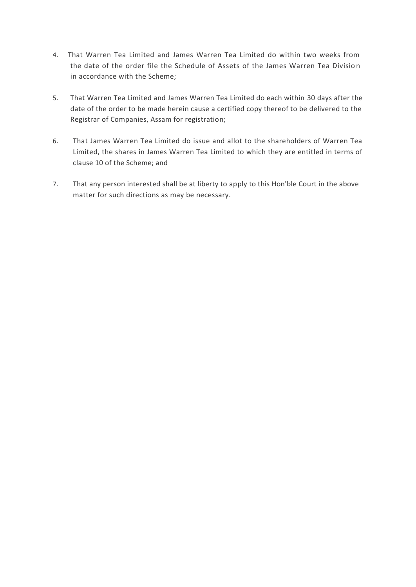- 4. That Warren Tea Limited and James Warren Tea Limited do within two weeks from the date of the order file the Schedule of Assets of the James Warren Tea Divisio n in accordance with the Scheme;
- 5. That Warren Tea Limited and James Warren Tea Limited do each within 30 days after the date of the order to be made herein cause a certified copy thereof to be delivered to the Registrar of Companies, Assam for registration;
- 6. That James Warren Tea Limited do issue and allot to the shareholders of Warren Tea Limited, the shares in James Warren Tea Limited to which they are entitled in terms of clause 10 of the Scheme; and
- 7. That any person interested shall be at liberty to apply to this Hon'ble Court in the above matter for such directions as may be necessary.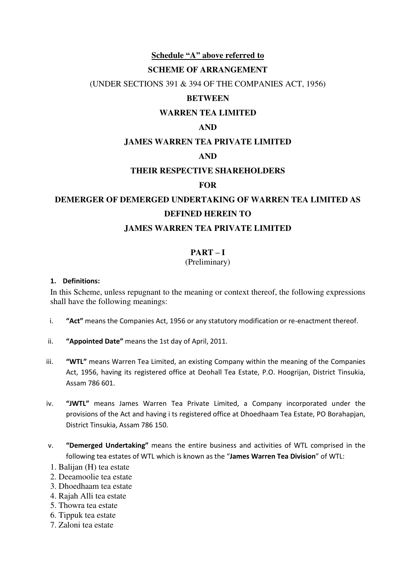# **Schedule "A" above referred to**

# **SCHEME OF ARRANGEMENT**

(UNDER SECTIONS 391 & 394 OF THE COMPANIES ACT, 1956)

# **BETWEEN**

# **WARREN TEA LIMITED**

# **AND**

# **JAMES WARREN TEA PRIVATE LIMITED**

# **AND**

# **THEIR RESPECTIVE SHAREHOLDERS**

# **FOR**

# **DEMERGER OF DEMERGED UNDERTAKING OF WARREN TEA LIMITED AS DEFINED HEREIN TO**

# **JAMES WARREN TEA PRIVATE LIMITED**

# **PART – I**

# (Preliminary)

# **1. Definitions:**

In this Scheme, unless repugnant to the meaning or context thereof, the following expressions shall have the following meanings:

- i. **Act<sup>"</sup>** means the Companies Act, 1956 or any statutory modification or re-enactment thereof.
- ii. **"Appointed Date"** means the 1st day of April, 2011.
- iii. **"WTL"** means Warren Tea Limited, an existing Company within the meaning of the Companies Act, 1956, having its registered office at Deohall Tea Estate, P.O. Hoogrijan, District Tinsukia, Assam 786 601.
- iv. "JWTL" means James Warren Tea Private Limited, a Company incorporated under the provisions of the Act and having i ts registered office at Dhoedhaam Tea Estate, PO Borahapjan, District Tinsukia, Assam 786 150.
- v. **"Demerged Undertaking"** means the entire business and activities of WTL comprised in the following tea estates of WTL which is known as the "James Warren Tea Division" of WTL:
- 1. Balijan (H) tea estate
- 2. Deeamoolie tea estate
- 3. Dhoedhaam tea estate
- 4. Rajah Alli tea estate
- 5. Thowra tea estate
- 6. Tippuk tea estate
- 7. Zaloni tea estate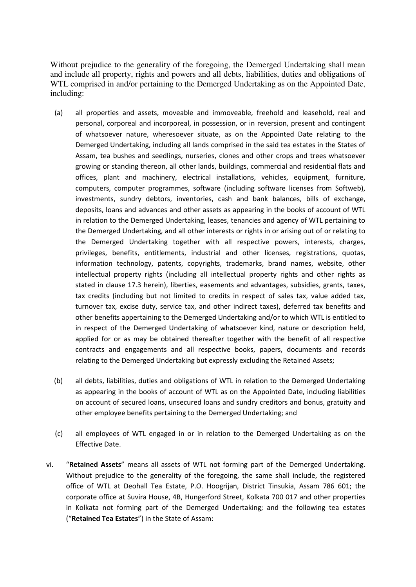Without prejudice to the generality of the foregoing, the Demerged Undertaking shall mean and include all property, rights and powers and all debts, liabilities, duties and obligations of WTL comprised in and/or pertaining to the Demerged Undertaking as on the Appointed Date, including:

- (a) all properties and assets, moveable and immoveable, freehold and leasehold, real and personal, corporeal and incorporeal, in possession, or in reversion, present and contingent of whatsoever nature, wheresoever situate, as on the Appointed Date relating to the Demerged Undertaking, including all lands comprised in the said tea estates in the States of Assam, tea bushes and seedlings, nurseries, clones and other crops and trees whatsoever growing or standing thereon, all other lands, buildings, commercial and residential flats and offices, plant and machinery, electrical installations, vehicles, equipment, furniture, computers, computer programmes, software (including software licenses from Softweb), investments, sundry debtors, inventories, cash and bank balances, bills of exchange, deposits, loans and advances and other assets as appearing in the books of account of WTL in relation to the Demerged Undertaking, leases, tenancies and agency of WTL pertaining to the Demerged Undertaking, and all other interests or rights in or arising out of or relating to the Demerged Undertaking together with all respective powers, interests, charges, privileges, benefits, entitlements, industrial and other licenses, registrations, quotas, information technology, patents, copyrights, trademarks, brand names, website, other intellectual property rights (including all intellectual property rights and other rights as stated in clause 17.3 herein), liberties, easements and advantages, subsidies, grants, taxes, tax credits (including but not limited to credits in respect of sales tax, value added tax, turnover tax, excise duty, service tax, and other indirect taxes), deferred tax benefits and other benefits appertaining to the Demerged Undertaking and/or to which WTL is entitled to in respect of the Demerged Undertaking of whatsoever kind, nature or description held, applied for or as may be obtained thereafter together with the benefit of all respective contracts and engagements and all respective books, papers, documents and records relating to the Demerged Undertaking but expressly excluding the Retained Assets;
- (b) all debts, liabilities, duties and obligations of WTL in relation to the Demerged Undertaking as appearing in the books of account of WTL as on the Appointed Date, including liabilities on account of secured loans, unsecured loans and sundry creditors and bonus, gratuity and other employee benefits pertaining to the Demerged Undertaking; and
- (c) all employees of WTL engaged in or in relation to the Demerged Undertaking as on the Effective Date.
- vi. "Retained Assets" means all assets of WTL not forming part of the Demerged Undertaking. Without prejudice to the generality of the foregoing, the same shall include, the registered office of WTL at Deohall Tea Estate, P.O. Hoogrijan, District Tinsukia, Assam 786 601; the corporate office at Suvira House, 4B, Hungerford Street, Kolkata 700 017 and other properties in Kolkata not forming part of the Demerged Undertaking; and the following tea estates (͞**Retained Tea Estates**͟) in the State of Assam: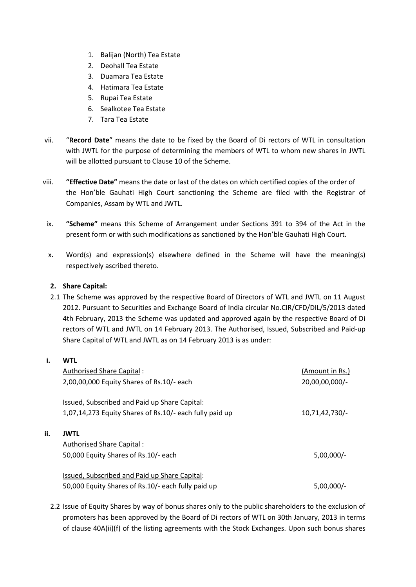- 1. Balijan (North) Tea Estate
- 2. Deohall Tea Estate
- 3. Duamara Tea Estate
- 4. Hatimara Tea Estate
- 5. Rupai Tea Estate
- 6. Sealkotee Tea Estate
- 7. Tara Tea Estate
- vii. "Record Date" means the date to be fixed by the Board of Di rectors of WTL in consultation with JWTL for the purpose of determining the members of WTL to whom new shares in JWTL will be allotted pursuant to Clause 10 of the Scheme.
- viii. **͞Effective Date͟** means the date or last of the dates on which certified copies of the order of the Hon'ble Gauhati High Court sanctioning the Scheme are filed with the Registrar of Companies, Assam by WTL and JWTL.
- ix. **"Scheme"** means this Scheme of Arrangement under Sections 391 to 394 of the Act in the present form or with such modifications as sanctioned by the Hon'ble Gauhati High Court.
- x. Word(s) and expression(s) elsewhere defined in the Scheme will have the meaning(s) respectively ascribed thereto.

# **2. Share Capital:**

2.1 The Scheme was approved by the respective Board of Directors of WTL and JWTL on 11 August 2012. Pursuant to Securities and Exchange Board of India circular No.CIR/CFD/DIL/5/2013 dated 4th February, 2013 the Scheme was updated and approved again by the respective Board of Di rectors of WTL and JWTL on 14 February 2013. The Authorised, Issued, Subscribed and Paid-up Share Capital of WTL and JWTL as on 14 February 2013 is as under:

# **i. WTL**

 $\mathbf{ii}$ .

| Authorised Share Capital:                               | (Amount in Rs.) |
|---------------------------------------------------------|-----------------|
| 2,00,00,000 Equity Shares of Rs.10/- each               | 20,00,00,000/-  |
|                                                         |                 |
| Issued, Subscribed and Paid up Share Capital:           |                 |
| 1,07,14,273 Equity Shares of Rs.10/- each fully paid up | 10,71,42,730/-  |
|                                                         |                 |
| <b>JWTL</b>                                             |                 |
| Authorised Share Capital:                               |                 |
| 50,000 Equity Shares of Rs.10/- each                    | $5,00,000/-$    |
|                                                         |                 |
| Issued, Subscribed and Paid up Share Capital:           |                 |
| 50,000 Equity Shares of Rs.10/- each fully paid up      | $5,00,000/-$    |

2.2 Issue of Equity Shares by way of bonus shares only to the public shareholders to the exclusion of promoters has been approved by the Board of Di rectors of WTL on 30th January, 2013 in terms of clause 40A(ii)(f) of the listing agreements with the Stock Exchanges. Upon such bonus shares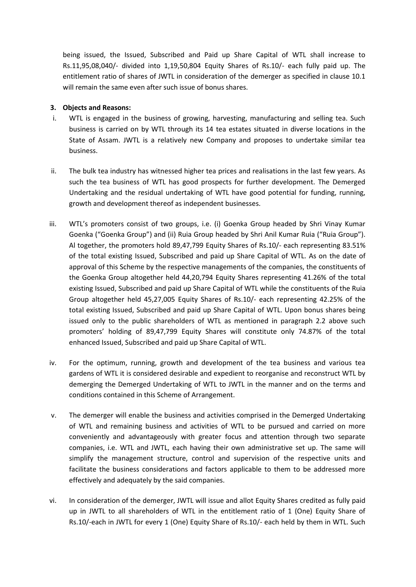being issued, the Issued, Subscribed and Paid up Share Capital of WTL shall increase to Rs.11,95,08,040/- divided into 1,19,50,804 Equity Shares of Rs.10/- each fully paid up. The entitlement ratio of shares of JWTL in consideration of the demerger as specified in clause 10.1 will remain the same even after such issue of bonus shares.

# **3. Objects and Reasons:**

- i. WTL is engaged in the business of growing, harvesting, manufacturing and selling tea. Such business is carried on by WTL through its 14 tea estates situated in diverse locations in the State of Assam. JWTL is a relatively new Company and proposes to undertake similar tea business.
- ii. The bulk tea industry has witnessed higher tea prices and realisations in the last few years. As such the tea business of WTL has good prospects for further development. The Demerged Undertaking and the residual undertaking of WTL have good potential for funding, running, growth and development thereof as independent businesses.
- iii. WTL's promoters consist of two groups, i.e. (i) Goenka Group headed by Shri Vinay Kumar Goenka ("Goenka Group") and (ii) Ruia Group headed by Shri Anil Kumar Ruia ("Ruia Group"). Al together, the promoters hold 89,47,799 Equity Shares of Rs.10/- each representing 83.51% of the total existing Issued, Subscribed and paid up Share Capital of WTL. As on the date of approval of this Scheme by the respective managements of the companies, the constituents of the Goenka Group altogether held 44,20,794 Equity Shares representing 41.26% of the total existing Issued, Subscribed and paid up Share Capital of WTL while the constituents of the Ruia Group altogether held 45,27,005 Equity Shares of Rs.10/- each representing 42.25% of the total existing Issued, Subscribed and paid up Share Capital of WTL. Upon bonus shares being issued only to the public shareholders of WTL as mentioned in paragraph 2.2 above such promoters' holding of 89,47,799 Equity Shares will constitute only 74.87% of the total enhanced Issued, Subscribed and paid up Share Capital of WTL.
- iv. For the optimum, running, growth and development of the tea business and various tea gardens of WTL it is considered desirable and expedient to reorganise and reconstruct WTL by demerging the Demerged Undertaking of WTL to JWTL in the manner and on the terms and conditions contained in this Scheme of Arrangement.
- v. The demerger will enable the business and activities comprised in the Demerged Undertaking of WTL and remaining business and activities of WTL to be pursued and carried on more conveniently and advantageously with greater focus and attention through two separate companies, i.e. WTL and JWTL, each having their own administrative set up. The same will simplify the management structure, control and supervision of the respective units and facilitate the business considerations and factors applicable to them to be addressed more effectively and adequately by the said companies.
- vi. In consideration of the demerger, JWTL will issue and allot Equity Shares credited as fully paid up in JWTL to all shareholders of WTL in the entitlement ratio of 1 (One) Equity Share of Rs.10/-each in JWTL for every 1 (One) Equity Share of Rs.10/- each held by them in WTL. Such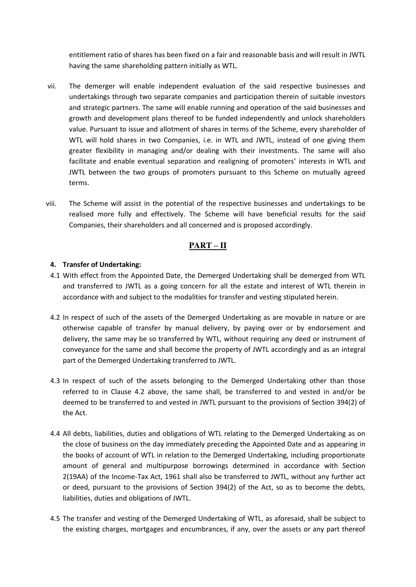entitlement ratio of shares has been fixed on a fair and reasonable basis and will result in JWTL having the same shareholding pattern initially as WTL.

- vii. The demerger will enable independent evaluation of the said respective businesses and undertakings through two separate companies and participation therein of suitable investors and strategic partners. The same will enable running and operation of the said businesses and growth and development plans thereof to be funded independently and unlock shareholders value. Pursuant to issue and allotment of shares in terms of the Scheme, every shareholder of WTL will hold shares in two Companies, i.e. in WTL and JWTL, instead of one giving them greater flexibility in managing and/or dealing with their investments. The same will also facilitate and enable eventual separation and realigning of promoters' interests in WTL and JWTL between the two groups of promoters pursuant to this Scheme on mutually agreed terms.
- viii. The Scheme will assist in the potential of the respective businesses and undertakings to be realised more fully and effectively. The Scheme will have beneficial results for the said Companies, their shareholders and all concerned and is proposed accordingly.

# **PART – II**

# **4. Transfer of Undertaking:**

- 4.1 With effect from the Appointed Date, the Demerged Undertaking shall be demerged from WTL and transferred to JWTL as a going concern for all the estate and interest of WTL therein in accordance with and subject to the modalities for transfer and vesting stipulated herein.
- 4.2 In respect of such of the assets of the Demerged Undertaking as are movable in nature or are otherwise capable of transfer by manual delivery, by paying over or by endorsement and delivery, the same may be so transferred by WTL, without requiring any deed or instrument of conveyance for the same and shall become the property of JWTL accordingly and as an integral part of the Demerged Undertaking transferred to JWTL.
- 4.3 In respect of such of the assets belonging to the Demerged Undertaking other than those referred to in Clause 4.2 above, the same shall, be transferred to and vested in and/or be deemed to be transferred to and vested in JWTL pursuant to the provisions of Section 394(2) of the Act.
- 4.4 All debts, liabilities, duties and obligations of WTL relating to the Demerged Undertaking as on the close of business on the day immediately preceding the Appointed Date and as appearing in the books of account of WTL in relation to the Demerged Undertaking, including proportionate amount of general and multipurpose borrowings determined in accordance with Section 2(19AA) of the Income-Tax Act, 1961 shall also be transferred to JWTL, without any further act or deed, pursuant to the provisions of Section 394(2) of the Act, so as to become the debts, liabilities, duties and obligations of JWTL.
- 4.5 The transfer and vesting of the Demerged Undertaking of WTL, as aforesaid, shall be subject to the existing charges, mortgages and encumbrances, if any, over the assets or any part thereof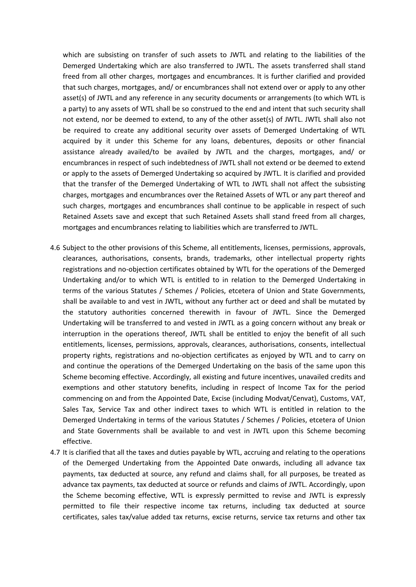which are subsisting on transfer of such assets to JWTL and relating to the liabilities of the Demerged Undertaking which are also transferred to JWTL. The assets transferred shall stand freed from all other charges, mortgages and encumbrances. It is further clarified and provided that such charges, mortgages, and/ or encumbrances shall not extend over or apply to any other asset(s) of JWTL and any reference in any security documents or arrangements (to which WTL is a party) to any assets of WTL shall be so construed to the end and intent that such security shall not extend, nor be deemed to extend, to any of the other asset(s) of JWTL. JWTL shall also not be required to create any additional security over assets of Demerged Undertaking of WTL acquired by it under this Scheme for any loans, debentures, deposits or other financial assistance already availed/to be availed by JWTL and the charges, mortgages, and/ or encumbrances in respect of such indebtedness of JWTL shall not extend or be deemed to extend or apply to the assets of Demerged Undertaking so acquired by JWTL. It is clarified and provided that the transfer of the Demerged Undertaking of WTL to JWTL shall not affect the subsisting charges, mortgages and encumbrances over the Retained Assets of WTL or any part thereof and such charges, mortgages and encumbrances shall continue to be applicable in respect of such Retained Assets save and except that such Retained Assets shall stand freed from all charges, mortgages and encumbrances relating to liabilities which are transferred to JWTL.

- 4.6 Subject to the other provisions of this Scheme, all entitlements, licenses, permissions, approvals, clearances, authorisations, consents, brands, trademarks, other intellectual property rights registrations and no-objection certificates obtained by WTL for the operations of the Demerged Undertaking and/or to which WTL is entitled to in relation to the Demerged Undertaking in terms of the various Statutes / Schemes / Policies, etcetera of Union and State Governments, shall be available to and vest in JWTL, without any further act or deed and shall be mutated by the statutory authorities concerned therewith in favour of JWTL. Since the Demerged Undertaking will be transferred to and vested in JWTL as a going concern without any break or interruption in the operations thereof, JWTL shall be entitled to enjoy the benefit of all such entitlements, licenses, permissions, approvals, clearances, authorisations, consents, intellectual property rights, registrations and no-objection certificates as enjoyed by WTL and to carry on and continue the operations of the Demerged Undertaking on the basis of the same upon this Scheme becoming effective. Accordingly, all existing and future incentives, unavailed credits and exemptions and other statutory benefits, including in respect of Income Tax for the period commencing on and from the Appointed Date, Excise (including Modvat/Cenvat), Customs, VAT, Sales Tax, Service Tax and other indirect taxes to which WTL is entitled in relation to the Demerged Undertaking in terms of the various Statutes / Schemes / Policies, etcetera of Union and State Governments shall be available to and vest in JWTL upon this Scheme becoming effective.
- 4.7 It is clarified that all the taxes and duties payable by WTL, accruing and relating to the operations of the Demerged Undertaking from the Appointed Date onwards, including all advance tax payments, tax deducted at source, any refund and claims shall, for all purposes, be treated as advance tax payments, tax deducted at source or refunds and claims of JWTL. Accordingly, upon the Scheme becoming effective, WTL is expressly permitted to revise and JWTL is expressly permitted to file their respective income tax returns, including tax deducted at source certificates, sales tax/value added tax returns, excise returns, service tax returns and other tax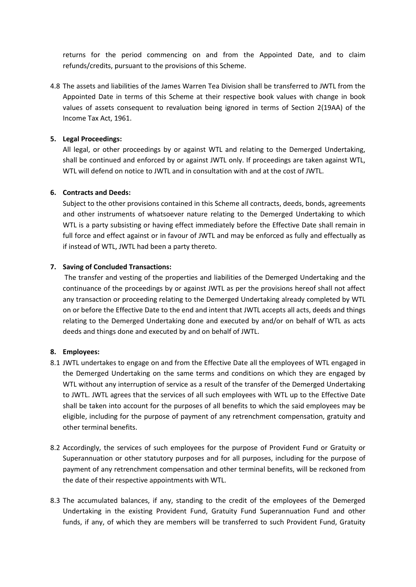returns for the period commencing on and from the Appointed Date, and to claim refunds/credits, pursuant to the provisions of this Scheme.

4.8 The assets and liabilities of the James Warren Tea Division shall be transferred to JWTL from the Appointed Date in terms of this Scheme at their respective book values with change in book values of assets consequent to revaluation being ignored in terms of Section 2(19AA) of the Income Tax Act, 1961.

# **5. Legal Proceedings:**

All legal, or other proceedings by or against WTL and relating to the Demerged Undertaking, shall be continued and enforced by or against JWTL only. If proceedings are taken against WTL, WTL will defend on notice to JWTL and in consultation with and at the cost of JWTL.

# **6. Contracts and Deeds:**

Subject to the other provisions contained in this Scheme all contracts, deeds, bonds, agreements and other instruments of whatsoever nature relating to the Demerged Undertaking to which WTL is a party subsisting or having effect immediately before the Effective Date shall remain in full force and effect against or in favour of JWTL and may be enforced as fully and effectually as if instead of WTL, JWTL had been a party thereto.

# **7. Saving of Concluded Transactions:**

 The transfer and vesting of the properties and liabilities of the Demerged Undertaking and the continuance of the proceedings by or against JWTL as per the provisions hereof shall not affect any transaction or proceeding relating to the Demerged Undertaking already completed by WTL on or before the Effective Date to the end and intent that JWTL accepts all acts, deeds and things relating to the Demerged Undertaking done and executed by and/or on behalf of WTL as acts deeds and things done and executed by and on behalf of JWTL.

# **8. Employees:**

- 8.1 JWTL undertakes to engage on and from the Effective Date all the employees of WTL engaged in the Demerged Undertaking on the same terms and conditions on which they are engaged by WTL without any interruption of service as a result of the transfer of the Demerged Undertaking to JWTL. JWTL agrees that the services of all such employees with WTL up to the Effective Date shall be taken into account for the purposes of all benefits to which the said employees may be eligible, including for the purpose of payment of any retrenchment compensation, gratuity and other terminal benefits.
- 8.2 Accordingly, the services of such employees for the purpose of Provident Fund or Gratuity or Superannuation or other statutory purposes and for all purposes, including for the purpose of payment of any retrenchment compensation and other terminal benefits, will be reckoned from the date of their respective appointments with WTL.
- 8.3 The accumulated balances, if any, standing to the credit of the employees of the Demerged Undertaking in the existing Provident Fund, Gratuity Fund Superannuation Fund and other funds, if any, of which they are members will be transferred to such Provident Fund, Gratuity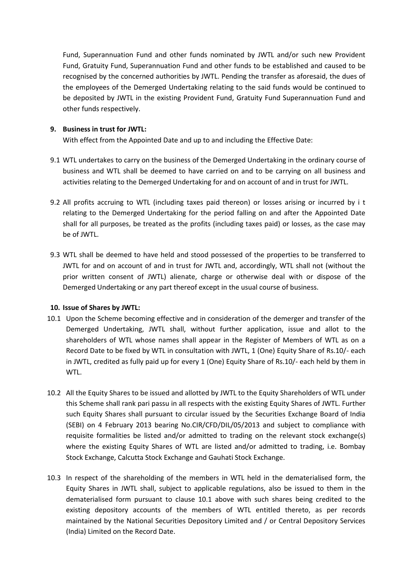Fund, Superannuation Fund and other funds nominated by JWTL and/or such new Provident Fund, Gratuity Fund, Superannuation Fund and other funds to be established and caused to be recognised by the concerned authorities by JWTL. Pending the transfer as aforesaid, the dues of the employees of the Demerged Undertaking relating to the said funds would be continued to be deposited by JWTL in the existing Provident Fund, Gratuity Fund Superannuation Fund and other funds respectively.

# **9. Business in trust for JWTL:**

With effect from the Appointed Date and up to and including the Effective Date:

- 9.1 WTL undertakes to carry on the business of the Demerged Undertaking in the ordinary course of business and WTL shall be deemed to have carried on and to be carrying on all business and activities relating to the Demerged Undertaking for and on account of and in trust for JWTL.
- 9.2 All profits accruing to WTL (including taxes paid thereon) or losses arising or incurred by i t relating to the Demerged Undertaking for the period falling on and after the Appointed Date shall for all purposes, be treated as the profits (including taxes paid) or losses, as the case may be of JWTL.
- 9.3 WTL shall be deemed to have held and stood possessed of the properties to be transferred to JWTL for and on account of and in trust for JWTL and, accordingly, WTL shall not (without the prior written consent of JWTL) alienate, charge or otherwise deal with or dispose of the Demerged Undertaking or any part thereof except in the usual course of business.

# **10. Issue of Shares by JWTL:**

- 10.1 Upon the Scheme becoming effective and in consideration of the demerger and transfer of the Demerged Undertaking, JWTL shall, without further application, issue and allot to the shareholders of WTL whose names shall appear in the Register of Members of WTL as on a Record Date to be fixed by WTL in consultation with JWTL, 1 (One) Equity Share of Rs.10/- each in JWTL, credited as fully paid up for every 1 (One) Equity Share of Rs.10/- each held by them in WTL.
- 10.2 All the Equity Shares to be issued and allotted by JWTL to the Equity Shareholders of WTL under this Scheme shall rank pari passu in all respects with the existing Equity Shares of JWTL. Further such Equity Shares shall pursuant to circular issued by the Securities Exchange Board of India (SEBI) on 4 February 2013 bearing No.CIR/CFD/DIL/05/2013 and subject to compliance with requisite formalities be listed and/or admitted to trading on the relevant stock exchange(s) where the existing Equity Shares of WTL are listed and/or admitted to trading, i.e. Bombay Stock Exchange, Calcutta Stock Exchange and Gauhati Stock Exchange.
- 10.3 In respect of the shareholding of the members in WTL held in the dematerialised form, the Equity Shares in JWTL shall, subject to applicable regulations, also be issued to them in the dematerialised form pursuant to clause 10.1 above with such shares being credited to the existing depository accounts of the members of WTL entitled thereto, as per records maintained by the National Securities Depository Limited and / or Central Depository Services (India) Limited on the Record Date.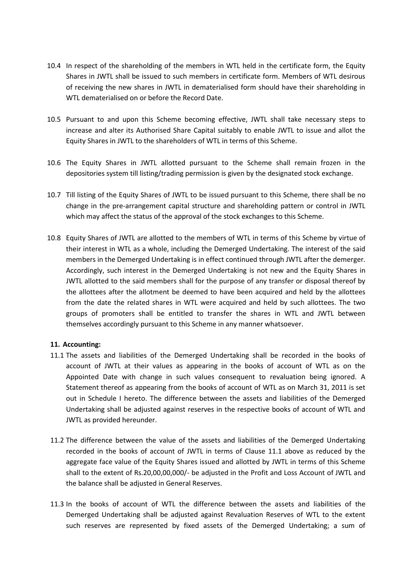- 10.4 In respect of the shareholding of the members in WTL held in the certificate form, the Equity Shares in JWTL shall be issued to such members in certificate form. Members of WTL desirous of receiving the new shares in JWTL in dematerialised form should have their shareholding in WTL dematerialised on or before the Record Date.
- 10.5 Pursuant to and upon this Scheme becoming effective, JWTL shall take necessary steps to increase and alter its Authorised Share Capital suitably to enable JWTL to issue and allot the Equity Shares in JWTL to the shareholders of WTL in terms of this Scheme.
- 10.6 The Equity Shares in JWTL allotted pursuant to the Scheme shall remain frozen in the depositories system till listing/trading permission is given by the designated stock exchange.
- 10.7 Till listing of the Equity Shares of JWTL to be issued pursuant to this Scheme, there shall be no change in the pre-arrangement capital structure and shareholding pattern or control in JWTL which may affect the status of the approval of the stock exchanges to this Scheme.
- 10.8 Equity Shares of JWTL are allotted to the members of WTL in terms of this Scheme by virtue of their interest in WTL as a whole, including the Demerged Undertaking. The interest of the said members in the Demerged Undertaking is in effect continued through JWTL after the demerger. Accordingly, such interest in the Demerged Undertaking is not new and the Equity Shares in JWTL allotted to the said members shall for the purpose of any transfer or disposal thereof by the allottees after the allotment be deemed to have been acquired and held by the allottees from the date the related shares in WTL were acquired and held by such allottees. The two groups of promoters shall be entitled to transfer the shares in WTL and JWTL between themselves accordingly pursuant to this Scheme in any manner whatsoever.

# **11. Accounting:**

- 11.1 The assets and liabilities of the Demerged Undertaking shall be recorded in the books of account of JWTL at their values as appearing in the books of account of WTL as on the Appointed Date with change in such values consequent to revaluation being ignored. A Statement thereof as appearing from the books of account of WTL as on March 31, 2011 is set out in Schedule I hereto. The difference between the assets and liabilities of the Demerged Undertaking shall be adjusted against reserves in the respective books of account of WTL and JWTL as provided hereunder.
- 11.2 The difference between the value of the assets and liabilities of the Demerged Undertaking recorded in the books of account of JWTL in terms of Clause 11.1 above as reduced by the aggregate face value of the Equity Shares issued and allotted by JWTL in terms of this Scheme shall to the extent of Rs.20,00,00,000/- be adjusted in the Profit and Loss Account of JWTL and the balance shall be adjusted in General Reserves.
- 11.3 In the books of account of WTL the difference between the assets and liabilities of the Demerged Undertaking shall be adjusted against Revaluation Reserves of WTL to the extent such reserves are represented by fixed assets of the Demerged Undertaking; a sum of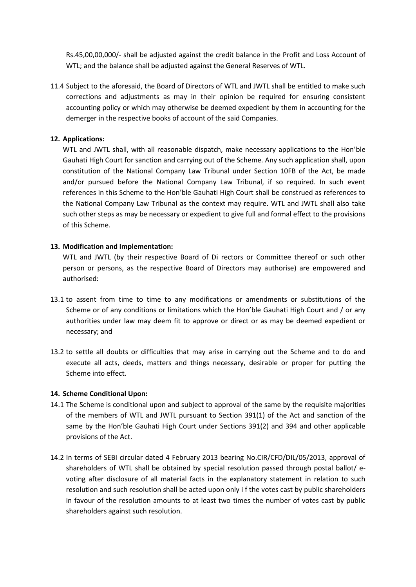Rs.45,00,00,000/- shall be adjusted against the credit balance in the Profit and Loss Account of WTL; and the balance shall be adjusted against the General Reserves of WTL.

11.4 Subject to the aforesaid, the Board of Directors of WTL and JWTL shall be entitled to make such corrections and adjustments as may in their opinion be required for ensuring consistent accounting policy or which may otherwise be deemed expedient by them in accounting for the demerger in the respective books of account of the said Companies.

# **12. Applications:**

WTL and JWTL shall, with all reasonable dispatch, make necessary applications to the Hon'ble Gauhati High Court for sanction and carrying out of the Scheme. Any such application shall, upon constitution of the National Company Law Tribunal under Section 10FB of the Act, be made and/or pursued before the National Company Law Tribunal, if so required. In such event references in this Scheme to the Hon'ble Gauhati High Court shall be construed as references to the National Company Law Tribunal as the context may require. WTL and JWTL shall also take such other steps as may be necessary or expedient to give full and formal effect to the provisions of this Scheme.

# **13. Modification and Implementation:**

WTL and JWTL (by their respective Board of Di rectors or Committee thereof or such other person or persons, as the respective Board of Directors may authorise) are empowered and authorised:

- 13.1 to assent from time to time to any modifications or amendments or substitutions of the Scheme or of any conditions or limitations which the Hon'ble Gauhati High Court and / or any authorities under law may deem fit to approve or direct or as may be deemed expedient or necessary; and
- 13.2 to settle all doubts or difficulties that may arise in carrying out the Scheme and to do and execute all acts, deeds, matters and things necessary, desirable or proper for putting the Scheme into effect.

# **14. Scheme Conditional Upon:**

- 14.1 The Scheme is conditional upon and subject to approval of the same by the requisite majorities of the members of WTL and JWTL pursuant to Section 391(1) of the Act and sanction of the same by the Hon'ble Gauhati High Court under Sections 391(2) and 394 and other applicable provisions of the Act.
- 14.2 In terms of SEBI circular dated 4 February 2013 bearing No.CIR/CFD/DIL/05/2013, approval of shareholders of WTL shall be obtained by special resolution passed through postal ballot/ evoting after disclosure of all material facts in the explanatory statement in relation to such resolution and such resolution shall be acted upon only i f the votes cast by public shareholders in favour of the resolution amounts to at least two times the number of votes cast by public shareholders against such resolution.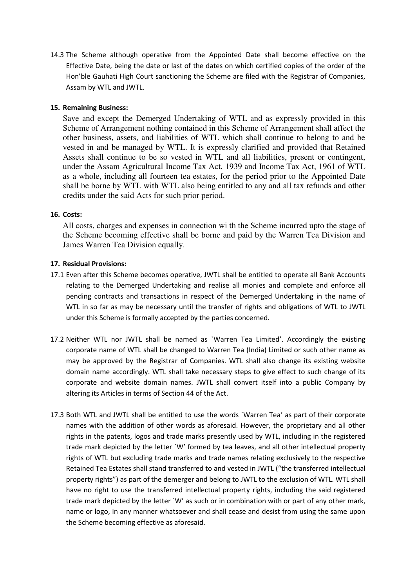14.3 The Scheme although operative from the Appointed Date shall become effective on the Effective Date, being the date or last of the dates on which certified copies of the order of the Hon'ble Gauhati High Court sanctioning the Scheme are filed with the Registrar of Companies, Assam by WTL and JWTL.

# **15. Remaining Business:**

Save and except the Demerged Undertaking of WTL and as expressly provided in this Scheme of Arrangement nothing contained in this Scheme of Arrangement shall affect the other business, assets, and liabilities of WTL which shall continue to belong to and be vested in and be managed by WTL. It is expressly clarified and provided that Retained Assets shall continue to be so vested in WTL and all liabilities, present or contingent, under the Assam Agricultural Income Tax Act, 1939 and Income Tax Act, 1961 of WTL as a whole, including all fourteen tea estates, for the period prior to the Appointed Date shall be borne by WTL with WTL also being entitled to any and all tax refunds and other credits under the said Acts for such prior period.

# **16. Costs:**

All costs, charges and expenses in connection wi th the Scheme incurred upto the stage of the Scheme becoming effective shall be borne and paid by the Warren Tea Division and James Warren Tea Division equally.

# **17. Residual Provisions:**

- 17.1 Even after this Scheme becomes operative, JWTL shall be entitled to operate all Bank Accounts relating to the Demerged Undertaking and realise all monies and complete and enforce all pending contracts and transactions in respect of the Demerged Undertaking in the name of WTL in so far as may be necessary until the transfer of rights and obligations of WTL to JWTL under this Scheme is formally accepted by the parties concerned.
- 17.2 Neither WTL nor JWTL shall be named as `Warren Tea Limited'. Accordingly the existing corporate name of WTL shall be changed to Warren Tea (India) Limited or such other name as may be approved by the Registrar of Companies. WTL shall also change its existing website domain name accordingly. WTL shall take necessary steps to give effect to such change of its corporate and website domain names. JWTL shall convert itself into a public Company by altering its Articles in terms of Section 44 of the Act.
- 17.3 Both WTL and JWTL shall be entitled to use the words `Warren Tea' as part of their corporate names with the addition of other words as aforesaid. However, the proprietary and all other rights in the patents, logos and trade marks presently used by WTL, including in the registered trade mark depicted by the letter `W' formed by tea leaves, and all other intellectual property rights of WTL but excluding trade marks and trade names relating exclusively to the respective Retained Tea Estates shall stand transferred to and vested in JWTL ("the transferred intellectual property rights") as part of the demerger and belong to JWTL to the exclusion of WTL. WTL shall have no right to use the transferred intellectual property rights, including the said registered trade mark depicted by the letter `W' as such or in combination with or part of any other mark, name or logo, in any manner whatsoever and shall cease and desist from using the same upon the Scheme becoming effective as aforesaid.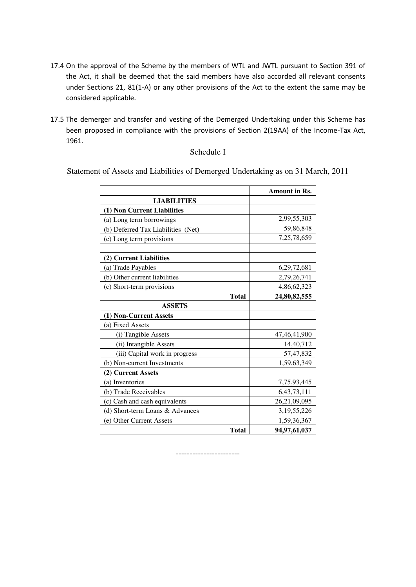- 17.4 On the approval of the Scheme by the members of WTL and JWTL pursuant to Section 391 of the Act, it shall be deemed that the said members have also accorded all relevant consents under Sections 21, 81(1-A) or any other provisions of the Act to the extent the same may be considered applicable.
- 17.5 The demerger and transfer and vesting of the Demerged Undertaking under this Scheme has been proposed in compliance with the provisions of Section 2(19AA) of the Income-Tax Act, 1961.

# Schedule I

Statement of Assets and Liabilities of Demerged Undertaking as on 31 March, 2011

|                                    | Amount in Rs.   |
|------------------------------------|-----------------|
| <b>LIABILITIES</b>                 |                 |
| (1) Non Current Liabilities        |                 |
| (a) Long term borrowings           | 2,99,55,303     |
| (b) Deferred Tax Liabilities (Net) | 59,86,848       |
| (c) Long term provisions           | 7,25,78,659     |
| (2) Current Liabilities            |                 |
| (a) Trade Payables                 | 6,29,72,681     |
| (b) Other current liabilities      | 2,79,26,741     |
| (c) Short-term provisions          | 4,86,62,323     |
| <b>Total</b>                       | 24,80,82,555    |
| <b>ASSETS</b>                      |                 |
| (1) Non-Current Assets             |                 |
| (a) Fixed Assets                   |                 |
| (i) Tangible Assets                | 47, 46, 41, 900 |
| (ii) Intangible Assets             | 14,40,712       |
| (iii) Capital work in progress     | 57,47,832       |
| (b) Non-current Investments        | 1,59,63,349     |
| (2) Current Assets                 |                 |
| (a) Inventories                    | 7,75,93,445     |
| (b) Trade Receivables              | 6, 43, 73, 111  |
| (c) Cash and cash equivalents      | 26,21,09,095    |
| (d) Short-term Loans & Advances    | 3,19,55,226     |
| (e) Other Current Assets           | 1,59,36,367     |
| <b>Total</b>                       | 94,97,61,037    |

-----------------------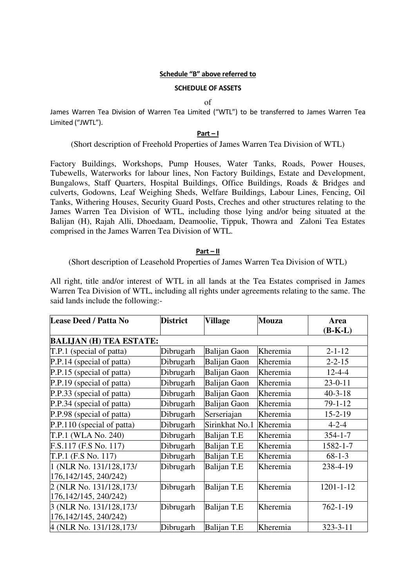## **Schedule ͞B͟ above referred to**

# **SCHEDULE OF ASSETS**

of

James Warren Tea Division of Warren Tea Limited ("WTL") to be transferred to James Warren Tea Limited ("JWTL").

# **Part – I**

(Short description of Freehold Properties of James Warren Tea Division of WTL)

Factory Buildings, Workshops, Pump Houses, Water Tanks, Roads, Power Houses, Tubewells, Waterworks for labour lines, Non Factory Buildings, Estate and Development, Bungalows, Staff Quarters, Hospital Buildings, Office Buildings, Roads & Bridges and culverts, Godowns, Leaf Weighing Sheds, Welfare Buildings, Labour Lines, Fencing, Oil Tanks, Withering Houses, Security Guard Posts, Creches and other structures relating to the James Warren Tea Division of WTL, including those lying and/or being situated at the Balijan (H), Rajah Alli, Dhoedaam, Deamoolie, Tippuk, Thowra and Zaloni Tea Estates comprised in the James Warren Tea Division of WTL.

# **Part – II**

(Short description of Leasehold Properties of James Warren Tea Division of WTL)

All right, title and/or interest of WTL in all lands at the Tea Estates comprised in James Warren Tea Division of WTL, including all rights under agreements relating to the same. The said lands include the following:-

| <b>Lease Deed / Patta No</b> | <b>District</b>                | <b>Village</b>      | <b>Mouza</b> | Area            |  |  |
|------------------------------|--------------------------------|---------------------|--------------|-----------------|--|--|
|                              |                                |                     |              | $(B-K-L)$       |  |  |
|                              | <b>BALIJAN (H) TEA ESTATE:</b> |                     |              |                 |  |  |
| T.P.1 (special of patta)     | Dibrugarh                      | <b>Balijan Gaon</b> | Kheremia     | $2 - 1 - 12$    |  |  |
| P.P.14 (special of patta)    | Dibrugarh                      | <b>Balijan Gaon</b> | Kheremia     | $2 - 2 - 15$    |  |  |
| P.P.15 (special of patta)    | Dibrugarh                      | <b>Balijan Gaon</b> | Kheremia     | $12 - 4 - 4$    |  |  |
| P.P.19 (special of patta)    | Dibrugarh                      | <b>Balijan Gaon</b> | Kheremia     | $23 - 0 - 11$   |  |  |
| P.P.33 (special of patta)    | Dibrugarh                      | <b>Balijan Gaon</b> | Kheremia     | $40 - 3 - 18$   |  |  |
| P.P.34 (special of patta)    | Dibrugarh                      | <b>Balijan Gaon</b> | Kheremia     | $79 - 1 - 12$   |  |  |
| P.P.98 (special of patta)    | Dibrugarh                      | Serseriajan         | Kheremia     | $15 - 2 - 19$   |  |  |
| P.P.110 (special of patta)   | Dibrugarh                      | Sirinkhat No.1      | Kheremia     | $4 - 2 - 4$     |  |  |
| T.P.1 (WLA No. 240)          | Dibrugarh                      | Balijan T.E         | Kheremia     | $354 - 1 - 7$   |  |  |
| F.S.117 (F.S No. 117)        | Dibrugarh                      | Balijan T.E         | Kheremia     | 1582-1-7        |  |  |
| T.P.1 (F.S No. 117)          | Dibrugarh                      | Balijan T.E         | Kheremia     | $68 - 1 - 3$    |  |  |
| 1 (NLR No. 131/128,173/      | Dibrugarh                      | <b>Balijan T.E</b>  | Kheremia     | 238-4-19        |  |  |
| 176, 142/145, 240/242)       |                                |                     |              |                 |  |  |
| 2 (NLR No. 131/128,173/      | Dibrugarh                      | <b>Balijan T.E</b>  | Kheremia     | $1201 - 1 - 12$ |  |  |
| 176, 142/145, 240/242)       |                                |                     |              |                 |  |  |
| 3 (NLR No. 131/128,173/      | Dibrugarh                      | <b>Balijan T.E</b>  | Kheremia     | $762 - 1 - 19$  |  |  |
| 176, 142/145, 240/242)       |                                |                     |              |                 |  |  |
| 4 (NLR No. 131/128,173/      | Dibrugarh                      | <b>Balijan T.E</b>  | Kheremia     | $323 - 3 - 11$  |  |  |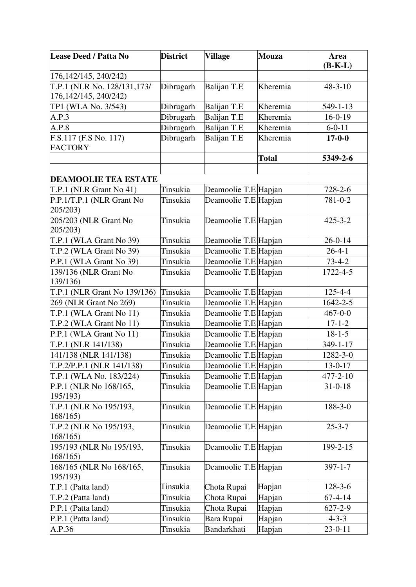| <b>Lease Deed / Patta No</b>                          | <b>District</b> | <b>Village</b>       | <b>Mouza</b> | <b>Area</b><br>$(B-K-L)$ |
|-------------------------------------------------------|-----------------|----------------------|--------------|--------------------------|
| 176, 142/145, 240/242)                                |                 |                      |              |                          |
| T.P.1 (NLR No. 128/131,173/<br>176, 142/145, 240/242) | Dibrugarh       | Balijan T.E          | Kheremia     | $48 - 3 - 10$            |
| TP1 (WLA No. 3/543)                                   | Dibrugarh       | Balijan T.E          | Kheremia     | 549-1-13                 |
| A.P.3                                                 | Dibrugarh       | Balijan T.E          | Kheremia     | $16-0-19$                |
| A.P.8                                                 | Dibrugarh       | Balijan T.E          | Kheremia     | $6 - 0 - 11$             |
| F.S.117 (F.S No. 117)<br><b>FACTORY</b>               | Dibrugarh       | <b>Balijan T.E</b>   | Kheremia     | $17 - 0 - 0$             |
|                                                       |                 |                      | <b>Total</b> | 5349-2-6                 |
|                                                       |                 |                      |              |                          |
| <b>DEAMOOLIE TEA ESTATE</b>                           |                 |                      |              |                          |
| T.P.1 (NLR Grant No 41)                               | Tinsukia        | Deamoolie T.E Hapjan |              | 728-2-6                  |
| P.P.1/T.P.1 (NLR Grant No<br>205/203)                 | Tinsukia        | Deamoolie T.E Hapjan |              | 781-0-2                  |
| 205/203 (NLR Grant No<br>205/203)                     | Tinsukia        | Deamoolie T.E Hapjan |              | $425 - 3 - 2$            |
| T.P.1 (WLA Grant No 39)                               | Tinsukia        | Deamoolie T.E Hapjan |              | $26 - 0 - 14$            |
| T.P.2 (WLA Grant No 39)                               | Tinsukia        | Deamoolie T.E Hapjan |              | $26 - 4 - 1$             |
| P.P.1 (WLA Grant No 39)                               | Tinsukia        | Deamoolie T.E Hapjan |              | $73 - 4 - 2$             |
| 139/136 (NLR Grant No<br>139/136)                     | Tinsukia        | Deamoolie T.E Hapjan |              | 1722-4-5                 |
| T.P.1 (NLR Grant No 139/136)                          | Tinsukia        | Deamoolie T.E Hapjan |              | 125-4-4                  |
| 269 (NLR Grant No 269)                                | Tinsukia        | Deamoolie T.E Hapjan |              | 1642-2-5                 |
| T.P.1 (WLA Grant No 11)                               | Tinsukia        | Deamoolie T.E Hapjan |              | $467 - 0 - 0$            |
| T.P.2 (WLA Grant No 11)                               | Tinsukia        | Deamoolie T.E Hapjan |              | $17 - 1 - 2$             |
| P.P.1 (WLA Grant No 11)                               | Tinsukia        | Deamoolie T.E Hapjan |              | $18 - 1 - 5$             |
| T.P.1 (NLR 141/138)                                   | Tinsukia        | Deamoolie T.E Hapjan |              | 349-1-17                 |
| 141/138 (NLR 141/138)                                 | Tinsukia        | Deamoolie T.E Hapjan |              | 1282-3-0                 |
| [T.P.2/P.P.1 (NLR 141/138)]                           | Tinsukia        | Deamoolie T.E Hapjan |              | 13-0-17                  |
| T.P.1 (WLA No. 183/224)                               | Tinsukia        | Deamoolie T.E Hapjan |              | 477-2-10                 |
| P.P.1 (NLR No 168/165,<br>195/193)                    | Tinsukia        | Deamoolie T.E Hapjan |              | $31 - 0 - 18$            |
| T.P.1 (NLR No 195/193,<br>168/165                     | Tinsukia        | Deamoolie T.E Hapjan |              | $188-3-0$                |
| T.P.2 (NLR No 195/193,<br>168/165                     | Tinsukia        | Deamoolie T.E Hapjan |              | $25 - 3 - 7$             |
| 195/193 (NLR No 195/193,<br>168/165                   | Tinsukia        | Deamoolie T.E Hapjan |              | 199-2-15                 |
| 168/165 (NLR No 168/165,<br>195/193)                  | Tinsukia        | Deamoolie T.E Hapjan |              | $397 - 1 - 7$            |
| T.P.1 (Patta land)                                    | Tinsukia        | Chota Rupai          | Hapjan       | $128 - 3 - 6$            |
| T.P.2 (Patta land)                                    | Tinsukia        | Chota Rupai          | Hapjan       | $67 - 4 - 14$            |
| P.P.1 (Patta land)                                    | Tinsukia        | Chota Rupai          | Hapjan       | $627 - 2 - 9$            |
| P.P.1 (Patta land)                                    | Tinsukia        | Bara Rupai           | Hapjan       | $4 - 3 - 3$              |
| A.P.36                                                | Tinsukia        | Bandarkhati          | Hapjan       | $23-0-11$                |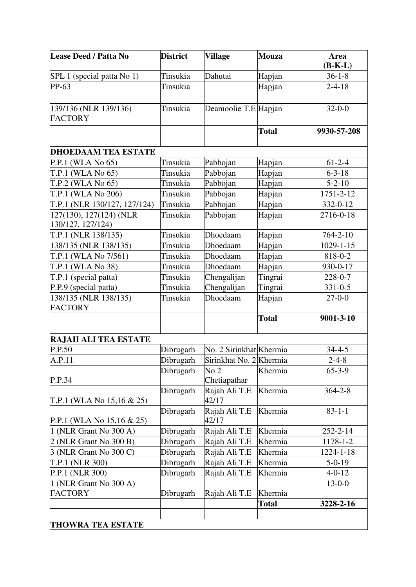| <b>Lease Deed / Patta No</b>                 | <b>District</b> | <b>Village</b>                  | <b>Mouza</b> | Area<br>$(B-K-L)$ |
|----------------------------------------------|-----------------|---------------------------------|--------------|-------------------|
| SPL 1 (special patta No 1)                   | Tinsukia        | Dahutai                         | Hapjan       | $36-1-8$          |
| PP-63                                        | Tinsukia        |                                 | Hapjan       | $2 - 4 - 18$      |
| 139/136 (NLR 139/136)<br><b>FACTORY</b>      | Tinsukia        | Deamoolie T.E Hapjan            |              | $32 - 0 - 0$      |
|                                              |                 |                                 | <b>Total</b> | 9930-57-208       |
|                                              |                 |                                 |              |                   |
| <b>DHOEDAAM TEA ESTATE</b>                   |                 |                                 |              |                   |
| P.P.1 (WLA No 65)                            | Tinsukia        | Pabbojan                        | Hapjan       | $61 - 2 - 4$      |
| T.P.1 (WLA No 65)                            | Tinsukia        | Pabbojan                        | Hapjan       | $6 - 3 - 18$      |
| T.P.2 (WLA No 65)                            | Tinsukia        | Pabbojan                        | Hapjan       | $5 - 2 - 10$      |
| T.P.1 (WLA No 206)                           | Tinsukia        | Pabbojan                        | Hapjan       | 1751-2-12         |
| T.P.1 (NLR 130/127, 127/124)                 | Tinsukia        | Pabbojan                        | Hapjan       | 332-0-12          |
| 127(130), 127(124) (NLR<br>130/127, 127/124) | Tinsukia        | Pabbojan                        | Hapjan       | 2716-0-18         |
| T.P.1 (NLR 138/135)                          | Tinsukia        | Dhoedaam                        | Hapjan       | $764 - 2 - 10$    |
| 138/135 (NLR 138/135)                        | Tinsukia        | Dhoedaam                        | Hapjan       | $1029 - 1 - 15$   |
| T.P.1 (WLA No 7/561)                         | Tinsukia        | Dhoedaam                        | Hapjan       | 818-0-2           |
| T.P.1 (WLA No 38)                            | Tinsukia        | Dhoedaam                        | Hapjan       | 930-0-17          |
| T.P.1 (special patta)                        | Tinsukia        | Chengalijan                     | Tingrai      | 228-0-7           |
| P.P.9 (special patta)                        | Tinsukia        | Chengalijan                     | Tingrai      | $331 - 0 - 5$     |
| 138/135 (NLR 138/135)<br><b>FACTORY</b>      | Tinsukia        | Dhoedaam                        | Hapjan       | $27 - 0 - 0$      |
|                                              |                 |                                 | <b>Total</b> | 9001-3-10         |
|                                              |                 |                                 |              |                   |
| <b>RAJAH ALI TEA ESTATE</b>                  |                 |                                 |              |                   |
| P.P.50                                       | Dibrugarh       | No. 2 Sirinkhat Khermia         |              | $34 - 4 - 5$      |
| A.P.11                                       | Dibrugarh       | Sirinkhat No. 2 Khermia         |              | $2 - 4 - 8$       |
| P.P.34                                       | Dibrugarh       | No <sub>2</sub><br>Chetiapathar | Khermia      | $65 - 3 - 9$      |
| T.P.1 (WLA No $15,16 \& 25$ )                | Dibrugarh       | Rajah Ali T.E<br>42/17          | Khermia      | $364 - 2 - 8$     |
| P.P.1 (WLA No $15,16 \& 25$ )                | Dibrugarh       | Rajah Ali T.E<br>42/17          | Khermia      | $83 - 1 - 1$      |
| 1 (NLR Grant No 300 A)                       | Dibrugarh       | Rajah Ali T.E                   | Khermia      | 252-2-14          |
| 2 (NLR Grant No 300 B)                       | Dibrugarh       | Rajah Ali T.E                   | Khermia      | 1178-1-2          |
| 3 (NLR Grant No 300 C)                       | Dibrugarh       | Rajah Ali T.E                   | Khermia      | 1224-1-18         |
| T.P.1 (NLR 300)                              | Dibrugarh       | Rajah Ali T.E                   | Khermia      | $5-0-19$          |
| P.P.1 (NLR 300)                              | Dibrugarh       | Rajah Ali T.E                   | Khermia      | $4 - 0 - 12$      |
| 1 (NLR Grant No 300 A)                       |                 |                                 |              | $13 - 0 - 0$      |
| <b>FACTORY</b>                               | Dibrugarh       | Rajah Ali T.E                   | Khermia      |                   |
|                                              |                 |                                 | <b>Total</b> | 3228-2-16         |
|                                              |                 |                                 |              |                   |
| <b>THOWRA TEA ESTATE</b>                     |                 |                                 |              |                   |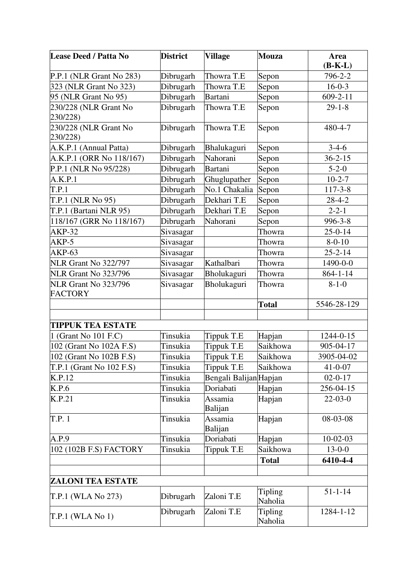| <b>Lease Deed / Patta No</b> | <b>District</b> | <b>Village</b>         | <b>Mouza</b> | Area           |
|------------------------------|-----------------|------------------------|--------------|----------------|
|                              |                 |                        |              | $(B-K-L)$      |
| P.P.1 (NLR Grant No 283)     | Dibrugarh       | Thowra T.E             | Sepon        | 796-2-2        |
| 323 (NLR Grant No 323)       | Dibrugarh       | Thowra T.E             | Sepon        | $16-0-3$       |
| 95 (NLR Grant No 95)         | Dibrugarh       | Bartani                | Sepon        | $609 - 2 - 11$ |
| 230/228 (NLR Grant No        | Dibrugarh       | Thowra T.E             | Sepon        | $29 - 1 - 8$   |
| 230/228)                     |                 |                        |              |                |
| 230/228 (NLR Grant No        | Dibrugarh       | Thowra T.E             | Sepon        | 480-4-7        |
| 230/228)                     |                 |                        |              |                |
| A.K.P.1 (Annual Patta)       | Dibrugarh       | Bhalukaguri            | Sepon        | $3-4-6$        |
| A.K.P.1 (ORR No 118/167)     | Dibrugarh       | Nahorani               | Sepon        | $36 - 2 - 15$  |
| P.P.1 (NLR No 95/228)        | Dibrugarh       | <b>Bartani</b>         | Sepon        | $5 - 2 - 0$    |
| A.K.P.1                      | Dibrugarh       | Ghuglupather           | Sepon        | $10-2-7$       |
| T.P.1                        | Dibrugarh       | No.1 Chakalia          | Sepon        | $117 - 3 - 8$  |
| T.P.1 (NLR No 95)            | Dibrugarh       | Dekhari T.E            | Sepon        | $28 - 4 - 2$   |
| T.P.1 (Bartani NLR 95)       | Dibrugarh       | Dekhari T.E            | Sepon        | $2 - 2 - 1$    |
| 118/167 (GRR No 118/167)     | Dibrugarh       | Nahorani               | Sepon        | 996-3-8        |
| <b>AKP-32</b>                | Sivasagar       |                        | Thowra       | $25 - 0 - 14$  |
| AKP-5                        | Sivasagar       |                        | Thowra       | $8 - 0 - 10$   |
| <b>AKP-63</b>                | Sivasagar       |                        | Thowra       | $25 - 2 - 14$  |
| <b>NLR Grant No 322/797</b>  | Sivasagar       | Kathalbari             | Thowra       | 1490-0-0       |
| NLR Grant No 323/796         | Sivasagar       | Bholukaguri            | Thowra       | $864 - 1 - 14$ |
| NLR Grant No 323/796         | Sivasagar       | Bholukaguri            | Thowra       | $8 - 1 - 0$    |
| <b>FACTORY</b>               |                 |                        |              |                |
|                              |                 |                        | <b>Total</b> | 5546-28-129    |
|                              |                 |                        |              |                |
| <b>TIPPUK TEA ESTATE</b>     |                 |                        |              |                |
| 1 (Grant No 101 F.C)         | Tinsukia        | Tippuk T.E             | Hapjan       | 1244-0-15      |
| 102 (Grant No 102A F.S)      | Tinsukia        | Tippuk T.E             | Saikhowa     | 905-04-17      |
| 102 (Grant No 102B F.S)      | Tinsukia        | Tippuk T.E             | Saikhowa     | 3905-04-02     |
| $T.P.1$ (Grant No 102 F.S)   | Tinsukia        | Tippuk T.E             | Saikhowa     | $41 - 0 - 07$  |
| K.P.12                       | Tinsukia        | Bengali Balijan Hapjan |              | $02 - 0 - 17$  |
| K.P.6                        | Tinsukia        | Doriabati              | Hapjan       | 256-04-15      |
| K.P.21                       | Tinsukia        | Assamia                | Hapjan       | $22-03-0$      |
|                              |                 | Balijan                |              |                |
| T.P. 1                       | Tinsukia        | Assamia                | Hapjan       | 08-03-08       |
|                              |                 | Balijan                |              |                |
| A.P.9                        | Tinsukia        | Doriabati              | Hapjan       | $10-02-03$     |
| 102 (102B F.S) FACTORY       | Tinsukia        | Tippuk T.E             | Saikhowa     | $13-0-0$       |
|                              |                 |                        | <b>Total</b> | 6410-4-4       |
|                              |                 |                        |              |                |
| <b>ZALONI TEA ESTATE</b>     |                 |                        |              |                |
|                              |                 |                        | Tipling      | $51 - 1 - 14$  |
| T.P.1 (WLA No 273)           | Dibrugarh       | Zaloni T.E             | Naholia      |                |
|                              | Dibrugarh       | Zaloni T.E             | Tipling      | 1284-1-12      |
| $T.P.1$ (WLA No 1)           |                 |                        | Naholia      |                |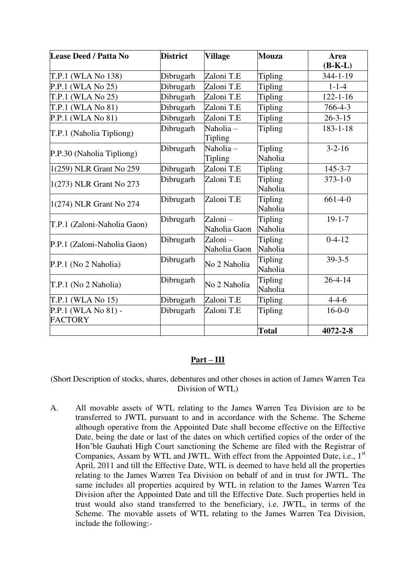| <b>Lease Deed / Patta No</b>          | <b>District</b> | <b>Village</b>          | <b>Mouza</b>              | Area<br>$(B-K-L)$ |
|---------------------------------------|-----------------|-------------------------|---------------------------|-------------------|
| T.P.1 (WLA No 138)                    | Dibrugarh       | Zaloni T.E              | Tipling                   | $344 - 1 - 19$    |
| P.P.1 (WLA No 25)                     | Dibrugarh       | Zaloni T.E              | Tipling                   | $1 - 1 - 4$       |
| T.P.1 (WLA No 25)                     | Dibrugarh       | Zaloni T.E              | Tipling                   | $122 - 1 - 16$    |
| T.P.1 (WLA No 81)                     | Dibrugarh       | Zaloni T.E              | <b>Tipling</b>            | 766-4-3           |
| P.P.1 (WLA No 81)                     | Dibrugarh       | Zaloni T.E              | <b>Tipling</b>            | $26 - 3 - 15$     |
| T.P.1 (Naholia Tipliong)              | Dibrugarh       | Naholia-<br>Tipling     | Tipling                   | $183 - 1 - 18$    |
| P.P.30 (Naholia Tipliong)             | Dibrugarh       | Naholia-<br>Tipling     | <b>Tipling</b><br>Naholia | $3 - 2 - 16$      |
| 1(259) NLR Grant No 259               | Dibrugarh       | Zaloni T.E              | Tipling                   | $145 - 3 - 7$     |
| 1(273) NLR Grant No 273               | Dibrugarh       | Zaloni T.E              | Tipling<br>Naholia        | $373 - 1 - 0$     |
| 1(274) NLR Grant No 274               | Dibrugarh       | Zaloni T.E              | Tipling<br>Naholia        | $661-4-0$         |
| T.P.1 (Zaloni-Naholia Gaon)           | Dibrugarh       | Zaloni-<br>Naholia Gaon | <b>Tipling</b><br>Naholia | $19 - 1 - 7$      |
| P.P.1 (Zaloni-Naholia Gaon)           | Dibrugarh       | Zaloni-<br>Naholia Gaon | Tipling<br>Naholia        | $0-4-12$          |
| P.P.1 (No 2 Naholia)                  | Dibrugarh       | No 2 Naholia            | <b>Tipling</b><br>Naholia | $39 - 3 - 5$      |
| T.P.1 (No 2 Naholia)                  | Dibrugarh       | No 2 Naholia            | <b>Tipling</b><br>Naholia | $26 - 4 - 14$     |
| $T.P.1$ (WLA No 15)                   | Dibrugarh       | Zaloni T.E              | Tipling                   | $4 - 4 - 6$       |
| P.P.1 (WLA No 81) -<br><b>FACTORY</b> | Dibrugarh       | Zaloni T.E              | Tipling                   | $16-0-0$          |
|                                       |                 |                         | <b>Total</b>              | 4072-2-8          |

### **Part – III**

(Short Description of stocks, shares, debentures and other choses in action of James Warren Tea Division of WTL)

A. All movable assets of WTL relating to the James Warren Tea Division are to be transferred to JWTL pursuant to and in accordance with the Scheme. The Scheme although operative from the Appointed Date shall become effective on the Effective Date, being the date or last of the dates on which certified copies of the order of the Hon'ble Gauhati High Court sanctioning the Scheme are filed with the Registrar of Companies, Assam by WTL and JWTL. With effect from the Appointed Date, i.e.,  $1<sup>st</sup>$ April, 2011 and till the Effective Date, WTL is deemed to have held all the properties relating to the James Warren Tea Division on behalf of and in trust for JWTL. The same includes all properties acquired by WTL in relation to the James Warren Tea Division after the Appointed Date and till the Effective Date. Such properties held in trust would also stand transferred to the beneficiary, i.e. JWTL, in terms of the Scheme. The movable assets of WTL relating to the James Warren Tea Division, include the following:-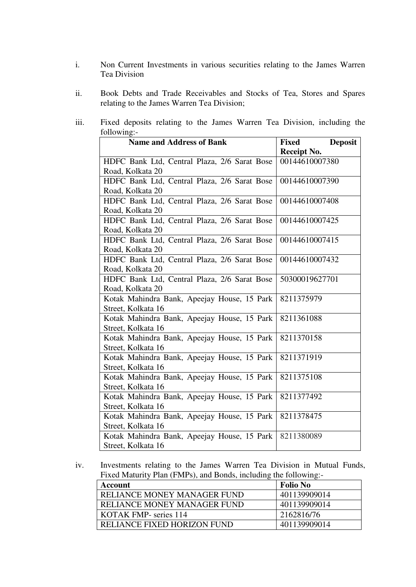- i. Non Current Investments in various securities relating to the James Warren Tea Division
- ii. Book Debts and Trade Receivables and Stocks of Tea, Stores and Spares relating to the James Warren Tea Division;
- iii. Fixed deposits relating to the James Warren Tea Division, including the following:-

| <b>Name and Address of Bank</b>              | <b>Deposit</b><br>Fixed |
|----------------------------------------------|-------------------------|
|                                              | Receipt No.             |
| HDFC Bank Ltd, Central Plaza, 2/6 Sarat Bose | 00144610007380          |
| Road, Kolkata 20                             |                         |
| HDFC Bank Ltd, Central Plaza, 2/6 Sarat Bose | 00144610007390          |
| Road, Kolkata 20                             |                         |
| HDFC Bank Ltd, Central Plaza, 2/6 Sarat Bose | 00144610007408          |
| Road, Kolkata 20                             |                         |
| HDFC Bank Ltd, Central Plaza, 2/6 Sarat Bose | 00144610007425          |
| Road, Kolkata 20                             |                         |
| HDFC Bank Ltd, Central Plaza, 2/6 Sarat Bose | 00144610007415          |
| Road, Kolkata 20                             |                         |
| HDFC Bank Ltd, Central Plaza, 2/6 Sarat Bose | 00144610007432          |
| Road, Kolkata 20                             |                         |
| HDFC Bank Ltd, Central Plaza, 2/6 Sarat Bose | 50300019627701          |
| Road, Kolkata 20                             |                         |
| Kotak Mahindra Bank, Apeejay House, 15 Park  | 8211375979              |
| Street, Kolkata 16                           |                         |
| Kotak Mahindra Bank, Apeejay House, 15 Park  | 8211361088              |
| Street, Kolkata 16                           |                         |
| Kotak Mahindra Bank, Apeejay House, 15 Park  | 8211370158              |
| Street, Kolkata 16                           |                         |
| Kotak Mahindra Bank, Apeejay House, 15 Park  | 8211371919              |
| Street, Kolkata 16                           |                         |
| Kotak Mahindra Bank, Apeejay House, 15 Park  | 8211375108              |
| Street, Kolkata 16                           |                         |
| Kotak Mahindra Bank, Apeejay House, 15 Park  | 8211377492              |
| Street, Kolkata 16                           |                         |
| Kotak Mahindra Bank, Apeejay House, 15 Park  | 8211378475              |
| Street, Kolkata 16                           |                         |
| Kotak Mahindra Bank, Apeejay House, 15 Park  | 8211380089              |
| Street, Kolkata 16                           |                         |

iv. Investments relating to the James Warren Tea Division in Mutual Funds, Fixed Maturity Plan (FMPs), and Bonds, including the following:-

| Account                     | Folio No     |
|-----------------------------|--------------|
| RELIANCE MONEY MANAGER FUND | 401139909014 |
| RELIANCE MONEY MANAGER FUND | 401139909014 |
| KOTAK FMP- series 114       | 2162816/76   |
| RELIANCE FIXED HORIZON FUND | 401139909014 |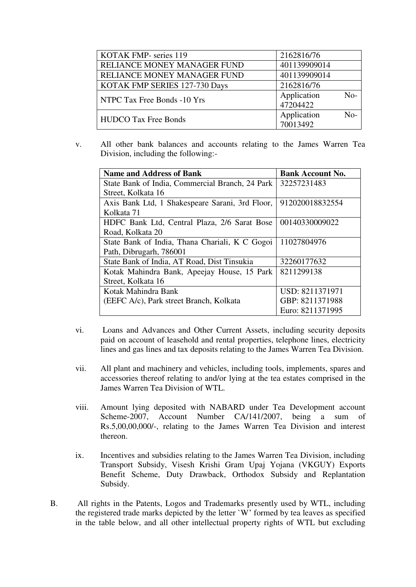| <b>KOTAK FMP-</b> series 119         | 2162816/76              |       |
|--------------------------------------|-------------------------|-------|
| RELIANCE MONEY MANAGER FUND          | 401139909014            |       |
| RELIANCE MONEY MANAGER FUND          | 401139909014            |       |
| <b>KOTAK FMP SERIES 127-730 Days</b> | 2162816/76              |       |
| NTPC Tax Free Bonds -10 Yrs          | Application<br>47204422 | $No-$ |
| <b>HUDCO Tax Free Bonds</b>          | Application<br>70013492 | No-   |

v. All other bank balances and accounts relating to the James Warren Tea Division, including the following:-

| <b>Name and Address of Bank</b>                 | <b>Bank Account No.</b> |
|-------------------------------------------------|-------------------------|
| State Bank of India, Commercial Branch, 24 Park | 32257231483             |
| Street, Kolkata 16                              |                         |
| Axis Bank Ltd, 1 Shakespeare Sarani, 3rd Floor, | 912020018832554         |
| Kolkata 71                                      |                         |
| HDFC Bank Ltd, Central Plaza, 2/6 Sarat Bose    | 00140330009022          |
| Road, Kolkata 20                                |                         |
| State Bank of India, Thana Chariali, K C Gogoi  | 11027804976             |
| Path, Dibrugarh, 786001                         |                         |
| State Bank of India, AT Road, Dist Tinsukia     | 32260177632             |
| Kotak Mahindra Bank, Apeejay House, 15 Park     | 8211299138              |
| Street, Kolkata 16                              |                         |
| Kotak Mahindra Bank                             | USD: 8211371971         |
| (EEFC A/c), Park street Branch, Kolkata         | GBP: 8211371988         |
|                                                 | Euro: 8211371995        |

- vi. Loans and Advances and Other Current Assets, including security deposits paid on account of leasehold and rental properties, telephone lines, electricity lines and gas lines and tax deposits relating to the James Warren Tea Division.
- vii. All plant and machinery and vehicles, including tools, implements, spares and accessories thereof relating to and/or lying at the tea estates comprised in the James Warren Tea Division of WTL.
- viii. Amount lying deposited with NABARD under Tea Development account Scheme-2007, Account Number CA/141/2007, being a sum of Rs.5,00,00,000/-, relating to the James Warren Tea Division and interest thereon.
- ix. Incentives and subsidies relating to the James Warren Tea Division, including Transport Subsidy, Visesh Krishi Gram Upaj Yojana (VKGUY) Exports Benefit Scheme, Duty Drawback, Orthodox Subsidy and Replantation Subsidy.
- B. All rights in the Patents, Logos and Trademarks presently used by WTL, including the registered trade marks depicted by the letter `W' formed by tea leaves as specified in the table below, and all other intellectual property rights of WTL but excluding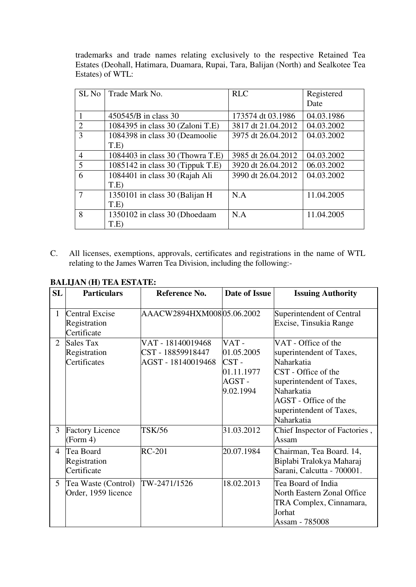trademarks and trade names relating exclusively to the respective Retained Tea Estates (Deohall, Hatimara, Duamara, Rupai, Tara, Balijan (North) and Sealkotee Tea Estates) of WTL:

| SL <sub>No</sub> | Trade Mark No.                     | <b>RLC</b>         | Registered<br>Date |
|------------------|------------------------------------|--------------------|--------------------|
|                  | 450545/B in class 30               | 173574 dt 03.1986  | 04.03.1986         |
| $\overline{2}$   | 1084395 in class 30 (Zaloni T.E)   | 3817 dt 21.04.2012 | 04.03.2002         |
| 3                | 1084398 in class 30 (Deamoolie     | 3975 dt 26.04.2012 | 04.03.2002         |
|                  | T.E                                |                    |                    |
| $\overline{4}$   | 1084403 in class 30 (Thowra T.E)   | 3985 dt 26.04.2012 | 04.03.2002         |
| 5                | $1085142$ in class 30 (Tippuk T.E) | 3920 dt 26.04.2012 | 06.03.2002         |
| 6                | 1084401 in class 30 (Rajah Ali     | 3990 dt 26.04.2012 | 04.03.2002         |
|                  | T.E                                |                    |                    |
|                  | 1350101 in class 30 (Balijan H)    | N.A                | 11.04.2005         |
|                  | T.E                                |                    |                    |
| 8                | 1350102 in class 30 (Dhoedaam      | N.A                | 11.04.2005         |
|                  | T.E                                |                    |                    |

C. All licenses, exemptions, approvals, certificates and registrations in the name of WTL relating to the James Warren Tea Division, including the following:-

| <b>SL</b>      | <b>Particulars</b>                               | Reference No.                                                | <b>Date of Issue</b>                                              | <b>Issuing Authority</b>                                                                                                                                                                         |
|----------------|--------------------------------------------------|--------------------------------------------------------------|-------------------------------------------------------------------|--------------------------------------------------------------------------------------------------------------------------------------------------------------------------------------------------|
| 1              | Central Excise<br>Registration<br>Certificate    | AAACW2894HXM008 05.06.2002                                   |                                                                   | Superintendent of Central<br>Excise, Tinsukia Range                                                                                                                                              |
| 2              | <b>Sales Tax</b><br>Registration<br>Certificates | VAT - 18140019468<br>CST - 18859918447<br>AGST - 18140019468 | VAT-<br>01.05.2005<br>$CST -$<br>01.11.1977<br>AGST-<br>9.02.1994 | VAT - Office of the<br>superintendent of Taxes,<br>Naharkatia<br>CST - Office of the<br>superintendent of Taxes,<br>Naharkatia<br>AGST - Office of the<br>superintendent of Taxes,<br>Naharkatia |
| 3              | <b>Factory Licence</b><br>(Form 4)               | <b>TSK/56</b>                                                | 31.03.2012                                                        | Chief Inspector of Factories,<br>Assam                                                                                                                                                           |
| $\overline{4}$ | Tea Board<br>Registration<br>Certificate         | <b>RC-201</b>                                                | 20.07.1984                                                        | Chairman, Tea Board. 14,<br>Biplabi Tralokya Maharaj<br>Sarani, Calcutta - 700001.                                                                                                               |
| $\mathfrak{H}$ | Tea Waste (Control)<br>Order, 1959 licence       | TW-2471/1526                                                 | 18.02.2013                                                        | Tea Board of India<br>North Eastern Zonal Office<br>TRA Complex, Cinnamara,<br>Jorhat<br>Assam - 785008                                                                                          |

## **BALIJAN (H) TEA ESTATE:**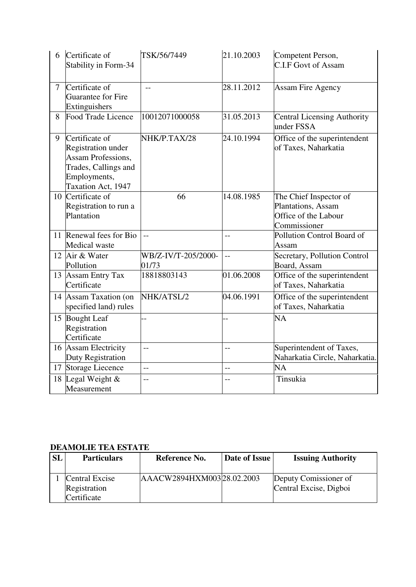| 6              | Certificate of<br>Stability in Form-34                                                                                          | TSK/56/7449                  | 21.10.2003 | Competent Person,<br><b>C.I.F Govt of Assam</b>                                      |
|----------------|---------------------------------------------------------------------------------------------------------------------------------|------------------------------|------------|--------------------------------------------------------------------------------------|
| $\overline{7}$ | Certificate of<br>Guarantee for Fire<br>Extinguishers                                                                           | $-$                          | 28.11.2012 | Assam Fire Agency                                                                    |
| 8              | Food Trade Licence                                                                                                              | 10012071000058               | 31.05.2013 | <b>Central Licensing Authority</b><br>under FSSA                                     |
| 9              | Certificate of<br><b>Registration under</b><br>Assam Professions,<br>Trades, Callings and<br>Employments,<br>Taxation Act, 1947 | NHK/P.TAX/28                 | 24.10.1994 | Office of the superintendent<br>of Taxes, Naharkatia                                 |
|                | 10 Certificate of<br>Registration to run a<br>Plantation                                                                        | 66                           | 14.08.1985 | The Chief Inspector of<br>Plantations, Assam<br>Office of the Labour<br>Commissioner |
|                | 11 Renewal fees for Bio<br><b>Medical</b> waste                                                                                 | $\overline{a}$               | $-$        | Pollution Control Board of<br>Assam                                                  |
|                | 12 Air & Water<br>Pollution                                                                                                     | WB/Z-IV/T-205/2000-<br>01/73 | $-$        | Secretary, Pollution Control<br>Board, Assam                                         |
|                | 13 Assam Entry Tax<br>Certificate                                                                                               | 18818803143                  | 01.06.2008 | Office of the superintendent<br>of Taxes, Naharkatia                                 |
|                | 14 Assam Taxation (on<br>specified land) rules                                                                                  | NHK/ATSL/2                   | 04.06.1991 | Office of the superintendent<br>of Taxes, Naharkatia                                 |
|                | 15 Bought Leaf<br>Registration<br>Certificate                                                                                   | $\overline{a}$               |            | NA                                                                                   |
|                | 16 Assam Electricity<br>Duty Registration                                                                                       | $-$                          | $-$        | Superintendent of Taxes,<br>Naharkatia Circle, Naharkatia.                           |
| 17             | Storage Liecence                                                                                                                | $\overline{a}$               | $-$        | NA                                                                                   |
|                | 18 Legal Weight &<br>Measurement                                                                                                | $\overline{a}$               | $-$        | Tinsukia                                                                             |

### **DEAMOLIE TEA ESTATE**

| <b>SL</b> | <b>Particulars</b> | Reference No.             | Date of Issue | <b>Issuing Authority</b> |
|-----------|--------------------|---------------------------|---------------|--------------------------|
|           | Central Excise     | AAACW2894HXM00328.02.2003 |               | Deputy Comissioner of    |
|           | Registration       |                           |               | Central Excise, Digboi   |
|           | Certificate        |                           |               |                          |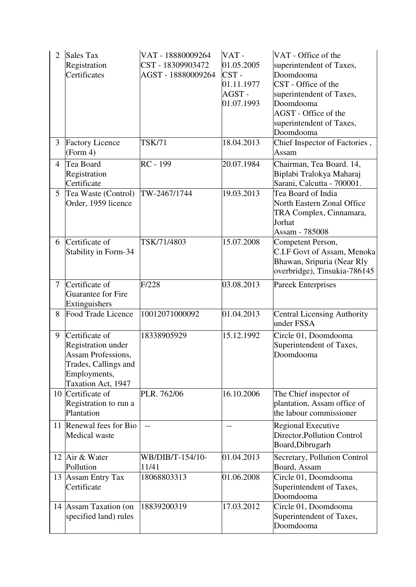| $\overline{2}$ | <b>Sales Tax</b><br>Registration<br>Certificates                                                                                       | VAT - 18880009264<br>CST - 18309903472<br>AGST - 18880009264 | VAT-<br>01.05.2005<br>CST-<br>01.11.1977<br>AGST-<br>01.07.1993 | VAT - Office of the<br>superintendent of Taxes,<br>Doomdooma<br>CST - Office of the<br>superintendent of Taxes,<br>Doomdooma<br>AGST - Office of the<br>superintendent of Taxes,<br>Doomdooma |
|----------------|----------------------------------------------------------------------------------------------------------------------------------------|--------------------------------------------------------------|-----------------------------------------------------------------|-----------------------------------------------------------------------------------------------------------------------------------------------------------------------------------------------|
| 3              | <b>Factory Licence</b><br>(Form 4)                                                                                                     | <b>TSK/71</b>                                                | 18.04.2013                                                      | Chief Inspector of Factories,<br>Assam                                                                                                                                                        |
| $\overline{4}$ | Tea Board<br>Registration<br>Certificate                                                                                               | RC - 199                                                     | 20.07.1984                                                      | Chairman, Tea Board. 14,<br>Biplabi Tralokya Maharaj<br>Sarani, Calcutta - 700001.                                                                                                            |
| 5              | Tea Waste (Control)<br>Order, 1959 licence                                                                                             | TW-2467/1744                                                 | 19.03.2013                                                      | Tea Board of India<br>North Eastern Zonal Office<br>TRA Complex, Cinnamara,<br>Jorhat<br>Assam - 785008                                                                                       |
| 6              | Certificate of<br>Stability in Form-34                                                                                                 | TSK/71/4803                                                  | 15.07.2008                                                      | Competent Person,<br>C.I.F Govt of Assam, Menoka<br>Bhawan, Sripuria (Near Rly<br>overbridge), Tinsukia-786145                                                                                |
| $\overline{7}$ | Certificate of<br>Guarantee for Fire<br>Extinguishers                                                                                  | F/228                                                        | 03.08.2013                                                      | <b>Pareek Enterprises</b>                                                                                                                                                                     |
| 8              | <b>Food Trade Licence</b>                                                                                                              | 10012071000092                                               | 01.04.2013                                                      | <b>Central Licensing Authority</b><br>under FSSA                                                                                                                                              |
| 9              | Certificate of<br><b>Registration under</b><br><b>Assam Professions,</b><br>Trades, Callings and<br>Employments,<br>Taxation Act, 1947 | 18338905929                                                  | 15.12.1992                                                      | Circle 01, Doomdooma<br>Superintendent of Taxes,<br>Doomdooma                                                                                                                                 |
| 10             | Certificate of<br>Registration to run a<br>Plantation                                                                                  | PLR. 762/06                                                  | 16.10.2006                                                      | The Chief inspector of<br>plantation, Assam office of<br>the labour commissioner                                                                                                              |
| 11             | Renewal fees for Bio<br>Medical waste                                                                                                  | $-$                                                          |                                                                 | <b>Regional Executive</b><br>Director, Pollution Control<br>Board, Dibrugarh                                                                                                                  |
|                | 12 Air & Water<br>Pollution                                                                                                            | WB/DIB/T-154/10-<br>11/41                                    | 01.04.2013                                                      | Secretary, Pollution Control<br>Board, Assam                                                                                                                                                  |
|                | 13 Assam Entry Tax<br>Certificate                                                                                                      | 18068803313                                                  | 01.06.2008                                                      | Circle 01, Doomdooma<br>Superintendent of Taxes,<br>Doomdooma                                                                                                                                 |
|                | 14 Assam Taxation (on<br>specified land) rules                                                                                         | 18839200319                                                  | 17.03.2012                                                      | Circle 01, Doomdooma<br>Superintendent of Taxes,<br>Doomdooma                                                                                                                                 |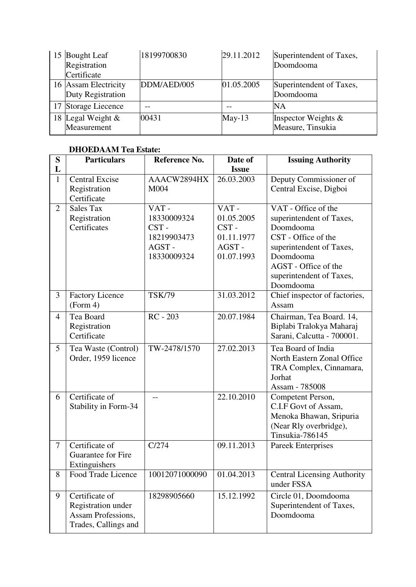| 15 | <b>Bought Leaf</b><br>Registration<br>Certificate | 18199700830 | 29.11.2012 | Superintendent of Taxes,<br>Doomdooma       |
|----|---------------------------------------------------|-------------|------------|---------------------------------------------|
|    | 16 Assam Electricity<br>Duty Registration         | DDM/AED/005 | 01.05.2005 | Superintendent of Taxes,<br>Doomdooma       |
|    | 17 Storage Liecence                               |             |            | NΑ                                          |
|    | 18 Legal Weight $\&$<br>Measurement               | 00431       | $May-13$   | Inspector Weights $\&$<br>Measure, Tinsukia |

## **DHOEDAAM Tea Estate:**

| S                 | <b>Particulars</b>                                                                 | Reference No.                                                      | Date of                                                         | <b>Issuing Authority</b>                                                                                                                                                                      |
|-------------------|------------------------------------------------------------------------------------|--------------------------------------------------------------------|-----------------------------------------------------------------|-----------------------------------------------------------------------------------------------------------------------------------------------------------------------------------------------|
| L<br>$\mathbf{1}$ | <b>Central Excise</b><br>Registration<br>Certificate                               | AAACW2894HX<br>M004                                                | <b>Issue</b><br>26.03.2003                                      | Deputy Commissioner of<br>Central Excise, Digboi                                                                                                                                              |
| $\overline{2}$    | <b>Sales Tax</b><br>Registration<br>Certificates                                   | VAT-<br>18330009324<br>CST-<br>18219903473<br>AGST-<br>18330009324 | VAT-<br>01.05.2005<br>CST-<br>01.11.1977<br>AGST-<br>01.07.1993 | VAT - Office of the<br>superintendent of Taxes,<br>Doomdooma<br>CST - Office of the<br>superintendent of Taxes,<br>Doomdooma<br>AGST - Office of the<br>superintendent of Taxes,<br>Doomdooma |
| 3                 | <b>Factory Licence</b><br>(Form 4)                                                 | <b>TSK/79</b>                                                      | 31.03.2012                                                      | Chief inspector of factories,<br>Assam                                                                                                                                                        |
| $\overline{4}$    | Tea Board<br>Registration<br>Certificate                                           | RC - 203                                                           | 20.07.1984                                                      | Chairman, Tea Board. 14,<br>Biplabi Tralokya Maharaj<br>Sarani, Calcutta - 700001.                                                                                                            |
| 5                 | Tea Waste (Control)<br>Order, 1959 licence                                         | TW-2478/1570                                                       | 27.02.2013                                                      | Tea Board of India<br>North Eastern Zonal Office<br>TRA Complex, Cinnamara,<br>Jorhat<br>Assam - 785008                                                                                       |
| 6                 | Certificate of<br>Stability in Form-34                                             | $-1$                                                               | 22.10.2010                                                      | Competent Person,<br>C.I.F Govt of Assam,<br>Menoka Bhawan, Sripuria<br>(Near Rly overbridge),<br>Tinsukia-786145                                                                             |
| $\overline{7}$    | Certificate of<br>Guarantee for Fire<br>Extinguishers                              | C/274                                                              | 09.11.2013                                                      | Pareek Enterprises                                                                                                                                                                            |
| 8                 | Food Trade Licence                                                                 | 10012071000090                                                     | 01.04.2013                                                      | <b>Central Licensing Authority</b><br>under FSSA                                                                                                                                              |
| 9                 | Certificate of<br>Registration under<br>Assam Professions,<br>Trades, Callings and | 18298905660                                                        | 15.12.1992                                                      | Circle 01, Doomdooma<br>Superintendent of Taxes,<br>Doomdooma                                                                                                                                 |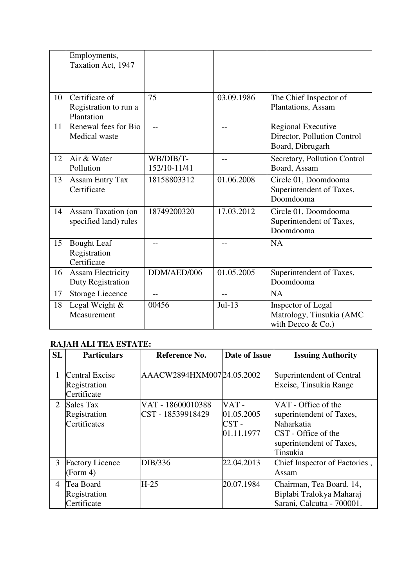|    | Employments,<br>Taxation Act, 1947                    |                           |            |                                                                        |
|----|-------------------------------------------------------|---------------------------|------------|------------------------------------------------------------------------|
| 10 | Certificate of<br>Registration to run a<br>Plantation | 75                        | 03.09.1986 | The Chief Inspector of<br>Plantations, Assam                           |
| 11 | Renewal fees for Bio<br>Medical waste                 | $-$                       | --         | Regional Executive<br>Director, Pollution Control<br>Board, Dibrugarh  |
| 12 | Air & Water<br>Pollution                              | WB/DIB/T-<br>152/10-11/41 | --         | Secretary, Pollution Control<br>Board, Assam                           |
| 13 | <b>Assam Entry Tax</b><br>Certificate                 | 18158803312               | 01.06.2008 | Circle 01, Doomdooma<br>Superintendent of Taxes,<br>Doomdooma          |
| 14 | <b>Assam Taxation (on</b><br>specified land) rules    | 18749200320               | 17.03.2012 | Circle 01, Doomdooma<br>Superintendent of Taxes,<br>Doomdooma          |
| 15 | <b>Bought Leaf</b><br>Registration<br>Certificate     |                           |            | <b>NA</b>                                                              |
| 16 | <b>Assam Electricity</b><br>Duty Registration         | DDM/AED/006               | 01.05.2005 | Superintendent of Taxes,<br>Doomdooma                                  |
| 17 | <b>Storage Liecence</b>                               | $-$                       | $-$        | <b>NA</b>                                                              |
| 18 | Legal Weight &<br>Measurement                         | 00456                     | $Jul-13$   | Inspector of Legal<br>Matrology, Tinsukia (AMC<br>with Decco $& Co.$ ) |

# **RAJAH ALI TEA ESTATE:**

| <b>SL</b>      | <b>Particulars</b>                            | Reference No.                          | Date of Issue                               | <b>Issuing Authority</b>                                                                                                     |
|----------------|-----------------------------------------------|----------------------------------------|---------------------------------------------|------------------------------------------------------------------------------------------------------------------------------|
| $\mathbf{1}$   | Central Excise<br>Registration<br>Certificate | AAACW2894HXM00724.05.2002              |                                             | Superintendent of Central<br>Excise, Tinsukia Range                                                                          |
| 2              | Sales Tax<br>Registration<br>Certificates     | VAT - 18600010388<br>CST - 18539918429 | VAT-<br>01.05.2005<br>$CST -$<br>01.11.1977 | VAT - Office of the<br>superintendent of Taxes,<br>Naharkatia<br>CST - Office of the<br>superintendent of Taxes,<br>Tinsukia |
| 3              | <b>Factory Licence</b><br>(Form 4)            | DIB/336                                | 22.04.2013                                  | Chief Inspector of Factories,<br>Assam                                                                                       |
| $\overline{4}$ | Tea Board<br>Registration<br>Certificate      | $H-25$                                 | 20.07.1984                                  | Chairman, Tea Board. 14,<br>Biplabi Tralokya Maharaj<br>Sarani, Calcutta - 700001.                                           |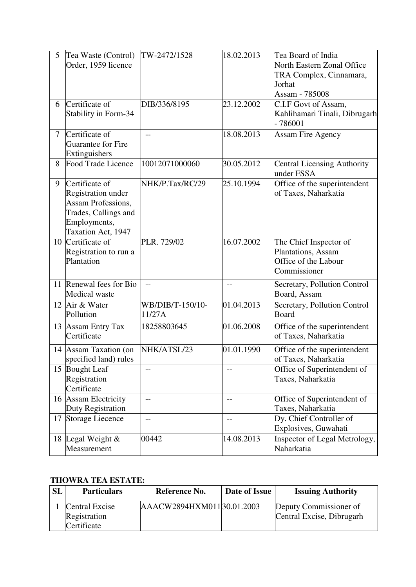| 5      | Tea Waste (Control)<br>Order, 1959 licence                                                                                      | TW-2472/1528               | 18.02.2013 | Tea Board of India<br>North Eastern Zonal Office<br>TRA Complex, Cinnamara,<br>Jorhat<br>Assam - 785008 |
|--------|---------------------------------------------------------------------------------------------------------------------------------|----------------------------|------------|---------------------------------------------------------------------------------------------------------|
| 6      | Certificate of<br>Stability in Form-34                                                                                          | DIB/336/8195               | 23.12.2002 | C.I.F Govt of Assam,<br>Kahlihamari Tinali, Dibrugarh<br>$-786001$                                      |
| $\tau$ | Certificate of<br>Guarantee for Fire<br>Extinguishers                                                                           | $-$                        | 18.08.2013 | <b>Assam Fire Agency</b>                                                                                |
| 8      | <b>Food Trade Licence</b>                                                                                                       | 10012071000060             | 30.05.2012 | <b>Central Licensing Authority</b><br>under FSSA                                                        |
| 9      | Certificate of<br><b>Registration under</b><br>Assam Professions,<br>Trades, Callings and<br>Employments,<br>Taxation Act, 1947 | NHK/P.Tax/RC/29            | 25.10.1994 | Office of the superintendent<br>of Taxes, Naharkatia                                                    |
|        | 10 Certificate of<br>Registration to run a<br>Plantation                                                                        | PLR. 729/02                | 16.07.2002 | The Chief Inspector of<br>Plantations, Assam<br>Office of the Labour<br>Commissioner                    |
| 11     | Renewal fees for Bio<br>Medical waste                                                                                           | $-$                        | $-$        | Secretary, Pollution Control<br>Board, Assam                                                            |
|        | 12 Air & Water<br>Pollution                                                                                                     | WB/DIB/T-150/10-<br>11/27A | 01.04.2013 | Secretary, Pollution Control<br>Board                                                                   |
|        | 13 Assam Entry Tax<br>Certificate                                                                                               | 18258803645                | 01.06.2008 | Office of the superintendent<br>of Taxes, Naharkatia                                                    |
|        | 14 Assam Taxation (on<br>specified land) rules                                                                                  | NHK/ATSL/23                | 01.01.1990 | Office of the superintendent<br>of Taxes, Naharkatia                                                    |
|        | 15 Bought Leaf<br>Registration<br>Certificate                                                                                   | --                         |            | Office of Superintendent of<br>Taxes, Naharkatia                                                        |
|        | 16 Assam Electricity<br>Duty Registration                                                                                       | $-$                        |            | Office of Superintendent of<br>Taxes, Naharkatia                                                        |
| 17     | <b>Storage Liecence</b>                                                                                                         | $-$                        | $-$        | Dy. Chief Controller of<br>Explosives, Guwahati                                                         |
|        | 18 Legal Weight &<br>Measurement                                                                                                | 00442                      | 14.08.2013 | Inspector of Legal Metrology,<br>Naharkatia                                                             |

## **THOWRA TEA ESTATE:**

| <b>SL</b> | <b>Particulars</b>                            | Reference No.              | Date of Issue | <b>Issuing Authority</b>                            |
|-----------|-----------------------------------------------|----------------------------|---------------|-----------------------------------------------------|
|           | Central Excise<br>Registration<br>Certificate | AAACW2894HXM011 30.01.2003 |               | Deputy Commissioner of<br>Central Excise, Dibrugarh |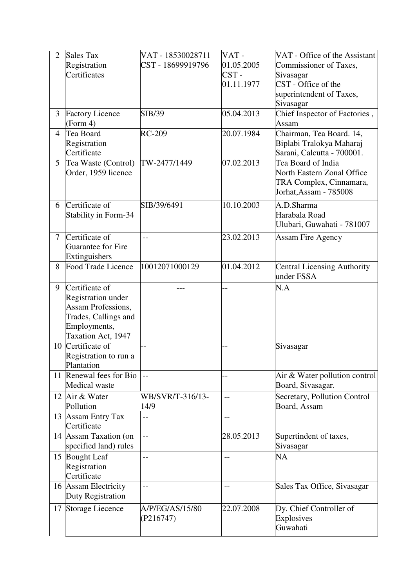| $\overline{2}$ | <b>Sales Tax</b><br>Registration<br>Certificates                                                                                       | VAT - 18530028711<br>CST - 18699919796 | VAT-<br>01.05.2005<br>$CST -$<br>01.11.1977 | VAT - Office of the Assistant<br>Commissioner of Taxes,<br>Sivasagar<br>CST - Office of the<br>superintendent of Taxes,<br>Sivasagar |
|----------------|----------------------------------------------------------------------------------------------------------------------------------------|----------------------------------------|---------------------------------------------|--------------------------------------------------------------------------------------------------------------------------------------|
| $\overline{3}$ | <b>Factory Licence</b><br>(Form 4)                                                                                                     | SIB/39                                 | 05.04.2013                                  | Chief Inspector of Factories,<br>Assam                                                                                               |
| 4              | Tea Board<br>Registration<br>Certificate                                                                                               | <b>RC-209</b>                          | 20.07.1984                                  | Chairman, Tea Board. 14,<br>Biplabi Tralokya Maharaj<br>Sarani, Calcutta - 700001.                                                   |
| 5              | Tea Waste (Control)<br>Order, 1959 licence                                                                                             | TW-2477/1449                           | 07.02.2013                                  | Tea Board of India<br>North Eastern Zonal Office<br>TRA Complex, Cinnamara,<br>Jorhat, Assam - 785008                                |
| 6              | Certificate of<br>Stability in Form-34                                                                                                 | SIB/39/6491                            | 10.10.2003                                  | A.D.Sharma<br>Harabala Road<br>Ulubari, Guwahati - 781007                                                                            |
| $\overline{7}$ | Certificate of<br>Guarantee for Fire<br>Extinguishers                                                                                  | $-$                                    | 23.02.2013                                  | <b>Assam Fire Agency</b>                                                                                                             |
| 8              | Food Trade Licence                                                                                                                     | 10012071000129                         | 01.04.2012                                  | <b>Central Licensing Authority</b><br>under FSSA                                                                                     |
| 9              | Certificate of<br><b>Registration under</b><br><b>Assam Professions,</b><br>Trades, Callings and<br>Employments,<br>Taxation Act, 1947 |                                        |                                             | N.A                                                                                                                                  |
|                | 10 Certificate of<br>Registration to run a<br>Plantation                                                                               |                                        |                                             | Sivasagar                                                                                                                            |
|                | 11 Renewal fees for Bio<br>Medical waste                                                                                               |                                        |                                             | Air & Water pollution control<br>Board, Sivasagar.                                                                                   |
|                | 12 Air & Water<br>Pollution                                                                                                            | WB/SVR/T-316/13-<br>14/9               | --                                          | Secretary, Pollution Control<br>Board, Assam                                                                                         |
|                | 13 Assam Entry Tax<br>Certificate                                                                                                      |                                        | $-$                                         |                                                                                                                                      |
|                | 14 Assam Taxation (on<br>specified land) rules                                                                                         | $\overline{a}$                         | 28.05.2013                                  | Supertindent of taxes,<br>Sivasagar                                                                                                  |
|                | 15 Bought Leaf<br>Registration<br>Certificate                                                                                          | $-$                                    | --                                          | <b>NA</b>                                                                                                                            |
|                | 16 Assam Electricity<br>Duty Registration                                                                                              | $-$                                    | $-$                                         | Sales Tax Office, Sivasagar                                                                                                          |
| 17             | Storage Liecence                                                                                                                       | A/P/EG/AS/15/80<br>(P216747)           | 22.07.2008                                  | Dy. Chief Controller of<br>Explosives<br>Guwahati                                                                                    |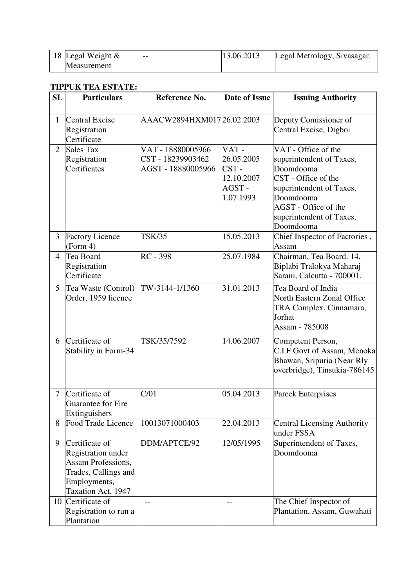| 18 Legal Weight $\&$ | $- -$ | 13.06.2013 | Legal Metrology, Sivasagar. |
|----------------------|-------|------------|-----------------------------|
| <b>Measurement</b>   |       |            |                             |

#### **TIPPUK TEA ESTATE:**

| SL             | <b>Particulars</b>                                                                                                              | Reference No.                                                | <b>Date of Issue</b>                                           | <b>Issuing Authority</b>                                                                                                                                                                      |
|----------------|---------------------------------------------------------------------------------------------------------------------------------|--------------------------------------------------------------|----------------------------------------------------------------|-----------------------------------------------------------------------------------------------------------------------------------------------------------------------------------------------|
| $\mathbf{1}$   | <b>Central Excise</b><br>Registration<br>Certificate                                                                            | AAACW2894HXM01726.02.2003                                    |                                                                | Deputy Comissioner of<br>Central Excise, Digboi                                                                                                                                               |
| $\overline{2}$ | <b>Sales Tax</b><br>Registration<br>Certificates                                                                                | VAT - 18880005966<br>CST - 18239903462<br>AGST - 18880005966 | VAT-<br>26.05.2005<br>CST-<br>12.10.2007<br>AGST-<br>1.07.1993 | VAT - Office of the<br>superintendent of Taxes,<br>Doomdooma<br>CST - Office of the<br>superintendent of Taxes,<br>Doomdooma<br>AGST - Office of the<br>superintendent of Taxes,<br>Doomdooma |
| $\overline{3}$ | <b>Factory Licence</b><br>(Form 4)                                                                                              | <b>TSK/35</b>                                                | 15.05.2013                                                     | Chief Inspector of Factories,<br>Assam                                                                                                                                                        |
| $\overline{4}$ | Tea Board<br>Registration<br>Certificate                                                                                        | RC - 398                                                     | 25.07.1984                                                     | Chairman, Tea Board. 14,<br>Biplabi Tralokya Maharaj<br>Sarani, Calcutta - 700001.                                                                                                            |
| 5              | Tea Waste (Control)<br>Order, 1959 licence                                                                                      | TW-3144-1/1360                                               | 31.01.2013                                                     | Tea Board of India<br>North Eastern Zonal Office<br>TRA Complex, Cinnamara,<br>Jorhat<br>Assam - 785008                                                                                       |
| 6              | Certificate of<br>Stability in Form-34                                                                                          | TSK/35/7592                                                  | 14.06.2007                                                     | Competent Person,<br>C.I.F Govt of Assam, Menoka<br>Bhawan, Sripuria (Near Rly<br>overbridge), Tinsukia-786145                                                                                |
| 7              | Certificate of<br>Guarantee for Fire<br>Extinguishers                                                                           | C/01                                                         | 05.04.2013                                                     | <b>Pareek Enterprises</b>                                                                                                                                                                     |
| 8              | Food Trade Licence                                                                                                              | 10013071000403                                               | 22.04.2013                                                     | Central Licensing Authority<br>under FSSA                                                                                                                                                     |
| 9              | Certificate of<br><b>Registration under</b><br>Assam Professions,<br>Trades, Callings and<br>Employments,<br>Taxation Act, 1947 | DDM/APTCE/92                                                 | 12/05/1995                                                     | Superintendent of Taxes,<br>Doomdooma                                                                                                                                                         |
|                | 10 Certificate of<br>Registration to run a<br>Plantation                                                                        | $-$                                                          | --                                                             | The Chief Inspector of<br>Plantation, Assam, Guwahati                                                                                                                                         |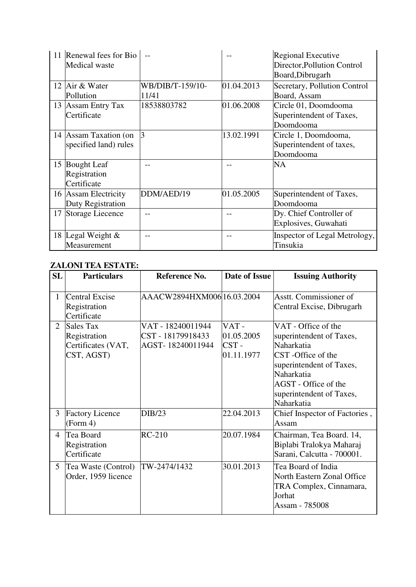|    | 11 Renewal fees for Bio<br>Medical waste          |                           |            | Regional Executive<br>Director, Pollution Control<br>Board, Dibrugarh |
|----|---------------------------------------------------|---------------------------|------------|-----------------------------------------------------------------------|
| 12 | Air & Water<br>Pollution                          | WB/DIB/T-159/10-<br>11/41 | 01.04.2013 | Secretary, Pollution Control<br>Board, Assam                          |
| 13 | <b>Assam Entry Tax</b><br>Certificate             | 18538803782               | 01.06.2008 | Circle 01, Doomdooma<br>Superintendent of Taxes,<br>Doomdooma         |
|    | 14 Assam Taxation (on<br>specified land) rules    | 3                         | 13.02.1991 | Circle 1, Doomdooma,<br>Superintendent of taxes,<br>Doomdooma         |
| 15 | <b>Bought</b> Leaf<br>Registration<br>Certificate |                           |            | <b>NA</b>                                                             |
|    | 16 Assam Electricity<br>Duty Registration         | DDM/AED/19                | 01.05.2005 | Superintendent of Taxes,<br>Doomdooma                                 |
|    | 17 Storage Liecence                               |                           |            | Dy. Chief Controller of<br>Explosives, Guwahati                       |
|    | 18 Legal Weight &<br>Measurement                  |                           |            | Inspector of Legal Metrology,<br>Tinsukia                             |

## **ZALONI TEA ESTATE:**

| SL             | <b>Particulars</b>                                            | Reference No.                                              | Date of Issue                                  | <b>Issuing Authority</b>                                                                                                                                                                       |
|----------------|---------------------------------------------------------------|------------------------------------------------------------|------------------------------------------------|------------------------------------------------------------------------------------------------------------------------------------------------------------------------------------------------|
| $\mathbf{1}$   | Central Excise<br>Registration<br>Certificate                 | AAACW2894HXM006 16.03.2004                                 |                                                | Asstt. Commissioner of<br>Central Excise, Dibrugarh                                                                                                                                            |
| $\overline{2}$ | Sales Tax<br>Registration<br>Certificates (VAT,<br>CST, AGST) | VAT - 18240011944<br>CST - 18179918433<br>AGST-18240011944 | $VAT -$<br>01.05.2005<br>$CST -$<br>01.11.1977 | VAT - Office of the<br>superintendent of Taxes,<br>Naharkatia<br>CST-Office of the<br>superintendent of Taxes,<br>Naharkatia<br>AGST - Office of the<br>superintendent of Taxes,<br>Naharkatia |
| $\overline{3}$ | <b>Factory Licence</b><br>(Form 4)                            | DIB/23                                                     | 22.04.2013                                     | Chief Inspector of Factories,<br>Assam                                                                                                                                                         |
| 4              | Tea Board<br>Registration<br>Certificate                      | $RC-210$                                                   | 20.07.1984                                     | Chairman, Tea Board. 14,<br>Biplabi Tralokya Maharaj<br>Sarani, Calcutta - 700001.                                                                                                             |
| 5              | Tea Waste (Control)<br>Order, 1959 licence                    | TW-2474/1432                                               | 30.01.2013                                     | Tea Board of India<br>North Eastern Zonal Office<br>TRA Complex, Cinnamara,<br>Jorhat<br>Assam - 785008                                                                                        |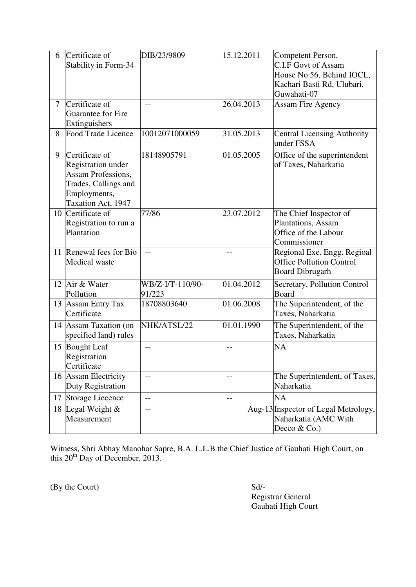| 6              | Certificate of<br>Stability in Form-34                                                                                          | DIB/23/9809                | 15.12.2011 | Competent Person,<br><b>C.I.F Govt of Assam</b><br>House No 56, Behind IOCL,<br>Kachari Basti Rd, Ulubari,<br>Guwahati-07 |
|----------------|---------------------------------------------------------------------------------------------------------------------------------|----------------------------|------------|---------------------------------------------------------------------------------------------------------------------------|
| $\overline{7}$ | Certificate of<br>Guarantee for Fire<br>Extinguishers                                                                           | $-$                        | 26.04.2013 | <b>Assam Fire Agency</b>                                                                                                  |
| 8              | Food Trade Licence                                                                                                              | 10012071000059             | 31.05.2013 | <b>Central Licensing Authority</b><br>under FSSA                                                                          |
| 9              | Certificate of<br><b>Registration under</b><br>Assam Professions,<br>Trades, Callings and<br>Employments,<br>Taxation Act, 1947 | 18148905791                | 01.05.2005 | Office of the superintendent<br>of Taxes, Naharkatia                                                                      |
| 10             | Certificate of<br>Registration to run a<br>Plantation                                                                           | 77/86                      | 23.07.2012 | The Chief Inspector of<br>Plantations, Assam<br>Office of the Labour<br>Commissioner                                      |
|                | 11 Renewal fees for Bio<br>Medical waste                                                                                        | $-$                        | $-1$       | Regional Exe. Engg. Regioal<br><b>Office Pollution Control</b><br><b>Board Dibrugarh</b>                                  |
|                | 12 Air & Water<br>Pollution                                                                                                     | WB/Z-I/T-110/90-<br>91/223 | 01.04.2012 | Secretary, Pollution Control<br>Board                                                                                     |
|                | 13 Assam Entry Tax<br>Certificate                                                                                               | 18708803640                | 01.06.2008 | The Superintendent, of the<br>Taxes, Naharkatia                                                                           |
|                | 14 Assam Taxation (on<br>specified land) rules                                                                                  | NHK/ATSL/22                | 01.01.1990 | The Superintendent, of the<br>Taxes, Naharkatia                                                                           |
|                | 15 Bought Leaf<br>Registration<br>Certificate                                                                                   | $-$                        | $-$        | NA                                                                                                                        |
|                | 16 Assam Electricity<br>Duty Registration                                                                                       | $-$                        | $-$        | The Superintendent, of Taxes,<br>Naharkatia                                                                               |
| 17             | Storage Liecence                                                                                                                | $-$                        | $-$        | NA                                                                                                                        |
| 18             | Legal Weight &<br>Measurement                                                                                                   | $-$                        |            | Aug-13 Inspector of Legal Metrology,<br>Naharkatia (AMC With<br>Decco & Co.)                                              |

Witness, Shri Abhay Manohar Sapre, B.A. L.L.B the Chief Justice of Gauhati High Court, on this  $20<sup>th</sup>$  Day of December, 2013.

(By the Court) Sd/-

 Registrar General Gauhati High Court